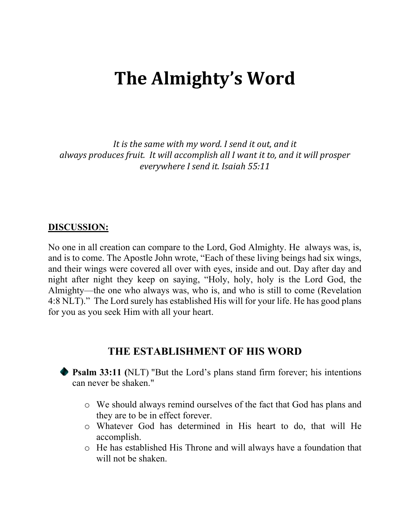# **The Almighty's Word**

It is the same with my word. I send it out, and it always produces fruit. It will accomplish all I want it to, and it will prosper *everywhere I send it. Isaiah 55:11*

#### **DISCUSSION:**

No one in all creation can compare to the Lord, God Almighty. He always was, is, and is to come. The Apostle John wrote, "Each of these living beings had six wings, and their wings were covered all over with eyes, inside and out. Day after day and night after night they keep on saying, "Holy, holy, holy is the Lord God, the Almighty—the one who always was, who is, and who is still to come (Revelation 4:8 NLT)." The Lord surely has established His will for your life. He has good plans for you as you seek Him with all your heart.

#### **THE ESTABLISHMENT OF HIS WORD**

**Psalm 33:11 (**NLT) "But the Lord's plans stand firm forever; his intentions can never be shaken."

- o We should always remind ourselves of the fact that God has plans and they are to be in effect forever.
- o Whatever God has determined in His heart to do, that will He accomplish.
- o He has established His Throne and will always have a foundation that will not be shaken.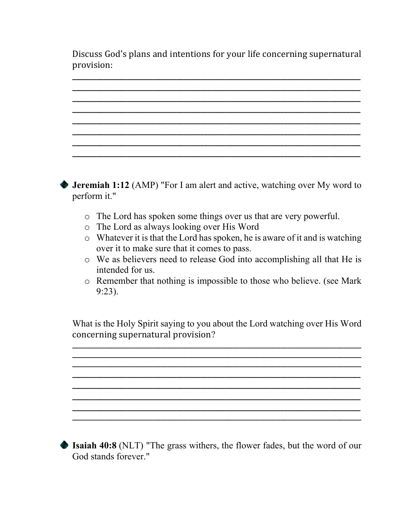Discuss God's plans and intentions for your life concerning supernatural provision:

**\_\_\_\_\_\_\_\_\_\_\_\_\_\_\_\_\_\_\_\_\_\_\_\_\_\_\_\_\_\_\_\_\_\_\_\_\_\_\_\_\_\_\_\_\_\_\_\_\_\_\_\_\_\_\_\_\_\_\_\_\_\_\_\_\_\_\_\_\_\_\_\_\_\_\_\_\_\_\_\_\_\_\_**



**Isaiah 40:8** (NLT) "The grass withers, the flower fades, but the word of our God stands forever."

**\_\_\_\_\_\_\_\_\_\_\_\_\_\_\_\_\_\_\_\_\_\_\_\_\_\_\_\_\_\_\_\_\_\_\_\_\_\_\_\_\_\_\_\_\_\_\_\_\_\_\_\_\_\_\_\_\_\_\_\_\_\_\_\_\_\_\_\_\_\_\_\_\_\_\_\_\_\_\_\_\_\_\_\_\_\_\_\_\_\_\_\_\_\_\_\_\_ \_\_\_\_\_\_\_\_\_\_\_\_\_\_\_\_\_\_\_\_\_\_\_\_\_\_\_\_\_\_\_\_\_\_\_\_\_\_\_\_\_\_\_\_\_\_\_\_\_\_\_\_\_\_\_\_\_\_\_\_\_\_\_\_\_\_\_\_\_\_\_\_\_\_\_\_\_\_\_\_\_\_\_\_\_\_\_\_\_\_\_\_\_\_\_\_\_ \_\_\_\_\_\_\_\_\_\_\_\_\_\_\_\_\_\_\_\_\_\_\_\_\_\_\_\_\_\_\_\_\_\_\_\_\_\_\_\_\_\_\_\_\_\_\_\_\_\_\_\_\_\_\_\_\_\_\_\_\_\_\_\_\_\_\_\_\_\_\_\_\_\_\_\_\_\_\_\_\_\_\_ \_\_\_\_\_\_\_\_\_\_\_\_\_\_\_\_\_\_\_\_\_\_\_\_\_\_\_\_\_\_\_\_\_\_\_\_\_\_\_\_\_\_\_\_\_\_\_\_\_\_\_\_\_\_\_\_\_\_\_\_\_\_\_\_\_\_\_\_\_\_\_\_\_\_\_\_\_\_\_\_\_\_\_ \_\_\_\_\_\_\_\_\_\_\_\_\_\_\_\_\_\_\_\_\_\_\_\_\_\_\_\_\_\_\_\_\_\_\_\_\_\_\_\_\_\_\_\_\_\_\_\_\_\_\_\_\_\_\_\_\_\_\_\_\_\_\_\_\_\_\_\_\_\_\_\_\_\_\_\_\_\_\_\_\_\_\_ \_\_\_\_\_\_\_\_\_\_\_\_\_\_\_\_\_\_\_\_\_\_\_\_\_\_\_\_\_\_\_\_\_\_\_\_\_\_\_\_\_\_\_\_\_\_\_\_\_\_\_\_\_\_\_\_\_\_\_\_\_\_\_\_\_\_\_\_\_\_\_\_\_\_\_\_\_\_\_\_\_\_\_ \_\_\_\_\_\_\_\_\_\_\_\_\_\_\_\_\_\_\_\_\_\_\_\_\_\_\_\_\_\_\_\_\_\_\_\_\_\_\_\_\_\_\_\_\_\_\_\_\_\_\_\_\_\_\_\_\_\_\_\_\_\_\_\_\_\_\_\_\_\_\_\_\_\_\_\_\_\_\_\_\_\_\_\_\_\_\_\_\_\_\_\_\_\_\_\_\_**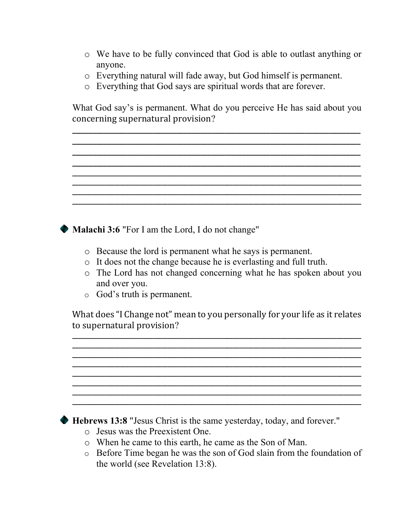- o We have to be fully convinced that God is able to outlast anything or anyone.
- o Everything natural will fade away, but God himself is permanent.
- o Everything that God says are spiritual words that are forever.

What God say's is permanent. What do you perceive He has said about you concerning supernatural provision?

**\_\_\_\_\_\_\_\_\_\_\_\_\_\_\_\_\_\_\_\_\_\_\_\_\_\_\_\_\_\_\_\_\_\_\_\_\_\_\_\_\_\_\_\_\_\_\_\_\_\_\_\_\_\_\_\_\_\_\_\_\_\_\_\_\_\_\_\_\_\_\_\_\_\_\_\_\_\_\_\_\_\_\_ \_\_\_\_\_\_\_\_\_\_\_\_\_\_\_\_\_\_\_\_\_\_\_\_\_\_\_\_\_\_\_\_\_\_\_\_\_\_\_\_\_\_\_\_\_\_\_\_\_\_\_\_\_\_\_\_\_\_\_\_\_\_\_\_\_\_\_\_\_\_\_\_\_\_\_\_\_\_\_\_\_\_\_ \_\_\_\_\_\_\_\_\_\_\_\_\_\_\_\_\_\_\_\_\_\_\_\_\_\_\_\_\_\_\_\_\_\_\_\_\_\_\_\_\_\_\_\_\_\_\_\_\_\_\_\_\_\_\_\_\_\_\_\_\_\_\_\_\_\_\_\_\_\_\_\_\_\_\_\_\_\_\_\_\_\_\_ \_\_\_\_\_\_\_\_\_\_\_\_\_\_\_\_\_\_\_\_\_\_\_\_\_\_\_\_\_\_\_\_\_\_\_\_\_\_\_\_\_\_\_\_\_\_\_\_\_\_\_\_\_\_\_\_\_\_\_\_\_\_\_\_\_\_\_\_\_\_\_\_\_\_\_\_\_\_\_\_\_\_\_ \_\_\_\_\_\_\_\_\_\_\_\_\_\_\_\_\_\_\_\_\_\_\_\_\_\_\_\_\_\_\_\_\_\_\_\_\_\_\_\_\_\_\_\_\_\_\_\_\_\_\_\_\_\_\_\_\_\_\_\_\_\_\_\_\_\_\_\_\_\_\_\_\_\_\_\_\_\_\_\_\_\_\_\_\_\_\_\_\_\_\_\_\_\_\_\_\_**

**\_\_\_\_\_\_\_\_\_\_\_\_\_\_\_\_\_\_\_\_\_\_\_\_\_\_\_\_\_\_\_\_\_\_\_\_\_\_\_\_\_\_\_\_\_\_\_\_\_\_\_\_\_\_\_\_\_\_\_\_\_\_\_\_\_\_\_\_\_\_\_\_\_\_\_\_\_\_\_\_\_\_\_\_\_\_\_\_\_\_\_\_\_\_\_\_\_**

**\_\_\_\_\_\_\_\_\_\_\_\_\_\_\_\_\_\_\_\_\_\_\_\_\_\_\_\_\_\_\_\_\_\_\_\_\_\_\_\_\_\_\_\_\_\_\_\_\_\_\_\_\_\_\_\_\_\_\_\_\_\_\_\_\_\_\_\_\_\_\_\_\_\_\_\_\_\_\_\_\_\_\_\_\_\_\_\_\_\_\_\_\_\_\_\_\_**

**Malachi 3:6** "For I am the Lord, I do not change"

- o Because the lord is permanent what he says is permanent.
- o It does not the change because he is everlasting and full truth.
- o The Lord has not changed concerning what he has spoken about you and over you.
- o God's truth is permanent.

What does "I Change not" mean to you personally for your life as it relates to supernatural provision?

**\_\_\_\_\_\_\_\_\_\_\_\_\_\_\_\_\_\_\_\_\_\_\_\_\_\_\_\_\_\_\_\_\_\_\_\_\_\_\_\_\_\_\_\_\_\_\_\_\_\_\_\_\_\_\_\_\_\_\_\_\_\_\_\_\_\_\_\_\_\_\_\_\_\_\_\_\_\_\_\_\_\_\_\_\_\_\_\_\_\_\_\_\_\_\_\_\_ \_\_\_\_\_\_\_\_\_\_\_\_\_\_\_\_\_\_\_\_\_\_\_\_\_\_\_\_\_\_\_\_\_\_\_\_\_\_\_\_\_\_\_\_\_\_\_\_\_\_\_\_\_\_\_\_\_\_\_\_\_\_\_\_\_\_\_\_\_\_\_\_\_\_\_\_\_\_\_\_\_\_\_\_\_\_\_\_\_\_\_\_\_\_\_\_\_ \_\_\_\_\_\_\_\_\_\_\_\_\_\_\_\_\_\_\_\_\_\_\_\_\_\_\_\_\_\_\_\_\_\_\_\_\_\_\_\_\_\_\_\_\_\_\_\_\_\_\_\_\_\_\_\_\_\_\_\_\_\_\_\_\_\_\_\_\_\_\_\_\_\_\_\_\_\_\_\_\_\_\_\_\_\_\_\_\_\_\_\_\_\_\_\_\_ \_\_\_\_\_\_\_\_\_\_\_\_\_\_\_\_\_\_\_\_\_\_\_\_\_\_\_\_\_\_\_\_\_\_\_\_\_\_\_\_\_\_\_\_\_\_\_\_\_\_\_\_\_\_\_\_\_\_\_\_\_\_\_\_\_\_\_\_\_\_\_\_\_\_\_\_\_\_\_\_\_\_\_\_\_\_\_\_\_\_\_\_\_\_\_\_\_ \_\_\_\_\_\_\_\_\_\_\_\_\_\_\_\_\_\_\_\_\_\_\_\_\_\_\_\_\_\_\_\_\_\_\_\_\_\_\_\_\_\_\_\_\_\_\_\_\_\_\_\_\_\_\_\_\_\_\_\_\_\_\_\_\_\_\_\_\_\_\_\_\_\_\_\_\_\_\_\_\_\_\_\_\_\_\_\_\_\_\_\_\_\_\_\_\_ \_\_\_\_\_\_\_\_\_\_\_\_\_\_\_\_\_\_\_\_\_\_\_\_\_\_\_\_\_\_\_\_\_\_\_\_\_\_\_\_\_\_\_\_\_\_\_\_\_\_\_\_\_\_\_\_\_\_\_\_\_\_\_\_\_\_\_\_\_\_\_\_\_\_\_\_\_\_\_\_\_\_\_\_\_\_\_\_\_\_\_\_\_\_\_\_\_ \_\_\_\_\_\_\_\_\_\_\_\_\_\_\_\_\_\_\_\_\_\_\_\_\_\_\_\_\_\_\_\_\_\_\_\_\_\_\_\_\_\_\_\_\_\_\_\_\_\_\_\_\_\_\_\_\_\_\_\_\_\_\_\_\_\_\_\_\_\_\_\_\_\_\_\_\_\_\_\_\_\_\_\_\_\_\_\_\_\_\_\_\_\_\_\_\_ \_\_\_\_\_\_\_\_\_\_\_\_\_\_\_\_\_\_\_\_\_\_\_\_\_\_\_\_\_\_\_\_\_\_\_\_\_\_\_\_\_\_\_\_\_\_\_\_\_\_\_\_\_\_\_\_\_\_\_\_\_\_\_\_\_\_\_\_\_\_\_\_\_\_\_\_\_\_\_\_\_\_\_\_\_\_\_\_\_\_\_\_\_\_\_\_\_**

**Hebrews 13:8** "Jesus Christ is the same yesterday, today, and forever."

- o Jesus was the Preexistent One.
- o When he came to this earth, he came as the Son of Man.
- o Before Time began he was the son of God slain from the foundation of the world (see Revelation 13:8).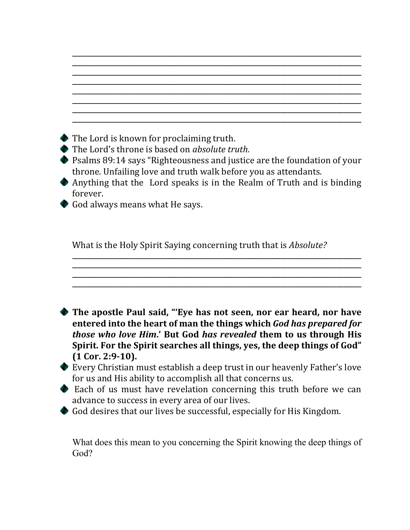| The Lord is known for proclaiming truth.                                                                                                                                                            |
|-----------------------------------------------------------------------------------------------------------------------------------------------------------------------------------------------------|
| The Lord's throne is based on <i>absolute truth</i> .<br>Psalms 89:14 says "Righteousness and justice are the foundation of your<br>throne. Unfailing love and truth walk before you as attendants. |
| • Anything that the Lord speaks is in the Realm of Truth and is binding                                                                                                                             |
| forever.<br>God always means what He says.                                                                                                                                                          |
| What is the Holy Spirit Saying concerning truth that is <i>Absolute?</i>                                                                                                                            |
|                                                                                                                                                                                                     |

**\_\_\_\_\_\_\_\_\_\_\_\_\_\_\_\_\_\_\_\_\_\_\_\_\_\_\_\_\_\_\_\_\_\_\_\_\_\_\_\_\_\_\_\_\_\_\_\_\_\_\_\_\_\_\_\_\_\_\_\_\_\_\_\_\_\_\_\_\_\_\_\_\_\_\_\_\_\_\_\_\_\_\_\_\_\_\_\_\_\_\_\_\_\_\_\_\_**

Every Christian must establish a deep trust in our heavenly Father's love for us and His ability to accomplish all that concerns us. Each of us must have revelation concerning this truth before we can

**Spirit. For the Spirit searches all things, yes, the deep things of God"**

advance to success in every area of our lives.

God desires that our lives be successful, especially for His Kingdom.

**(1 Cor. 2:9‐10).**

What does this mean to you concerning the Spirit knowing the deep things of God?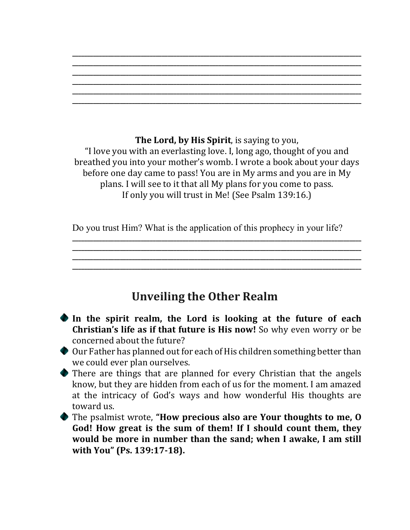**\_\_\_\_\_\_\_\_\_\_\_\_\_\_\_\_\_\_\_\_\_\_\_\_\_\_\_\_\_\_\_\_\_\_\_\_\_\_\_\_\_\_\_\_\_\_\_\_\_\_\_\_\_\_\_\_\_\_\_\_\_\_\_\_\_\_\_\_\_\_\_\_\_\_\_\_\_\_\_\_\_\_\_\_\_\_\_\_\_\_\_\_\_\_\_\_\_ \_\_\_\_\_\_\_\_\_\_\_\_\_\_\_\_\_\_\_\_\_\_\_\_\_\_\_\_\_\_\_\_\_\_\_\_\_\_\_\_\_\_\_\_\_\_\_\_\_\_\_\_\_\_\_\_\_\_\_\_\_\_\_\_\_\_\_\_\_\_\_\_\_\_\_\_\_\_\_\_\_\_\_\_\_\_\_\_\_\_\_\_\_\_\_\_\_ \_\_\_\_\_\_\_\_\_\_\_\_\_\_\_\_\_\_\_\_\_\_\_\_\_\_\_\_\_\_\_\_\_\_\_\_\_\_\_\_\_\_\_\_\_\_\_\_\_\_\_\_\_\_\_\_\_\_\_\_\_\_\_\_\_\_\_\_\_\_\_\_\_\_\_\_\_\_\_\_\_\_\_\_\_\_\_\_\_\_\_\_\_\_\_\_\_ \_\_\_\_\_\_\_\_\_\_\_\_\_\_\_\_\_\_\_\_\_\_\_\_\_\_\_\_\_\_\_\_\_\_\_\_\_\_\_\_\_\_\_\_\_\_\_\_\_\_\_\_\_\_\_\_\_\_\_\_\_\_\_\_\_\_\_\_\_\_\_\_\_\_\_\_\_\_\_\_\_\_\_\_\_\_\_\_\_\_\_\_\_\_\_\_\_ \_\_\_\_\_\_\_\_\_\_\_\_\_\_\_\_\_\_\_\_\_\_\_\_\_\_\_\_\_\_\_\_\_\_\_\_\_\_\_\_\_\_\_\_\_\_\_\_\_\_\_\_\_\_\_\_\_\_\_\_\_\_\_\_\_\_\_\_\_\_\_\_\_\_\_\_\_\_\_\_\_\_\_\_\_\_\_\_\_\_\_\_\_\_\_\_\_ \_\_\_\_\_\_\_\_\_\_\_\_\_\_\_\_\_\_\_\_\_\_\_\_\_\_\_\_\_\_\_\_\_\_\_\_\_\_\_\_\_\_\_\_\_\_\_\_\_\_\_\_\_\_\_\_\_\_\_\_\_\_\_\_\_\_\_\_\_\_\_\_\_\_\_\_\_\_\_\_\_\_\_\_\_\_\_\_\_\_\_\_\_\_\_\_\_**

**The Lord, by His Spirit**, is saying to you, "I love you with an everlasting love. I, long ago, thought of you and breathed you into your mother's womb. I wrote a book about your days before one day came to pass! You are in My arms and you are in My plans. I will see to it that all My plans for you come to pass. If only you will trust in Me! (See Psalm 139:16.)

Do you trust Him? What is the application of this prophecy in your life?

**\_\_\_\_\_\_\_\_\_\_\_\_\_\_\_\_\_\_\_\_\_\_\_\_\_\_\_\_\_\_\_\_\_\_\_\_\_\_\_\_\_\_\_\_\_\_\_\_\_\_\_\_\_\_\_\_\_\_\_\_\_\_\_\_\_\_\_\_\_\_\_\_\_\_\_\_\_\_\_\_\_\_\_\_\_\_\_\_\_\_\_\_\_\_\_\_\_ \_\_\_\_\_\_\_\_\_\_\_\_\_\_\_\_\_\_\_\_\_\_\_\_\_\_\_\_\_\_\_\_\_\_\_\_\_\_\_\_\_\_\_\_\_\_\_\_\_\_\_\_\_\_\_\_\_\_\_\_\_\_\_\_\_\_\_\_\_\_\_\_\_\_\_\_\_\_\_\_\_\_\_\_\_\_\_\_\_\_\_\_\_\_\_\_\_ \_\_\_\_\_\_\_\_\_\_\_\_\_\_\_\_\_\_\_\_\_\_\_\_\_\_\_\_\_\_\_\_\_\_\_\_\_\_\_\_\_\_\_\_\_\_\_\_\_\_\_\_\_\_\_\_\_\_\_\_\_\_\_\_\_\_\_\_\_\_\_\_\_\_\_\_\_\_\_\_\_\_\_\_\_\_\_\_\_\_\_\_\_\_\_\_\_ \_\_\_\_\_\_\_\_\_\_\_\_\_\_\_\_\_\_\_\_\_\_\_\_\_\_\_\_\_\_\_\_\_\_\_\_\_\_\_\_\_\_\_\_\_\_\_\_\_\_\_\_\_\_\_\_\_\_\_\_\_\_\_\_\_\_\_\_\_\_\_\_\_\_\_\_\_\_\_\_\_\_\_\_\_\_\_\_\_\_\_\_\_\_\_\_\_**

## **Unveiling the Other Realm**

- **In the spirit realm, the Lord is looking at the future of each Christian's life as if that future is His now!** So why even worry or be concerned about the future?
- Our Father has planned out for each of His children something better than we could ever plan ourselves.
- There are things that are planned for every Christian that the angels know, but they are hidden from each of us for the moment. I am amazed at the intricacy of God's ways and how wonderful His thoughts are toward us.
- The psalmist wrote, **"How precious also are Your thoughts to me, O God! How great is the sum of them! If I should count them, they would be more in number than the sand; when I awake, I am still with You" (Ps. 139:17‐18).**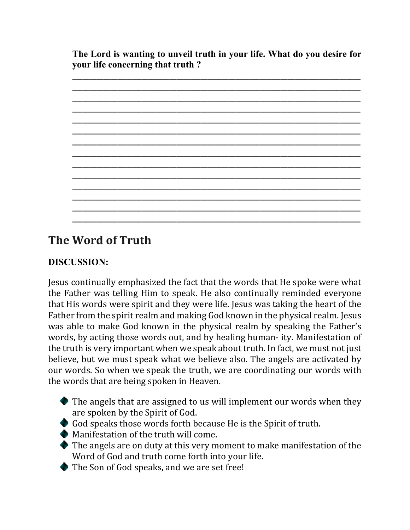**The Lord is wanting to unveil truth in your life. What do you desire for your life concerning that truth ?** 



## **The Word of Truth**

### **DISCUSSION:**

Jesus continually emphasized the fact that the words that He spoke were what the Father was telling Him to speak. He also continually reminded everyone that His words were spirit and they were life. Jesus was taking the heart of the Father from the spirit realm and making God known in the physical realm. Jesus was able to make God known in the physical realm by speaking the Father's words, by acting those words out, and by healing human- ity. Manifestation of the truth is very important when we speak about truth. In fact, we must not just believe, but we must speak what we believe also. The angels are activated by our words. So when we speak the truth, we are coordinating our words with the words that are being spoken in Heaven.

- $\bullet$  The angels that are assigned to us will implement our words when they are spoken by the Spirit of God.
- God speaks those words forth because He is the Spirit of truth.
- Manifestation of the truth will come.
- The angels are on duty at this very moment to make manifestation of the Word of God and truth come forth into your life.
- ◆ The Son of God speaks, and we are set free!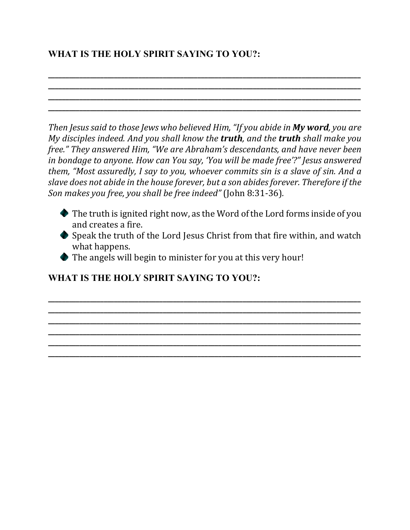### **WHAT IS THE HOLY SPIRIT SAYING TO YOU?:**

*Then Jesus said to those Jews who believed Him, "If you abide in My word, you are My disciples indeed. And you shall know the truth, and the truth shall make you free." They answered Him, "We are Abraham's descendants, and have never been in bondage to anyone. How can You say, 'You will be made free'?" Jesus answered them, "Most assuredly, I say to you, whoever commits sin is a slave of sin. And a slave does not abide in the house forever, but a son abidesforever. Therefore if the Son makes you free, you shall be free indeed"* (John 8:31-36)*.*

**\_\_\_\_\_\_\_\_\_\_\_\_\_\_\_\_\_\_\_\_\_\_\_\_\_\_\_\_\_\_\_\_\_\_\_\_\_\_\_\_\_\_\_\_\_\_\_\_\_\_\_\_\_\_\_\_\_\_\_\_\_\_\_\_\_\_\_\_\_\_\_\_\_\_\_\_\_\_\_\_\_\_\_\_\_\_\_\_\_\_ \_\_\_\_\_\_\_\_\_\_\_\_\_\_\_\_\_\_\_\_\_\_\_\_\_\_\_\_\_\_\_\_\_\_\_\_\_\_\_\_\_\_\_\_\_\_\_\_\_\_\_\_\_\_\_\_\_\_\_\_\_\_\_\_\_\_\_\_\_\_\_\_\_\_\_\_\_\_\_\_\_\_\_\_\_\_\_\_\_\_ \_\_\_\_\_\_\_\_\_\_\_\_\_\_\_\_\_\_\_\_\_\_\_\_\_\_\_\_\_\_\_\_\_\_\_\_\_\_\_\_\_\_\_\_\_\_\_\_\_\_\_\_\_\_\_\_\_\_\_\_\_\_\_\_\_\_\_\_\_\_\_\_\_\_\_\_\_\_\_\_\_\_\_\_\_\_\_\_\_\_ \_\_\_\_\_\_\_\_\_\_\_\_\_\_\_\_\_\_\_\_\_\_\_\_\_\_\_\_\_\_\_\_\_\_\_\_\_\_\_\_\_\_\_\_\_\_\_\_\_\_\_\_\_\_\_\_\_\_\_\_\_\_\_\_\_\_\_\_\_\_\_\_\_\_\_\_\_\_\_\_\_\_\_\_\_\_\_\_\_\_**

- The truth is ignited right now, as the Word of the Lord forms inside of you and creates a fire.
- Speak the truth of the Lord Jesus Christ from that fire within, and watch what happens.

**\_\_\_\_\_\_\_\_\_\_\_\_\_\_\_\_\_\_\_\_\_\_\_\_\_\_\_\_\_\_\_\_\_\_\_\_\_\_\_\_\_\_\_\_\_\_\_\_\_\_\_\_\_\_\_\_\_\_\_\_\_\_\_\_\_\_\_\_\_\_\_\_\_\_\_\_\_\_\_\_\_\_\_\_\_\_\_\_\_\_ \_\_\_\_\_\_\_\_\_\_\_\_\_\_\_\_\_\_\_\_\_\_\_\_\_\_\_\_\_\_\_\_\_\_\_\_\_\_\_\_\_\_\_\_\_\_\_\_\_\_\_\_\_\_\_\_\_\_\_\_\_\_\_\_\_\_\_\_\_\_\_\_\_\_\_\_\_\_\_\_\_\_\_\_\_\_\_\_\_\_ \_\_\_\_\_\_\_\_\_\_\_\_\_\_\_\_\_\_\_\_\_\_\_\_\_\_\_\_\_\_\_\_\_\_\_\_\_\_\_\_\_\_\_\_\_\_\_\_\_\_\_\_\_\_\_\_\_\_\_\_\_\_\_\_\_\_\_\_\_\_\_\_\_\_\_\_\_\_\_\_\_\_\_\_\_\_\_\_\_\_ \_\_\_\_\_\_\_\_\_\_\_\_\_\_\_\_\_\_\_\_\_\_\_\_\_\_\_\_\_\_\_\_\_\_\_\_\_\_\_\_\_\_\_\_\_\_\_\_\_\_\_\_\_\_\_\_\_\_\_\_\_\_\_\_\_\_\_\_\_\_\_\_\_\_\_\_\_\_\_\_\_\_\_\_\_\_\_\_\_\_ \_\_\_\_\_\_\_\_\_\_\_\_\_\_\_\_\_\_\_\_\_\_\_\_\_\_\_\_\_\_\_\_\_\_\_\_\_\_\_\_\_\_\_\_\_\_\_\_\_\_\_\_\_\_\_\_\_\_\_\_\_\_\_\_\_\_\_\_\_\_\_\_\_\_\_\_\_\_\_\_\_\_\_\_\_\_\_\_\_\_ \_\_\_\_\_\_\_\_\_\_\_\_\_\_\_\_\_\_\_\_\_\_\_\_\_\_\_\_\_\_\_\_\_\_\_\_\_\_\_\_\_\_\_\_\_\_\_\_\_\_\_\_\_\_\_\_\_\_\_\_\_\_\_\_\_\_\_\_\_\_\_\_\_\_\_\_\_\_\_\_\_\_\_\_\_\_\_\_\_\_**

The angels will begin to minister for you at this very hour!

### **WHAT IS THE HOLY SPIRIT SAYING TO YOU?:**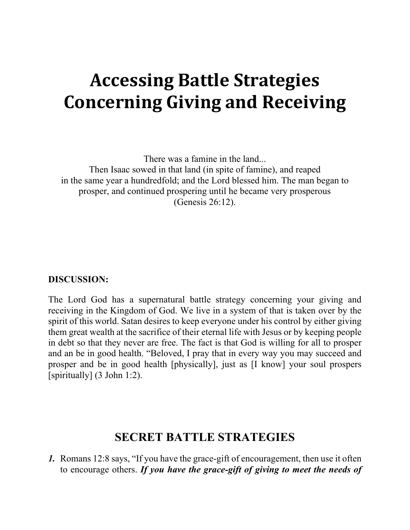## **Accessing Battle Strategies Concerning Giving and Receiving**

There was a famine in the land... Then Isaac sowed in that land (in spite of famine), and reaped in the same year a hundredfold; and the Lord blessed him. The man began to prosper, and continued prospering until he became very prosperous (Genesis 26:12).

#### **DISCUSSION:**

The Lord God has a supernatural battle strategy concerning your giving and receiving in the Kingdom of God. We live in a system of that is taken over by the spirit of this world. Satan desires to keep everyone under his control by either giving them great wealth at the sacrifice of their eternal life with Jesus or by keeping people in debt so that they never are free. The fact is that God is willing for all to prosper and an be in good health. "Beloved, I pray that in every way you may succeed and prosper and be in good health [physically], just as [I know] your soul prospers [spiritually] (3 John 1:2).

### **SECRET BATTLE STRATEGIES**

*1.* Romans 12:8 says, "If you have the grace-gift of encouragement, then use it often to encourage others. *If you have the grace-gift of giving to meet the needs of*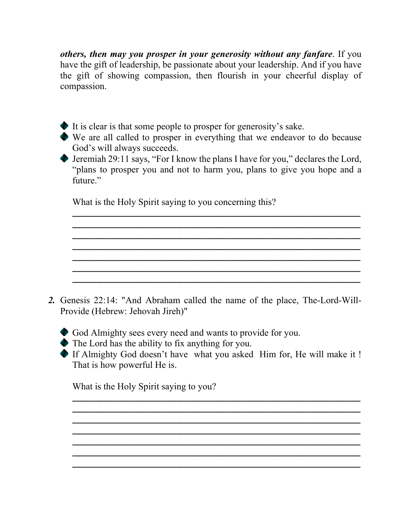*others, then may you prosper in your generosity without any fanfare*. If you have the gift of leadership, be passionate about your leadership. And if you have the gift of showing compassion, then flourish in your cheerful display of compassion.

- It is clear is that some people to prosper for generosity's sake.
- We are all called to prosper in everything that we endeavor to do because God's will always succeeds.
- Jeremiah 29:11 says, "For I know the plans I have for you," declares the Lord, "plans to prosper you and not to harm you, plans to give you hope and a future."

**\_\_\_\_\_\_\_\_\_\_\_\_\_\_\_\_\_\_\_\_\_\_\_\_\_\_\_\_\_\_\_\_\_\_\_\_\_\_\_\_\_\_\_\_\_\_\_\_\_\_\_\_\_\_\_\_\_\_\_\_\_\_\_\_\_\_\_\_\_\_\_\_\_\_\_\_\_\_\_\_\_\_\_ \_\_\_\_\_\_\_\_\_\_\_\_\_\_\_\_\_\_\_\_\_\_\_\_\_\_\_\_\_\_\_\_\_\_\_\_\_\_\_\_\_\_\_\_\_\_\_\_\_\_\_\_\_\_\_\_\_\_\_\_\_\_\_\_\_\_\_\_\_\_\_\_\_\_\_\_\_\_\_\_\_\_\_ \_\_\_\_\_\_\_\_\_\_\_\_\_\_\_\_\_\_\_\_\_\_\_\_\_\_\_\_\_\_\_\_\_\_\_\_\_\_\_\_\_\_\_\_\_\_\_\_\_\_\_\_\_\_\_\_\_\_\_\_\_\_\_\_\_\_\_\_\_\_\_\_\_\_\_\_\_\_\_\_\_\_\_ \_\_\_\_\_\_\_\_\_\_\_\_\_\_\_\_\_\_\_\_\_\_\_\_\_\_\_\_\_\_\_\_\_\_\_\_\_\_\_\_\_\_\_\_\_\_\_\_\_\_\_\_\_\_\_\_\_\_\_\_\_\_\_\_\_\_\_\_\_\_\_\_\_\_\_\_\_\_\_\_\_\_\_ \_\_\_\_\_\_\_\_\_\_\_\_\_\_\_\_\_\_\_\_\_\_\_\_\_\_\_\_\_\_\_\_\_\_\_\_\_\_\_\_\_\_\_\_\_\_\_\_\_\_\_\_\_\_\_\_\_\_\_\_\_\_\_\_\_\_\_\_\_\_\_\_\_\_\_\_\_\_\_\_\_\_\_ \_\_\_\_\_\_\_\_\_\_\_\_\_\_\_\_\_\_\_\_\_\_\_\_\_\_\_\_\_\_\_\_\_\_\_\_\_\_\_\_\_\_\_\_\_\_\_\_\_\_\_\_\_\_\_\_\_\_\_\_\_\_\_\_\_\_\_\_\_\_\_\_\_\_\_\_\_\_\_\_\_\_\_ \_\_\_\_\_\_\_\_\_\_\_\_\_\_\_\_\_\_\_\_\_\_\_\_\_\_\_\_\_\_\_\_\_\_\_\_\_\_\_\_\_\_\_\_\_\_\_\_\_\_\_\_\_\_\_\_\_\_\_\_\_\_\_\_\_\_\_\_\_\_\_\_\_\_\_\_\_\_\_\_\_\_\_**

What is the Holy Spirit saying to you concerning this?

*2.* Genesis 22:14: "And Abraham called the name of the place, The-Lord-Will-Provide (Hebrew: Jehovah Jireh)"

God Almighty sees every need and wants to provide for you.

The Lord has the ability to fix anything for you.

If Almighty God doesn't have what you asked Him for, He will make it ! That is how powerful He is.

**\_\_\_\_\_\_\_\_\_\_\_\_\_\_\_\_\_\_\_\_\_\_\_\_\_\_\_\_\_\_\_\_\_\_\_\_\_\_\_\_\_\_\_\_\_\_\_\_\_\_\_\_\_\_\_\_\_\_\_\_\_\_\_\_\_\_\_\_\_\_\_\_\_\_\_\_\_\_\_\_\_\_\_ \_\_\_\_\_\_\_\_\_\_\_\_\_\_\_\_\_\_\_\_\_\_\_\_\_\_\_\_\_\_\_\_\_\_\_\_\_\_\_\_\_\_\_\_\_\_\_\_\_\_\_\_\_\_\_\_\_\_\_\_\_\_\_\_\_\_\_\_\_\_\_\_\_\_\_\_\_\_\_\_\_\_\_ \_\_\_\_\_\_\_\_\_\_\_\_\_\_\_\_\_\_\_\_\_\_\_\_\_\_\_\_\_\_\_\_\_\_\_\_\_\_\_\_\_\_\_\_\_\_\_\_\_\_\_\_\_\_\_\_\_\_\_\_\_\_\_\_\_\_\_\_\_\_\_\_\_\_\_\_\_\_\_\_\_\_\_ \_\_\_\_\_\_\_\_\_\_\_\_\_\_\_\_\_\_\_\_\_\_\_\_\_\_\_\_\_\_\_\_\_\_\_\_\_\_\_\_\_\_\_\_\_\_\_\_\_\_\_\_\_\_\_\_\_\_\_\_\_\_\_\_\_\_\_\_\_\_\_\_\_\_\_\_\_\_\_\_\_\_\_ \_\_\_\_\_\_\_\_\_\_\_\_\_\_\_\_\_\_\_\_\_\_\_\_\_\_\_\_\_\_\_\_\_\_\_\_\_\_\_\_\_\_\_\_\_\_\_\_\_\_\_\_\_\_\_\_\_\_\_\_\_\_\_\_\_\_\_\_\_\_\_\_\_\_\_\_\_\_\_\_\_\_\_ \_\_\_\_\_\_\_\_\_\_\_\_\_\_\_\_\_\_\_\_\_\_\_\_\_\_\_\_\_\_\_\_\_\_\_\_\_\_\_\_\_\_\_\_\_\_\_\_\_\_\_\_\_\_\_\_\_\_\_\_\_\_\_\_\_\_\_\_\_\_\_\_\_\_\_\_\_\_\_\_\_\_\_ \_\_\_\_\_\_\_\_\_\_\_\_\_\_\_\_\_\_\_\_\_\_\_\_\_\_\_\_\_\_\_\_\_\_\_\_\_\_\_\_\_\_\_\_\_\_\_\_\_\_\_\_\_\_\_\_\_\_\_\_\_\_\_\_\_\_\_\_\_\_\_\_\_\_\_\_\_\_\_\_\_\_\_**

What is the Holy Spirit saying to you?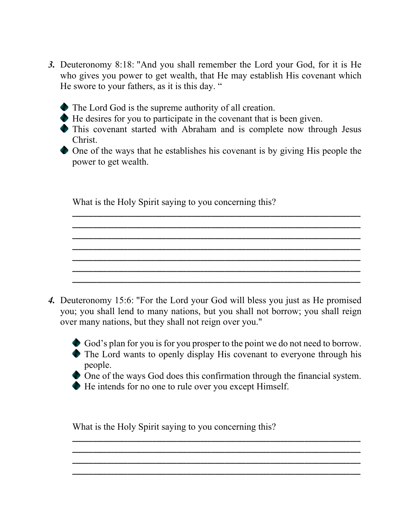- *3.* Deuteronomy 8:18: "And you shall remember the Lord your God, for it is He who gives you power to get wealth, that He may establish His covenant which He swore to your fathers, as it is this day. "
	- The Lord God is the supreme authority of all creation.
	- He desires for you to participate in the covenant that is been given.
	- This covenant started with Abraham and is complete now through Jesus Christ.
	- One of the ways that he establishes his covenant is by giving His people the power to get wealth.

**\_\_\_\_\_\_\_\_\_\_\_\_\_\_\_\_\_\_\_\_\_\_\_\_\_\_\_\_\_\_\_\_\_\_\_\_\_\_\_\_\_\_\_\_\_\_\_\_\_\_\_\_\_\_\_\_\_\_\_\_\_\_\_\_\_\_\_\_\_\_\_\_\_\_\_\_\_\_\_\_\_\_\_ \_\_\_\_\_\_\_\_\_\_\_\_\_\_\_\_\_\_\_\_\_\_\_\_\_\_\_\_\_\_\_\_\_\_\_\_\_\_\_\_\_\_\_\_\_\_\_\_\_\_\_\_\_\_\_\_\_\_\_\_\_\_\_\_\_\_\_\_\_\_\_\_\_\_\_\_\_\_\_\_\_\_\_ \_\_\_\_\_\_\_\_\_\_\_\_\_\_\_\_\_\_\_\_\_\_\_\_\_\_\_\_\_\_\_\_\_\_\_\_\_\_\_\_\_\_\_\_\_\_\_\_\_\_\_\_\_\_\_\_\_\_\_\_\_\_\_\_\_\_\_\_\_\_\_\_\_\_\_\_\_\_\_\_\_\_\_ \_\_\_\_\_\_\_\_\_\_\_\_\_\_\_\_\_\_\_\_\_\_\_\_\_\_\_\_\_\_\_\_\_\_\_\_\_\_\_\_\_\_\_\_\_\_\_\_\_\_\_\_\_\_\_\_\_\_\_\_\_\_\_\_\_\_\_\_\_\_\_\_\_\_\_\_\_\_\_\_\_\_\_ \_\_\_\_\_\_\_\_\_\_\_\_\_\_\_\_\_\_\_\_\_\_\_\_\_\_\_\_\_\_\_\_\_\_\_\_\_\_\_\_\_\_\_\_\_\_\_\_\_\_\_\_\_\_\_\_\_\_\_\_\_\_\_\_\_\_\_\_\_\_\_\_\_\_\_\_\_\_\_\_\_\_\_ \_\_\_\_\_\_\_\_\_\_\_\_\_\_\_\_\_\_\_\_\_\_\_\_\_\_\_\_\_\_\_\_\_\_\_\_\_\_\_\_\_\_\_\_\_\_\_\_\_\_\_\_\_\_\_\_\_\_\_\_\_\_\_\_\_\_\_\_\_\_\_\_\_\_\_\_\_\_\_\_\_\_\_ \_\_\_\_\_\_\_\_\_\_\_\_\_\_\_\_\_\_\_\_\_\_\_\_\_\_\_\_\_\_\_\_\_\_\_\_\_\_\_\_\_\_\_\_\_\_\_\_\_\_\_\_\_\_\_\_\_\_\_\_\_\_\_\_\_\_\_\_\_\_\_\_\_\_\_\_\_\_\_\_\_\_\_**

What is the Holy Spirit saying to you concerning this?

- *4.* Deuteronomy 15:6: "For the Lord your God will bless you just as He promised you; you shall lend to many nations, but you shall not borrow; you shall reign over many nations, but they shall not reign over you."
	- God's plan for you is for you prosper to the point we do not need to borrow. The Lord wants to openly display His covenant to everyone through his people.
	- One of the ways God does this confirmation through the financial system.

**\_\_\_\_\_\_\_\_\_\_\_\_\_\_\_\_\_\_\_\_\_\_\_\_\_\_\_\_\_\_\_\_\_\_\_\_\_\_\_\_\_\_\_\_\_\_\_\_\_\_\_\_\_\_\_\_\_\_\_\_\_\_\_\_\_\_\_\_\_\_\_\_\_\_\_\_\_\_\_\_\_\_\_ \_\_\_\_\_\_\_\_\_\_\_\_\_\_\_\_\_\_\_\_\_\_\_\_\_\_\_\_\_\_\_\_\_\_\_\_\_\_\_\_\_\_\_\_\_\_\_\_\_\_\_\_\_\_\_\_\_\_\_\_\_\_\_\_\_\_\_\_\_\_\_\_\_\_\_\_\_\_\_\_\_\_\_ \_\_\_\_\_\_\_\_\_\_\_\_\_\_\_\_\_\_\_\_\_\_\_\_\_\_\_\_\_\_\_\_\_\_\_\_\_\_\_\_\_\_\_\_\_\_\_\_\_\_\_\_\_\_\_\_\_\_\_\_\_\_\_\_\_\_\_\_\_\_\_\_\_\_\_\_\_\_\_\_\_\_\_ \_\_\_\_\_\_\_\_\_\_\_\_\_\_\_\_\_\_\_\_\_\_\_\_\_\_\_\_\_\_\_\_\_\_\_\_\_\_\_\_\_\_\_\_\_\_\_\_\_\_\_\_\_\_\_\_\_\_\_\_\_\_\_\_\_\_\_\_\_\_\_\_\_\_\_\_\_\_\_\_\_\_\_**

He intends for no one to rule over you except Himself.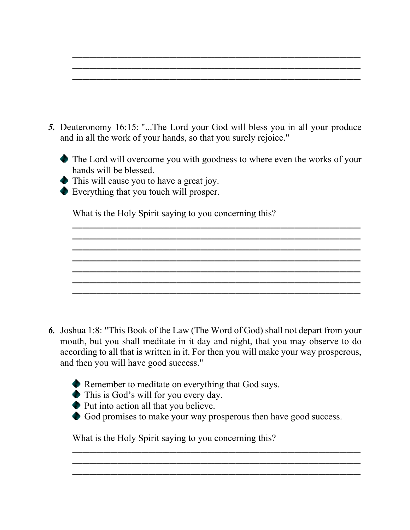- *5.* Deuteronomy 16:15: "...The Lord your God will bless you in all your produce and in all the work of your hands, so that you surely rejoice."
	- The Lord will overcome you with goodness to where even the works of your hands will be blessed.

**\_\_\_\_\_\_\_\_\_\_\_\_\_\_\_\_\_\_\_\_\_\_\_\_\_\_\_\_\_\_\_\_\_\_\_\_\_\_\_\_\_\_\_\_\_\_\_\_\_\_\_\_\_\_\_\_\_\_\_\_\_\_\_\_\_\_\_\_\_\_\_\_\_\_\_\_\_\_\_\_\_\_\_ \_\_\_\_\_\_\_\_\_\_\_\_\_\_\_\_\_\_\_\_\_\_\_\_\_\_\_\_\_\_\_\_\_\_\_\_\_\_\_\_\_\_\_\_\_\_\_\_\_\_\_\_\_\_\_\_\_\_\_\_\_\_\_\_\_\_\_\_\_\_\_\_\_\_\_\_\_\_\_\_\_\_\_ \_\_\_\_\_\_\_\_\_\_\_\_\_\_\_\_\_\_\_\_\_\_\_\_\_\_\_\_\_\_\_\_\_\_\_\_\_\_\_\_\_\_\_\_\_\_\_\_\_\_\_\_\_\_\_\_\_\_\_\_\_\_\_\_\_\_\_\_\_\_\_\_\_\_\_\_\_\_\_\_\_\_\_ \_\_\_\_\_\_\_\_\_\_\_\_\_\_\_\_\_\_\_\_\_\_\_\_\_\_\_\_\_\_\_\_\_\_\_\_\_\_\_\_\_\_\_\_\_\_\_\_\_\_\_\_\_\_\_\_\_\_\_\_\_\_\_\_\_\_\_\_\_\_\_\_\_\_\_\_\_\_\_\_\_\_\_ \_\_\_\_\_\_\_\_\_\_\_\_\_\_\_\_\_\_\_\_\_\_\_\_\_\_\_\_\_\_\_\_\_\_\_\_\_\_\_\_\_\_\_\_\_\_\_\_\_\_\_\_\_\_\_\_\_\_\_\_\_\_\_\_\_\_\_\_\_\_\_\_\_\_\_\_\_\_\_\_\_\_\_ \_\_\_\_\_\_\_\_\_\_\_\_\_\_\_\_\_\_\_\_\_\_\_\_\_\_\_\_\_\_\_\_\_\_\_\_\_\_\_\_\_\_\_\_\_\_\_\_\_\_\_\_\_\_\_\_\_\_\_\_\_\_\_\_\_\_\_\_\_\_\_\_\_\_\_\_\_\_\_\_\_\_\_ \_\_\_\_\_\_\_\_\_\_\_\_\_\_\_\_\_\_\_\_\_\_\_\_\_\_\_\_\_\_\_\_\_\_\_\_\_\_\_\_\_\_\_\_\_\_\_\_\_\_\_\_\_\_\_\_\_\_\_\_\_\_\_\_\_\_\_\_\_\_\_\_\_\_\_\_\_\_\_\_\_\_\_**

**\_\_\_\_\_\_\_\_\_\_\_\_\_\_\_\_\_\_\_\_\_\_\_\_\_\_\_\_\_\_\_\_\_\_\_\_\_\_\_\_\_\_\_\_\_\_\_\_\_\_\_\_\_\_\_\_\_\_\_\_\_\_\_\_\_\_\_\_\_\_\_\_\_\_\_\_\_\_\_\_\_\_\_ \_\_\_\_\_\_\_\_\_\_\_\_\_\_\_\_\_\_\_\_\_\_\_\_\_\_\_\_\_\_\_\_\_\_\_\_\_\_\_\_\_\_\_\_\_\_\_\_\_\_\_\_\_\_\_\_\_\_\_\_\_\_\_\_\_\_\_\_\_\_\_\_\_\_\_\_\_\_\_\_\_\_\_ \_\_\_\_\_\_\_\_\_\_\_\_\_\_\_\_\_\_\_\_\_\_\_\_\_\_\_\_\_\_\_\_\_\_\_\_\_\_\_\_\_\_\_\_\_\_\_\_\_\_\_\_\_\_\_\_\_\_\_\_\_\_\_\_\_\_\_\_\_\_\_\_\_\_\_\_\_\_\_\_\_\_\_**

- This will cause you to have a great joy.
- Everything that you touch will prosper.

What is the Holy Spirit saying to you concerning this?

- *6.* Joshua 1:8: "This Book of the Law (The Word of God) shall not depart from your mouth, but you shall meditate in it day and night, that you may observe to do according to all that is written in it. For then you will make your way prosperous, and then you will have good success."
	- Remember to meditate on everything that God says.
	- This is God's will for you every day.
	- Put into action all that you believe.
	- God promises to make your way prosperous then have good success.

**\_\_\_\_\_\_\_\_\_\_\_\_\_\_\_\_\_\_\_\_\_\_\_\_\_\_\_\_\_\_\_\_\_\_\_\_\_\_\_\_\_\_\_\_\_\_\_\_\_\_\_\_\_\_\_\_\_\_\_\_\_\_\_\_\_\_\_\_\_\_\_\_\_\_\_\_\_\_\_\_\_\_\_ \_\_\_\_\_\_\_\_\_\_\_\_\_\_\_\_\_\_\_\_\_\_\_\_\_\_\_\_\_\_\_\_\_\_\_\_\_\_\_\_\_\_\_\_\_\_\_\_\_\_\_\_\_\_\_\_\_\_\_\_\_\_\_\_\_\_\_\_\_\_\_\_\_\_\_\_\_\_\_\_\_\_\_ \_\_\_\_\_\_\_\_\_\_\_\_\_\_\_\_\_\_\_\_\_\_\_\_\_\_\_\_\_\_\_\_\_\_\_\_\_\_\_\_\_\_\_\_\_\_\_\_\_\_\_\_\_\_\_\_\_\_\_\_\_\_\_\_\_\_\_\_\_\_\_\_\_\_\_\_\_\_\_\_\_\_\_**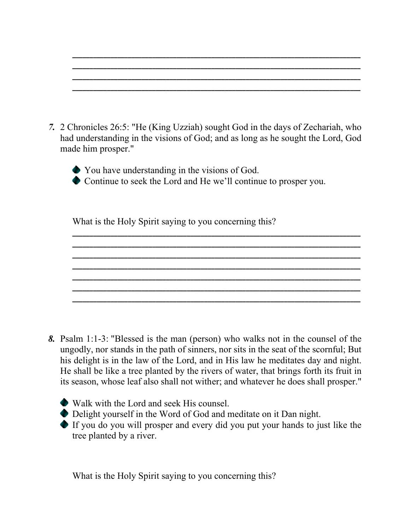|  |  | ______ |            |
|--|--|--------|------------|
|  |  |        |            |
|  |  |        | __________ |
|  |  |        |            |
|  |  |        |            |

*7.* 2 Chronicles 26:5: "He (King Uzziah) sought God in the days of Zechariah, who had understanding in the visions of God; and as long as he sought the Lord, God made him prosper."

**\_\_\_\_\_\_\_\_\_\_\_\_\_\_\_\_\_\_\_\_\_\_\_\_\_\_\_\_\_\_\_\_\_\_\_\_\_\_\_\_\_\_\_\_\_\_\_\_\_\_\_\_\_\_\_\_\_\_\_\_\_\_\_\_\_\_\_\_\_\_\_\_\_\_\_\_\_\_\_\_\_\_\_ \_\_\_\_\_\_\_\_\_\_\_\_\_\_\_\_\_\_\_\_\_\_\_\_\_\_\_\_\_\_\_\_\_\_\_\_\_\_\_\_\_\_\_\_\_\_\_\_\_\_\_\_\_\_\_\_\_\_\_\_\_\_\_\_\_\_\_\_\_\_\_\_\_\_\_\_\_\_\_\_\_\_\_ \_\_\_\_\_\_\_\_\_\_\_\_\_\_\_\_\_\_\_\_\_\_\_\_\_\_\_\_\_\_\_\_\_\_\_\_\_\_\_\_\_\_\_\_\_\_\_\_\_\_\_\_\_\_\_\_\_\_\_\_\_\_\_\_\_\_\_\_\_\_\_\_\_\_\_\_\_\_\_\_\_\_\_ \_\_\_\_\_\_\_\_\_\_\_\_\_\_\_\_\_\_\_\_\_\_\_\_\_\_\_\_\_\_\_\_\_\_\_\_\_\_\_\_\_\_\_\_\_\_\_\_\_\_\_\_\_\_\_\_\_\_\_\_\_\_\_\_\_\_\_\_\_\_\_\_\_\_\_\_\_\_\_\_\_\_\_ \_\_\_\_\_\_\_\_\_\_\_\_\_\_\_\_\_\_\_\_\_\_\_\_\_\_\_\_\_\_\_\_\_\_\_\_\_\_\_\_\_\_\_\_\_\_\_\_\_\_\_\_\_\_\_\_\_\_\_\_\_\_\_\_\_\_\_\_\_\_\_\_\_\_\_\_\_\_\_\_\_\_\_ \_\_\_\_\_\_\_\_\_\_\_\_\_\_\_\_\_\_\_\_\_\_\_\_\_\_\_\_\_\_\_\_\_\_\_\_\_\_\_\_\_\_\_\_\_\_\_\_\_\_\_\_\_\_\_\_\_\_\_\_\_\_\_\_\_\_\_\_\_\_\_\_\_\_\_\_\_\_\_\_\_\_\_ \_\_\_\_\_\_\_\_\_\_\_\_\_\_\_\_\_\_\_\_\_\_\_\_\_\_\_\_\_\_\_\_\_\_\_\_\_\_\_\_\_\_\_\_\_\_\_\_\_\_\_\_\_\_\_\_\_\_\_\_\_\_\_\_\_\_\_\_\_\_\_\_\_\_\_\_\_\_\_\_\_\_\_**

You have understanding in the visions of God. Continue to seek the Lord and He we'll continue to prosper you.

What is the Holy Spirit saying to you concerning this?

- *8.* Psalm 1:1-3: "Blessed is the man (person) who walks not in the counsel of the ungodly, nor stands in the path of sinners, nor sits in the seat of the scornful; But his delight is in the law of the Lord, and in His law he meditates day and night. He shall be like a tree planted by the rivers of water, that brings forth its fruit in its season, whose leaf also shall not wither; and whatever he does shall prosper."
	- Walk with the Lord and seek His counsel.
	- Delight yourself in the Word of God and meditate on it Dan night.
	- If you do you will prosper and every did you put your hands to just like the tree planted by a river.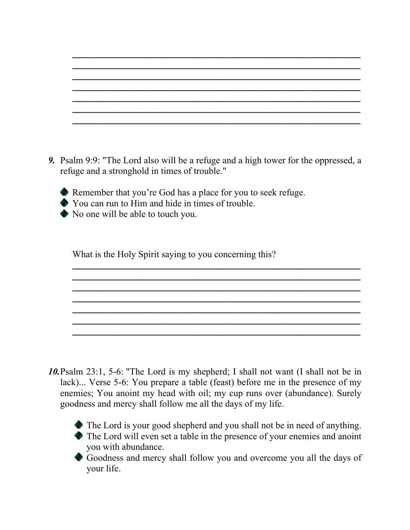*9.* Psalm 9:9: "The Lord also will be a refuge and a high tower for the oppressed, a refuge and a stronghold in times of trouble."

**\_\_\_\_\_\_\_\_\_\_\_\_\_\_\_\_\_\_\_\_\_\_\_\_\_\_\_\_\_\_\_\_\_\_\_\_\_\_\_\_\_\_\_\_\_\_\_\_\_\_\_\_\_\_\_\_\_\_\_\_\_\_\_\_\_\_\_\_\_\_\_\_\_\_\_\_\_\_\_\_\_\_\_ \_\_\_\_\_\_\_\_\_\_\_\_\_\_\_\_\_\_\_\_\_\_\_\_\_\_\_\_\_\_\_\_\_\_\_\_\_\_\_\_\_\_\_\_\_\_\_\_\_\_\_\_\_\_\_\_\_\_\_\_\_\_\_\_\_\_\_\_\_\_\_\_\_\_\_\_\_\_\_\_\_\_\_ \_\_\_\_\_\_\_\_\_\_\_\_\_\_\_\_\_\_\_\_\_\_\_\_\_\_\_\_\_\_\_\_\_\_\_\_\_\_\_\_\_\_\_\_\_\_\_\_\_\_\_\_\_\_\_\_\_\_\_\_\_\_\_\_\_\_\_\_\_\_\_\_\_\_\_\_\_\_\_\_\_\_\_ \_\_\_\_\_\_\_\_\_\_\_\_\_\_\_\_\_\_\_\_\_\_\_\_\_\_\_\_\_\_\_\_\_\_\_\_\_\_\_\_\_\_\_\_\_\_\_\_\_\_\_\_\_\_\_\_\_\_\_\_\_\_\_\_\_\_\_\_\_\_\_\_\_\_\_\_\_\_\_\_\_\_\_ \_\_\_\_\_\_\_\_\_\_\_\_\_\_\_\_\_\_\_\_\_\_\_\_\_\_\_\_\_\_\_\_\_\_\_\_\_\_\_\_\_\_\_\_\_\_\_\_\_\_\_\_\_\_\_\_\_\_\_\_\_\_\_\_\_\_\_\_\_\_\_\_\_\_\_\_\_\_\_\_\_\_\_ \_\_\_\_\_\_\_\_\_\_\_\_\_\_\_\_\_\_\_\_\_\_\_\_\_\_\_\_\_\_\_\_\_\_\_\_\_\_\_\_\_\_\_\_\_\_\_\_\_\_\_\_\_\_\_\_\_\_\_\_\_\_\_\_\_\_\_\_\_\_\_\_\_\_\_\_\_\_\_\_\_\_\_ \_\_\_\_\_\_\_\_\_\_\_\_\_\_\_\_\_\_\_\_\_\_\_\_\_\_\_\_\_\_\_\_\_\_\_\_\_\_\_\_\_\_\_\_\_\_\_\_\_\_\_\_\_\_\_\_\_\_\_\_\_\_\_\_\_\_\_\_\_\_\_\_\_\_\_\_\_\_\_\_\_\_\_**



- You can run to Him and hide in times of trouble.
- No one will be able to touch you.

What is the Holy Spirit saying to you concerning this?

*10.*Psalm 23:1, 5-6: "The Lord is my shepherd; I shall not want (I shall not be in lack)... Verse 5-6: You prepare a table (feast) before me in the presence of my enemies; You anoint my head with oil; my cup runs over (abundance). Surely goodness and mercy shall follow me all the days of my life.



The Lord is your good shepherd and you shall not be in need of anything. The Lord will even set a table in the presence of your enemies and anoint you with abundance.

Goodness and mercy shall follow you and overcome you all the days of your life.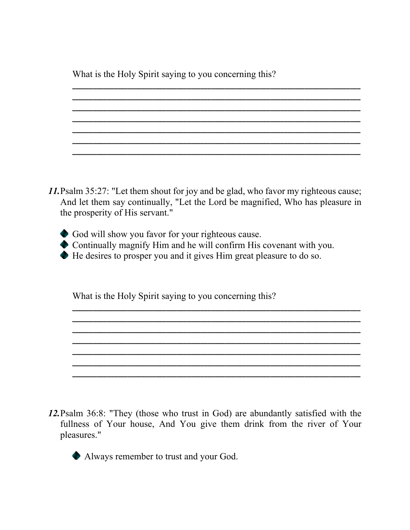What is the Holy Spirit saying to you concerning this?

*11.*Psalm 35:27: "Let them shout for joy and be glad, who favor my righteous cause; And let them say continually, "Let the Lord be magnified, Who has pleasure in the prosperity of His servant."

**\_\_\_\_\_\_\_\_\_\_\_\_\_\_\_\_\_\_\_\_\_\_\_\_\_\_\_\_\_\_\_\_\_\_\_\_\_\_\_\_\_\_\_\_\_\_\_\_\_\_\_\_\_\_\_\_\_\_\_\_\_\_\_\_\_\_\_\_\_\_\_\_\_\_\_\_\_\_\_\_\_\_\_ \_\_\_\_\_\_\_\_\_\_\_\_\_\_\_\_\_\_\_\_\_\_\_\_\_\_\_\_\_\_\_\_\_\_\_\_\_\_\_\_\_\_\_\_\_\_\_\_\_\_\_\_\_\_\_\_\_\_\_\_\_\_\_\_\_\_\_\_\_\_\_\_\_\_\_\_\_\_\_\_\_\_\_ \_\_\_\_\_\_\_\_\_\_\_\_\_\_\_\_\_\_\_\_\_\_\_\_\_\_\_\_\_\_\_\_\_\_\_\_\_\_\_\_\_\_\_\_\_\_\_\_\_\_\_\_\_\_\_\_\_\_\_\_\_\_\_\_\_\_\_\_\_\_\_\_\_\_\_\_\_\_\_\_\_\_\_ \_\_\_\_\_\_\_\_\_\_\_\_\_\_\_\_\_\_\_\_\_\_\_\_\_\_\_\_\_\_\_\_\_\_\_\_\_\_\_\_\_\_\_\_\_\_\_\_\_\_\_\_\_\_\_\_\_\_\_\_\_\_\_\_\_\_\_\_\_\_\_\_\_\_\_\_\_\_\_\_\_\_\_ \_\_\_\_\_\_\_\_\_\_\_\_\_\_\_\_\_\_\_\_\_\_\_\_\_\_\_\_\_\_\_\_\_\_\_\_\_\_\_\_\_\_\_\_\_\_\_\_\_\_\_\_\_\_\_\_\_\_\_\_\_\_\_\_\_\_\_\_\_\_\_\_\_\_\_\_\_\_\_\_\_\_\_ \_\_\_\_\_\_\_\_\_\_\_\_\_\_\_\_\_\_\_\_\_\_\_\_\_\_\_\_\_\_\_\_\_\_\_\_\_\_\_\_\_\_\_\_\_\_\_\_\_\_\_\_\_\_\_\_\_\_\_\_\_\_\_\_\_\_\_\_\_\_\_\_\_\_\_\_\_\_\_\_\_\_\_ \_\_\_\_\_\_\_\_\_\_\_\_\_\_\_\_\_\_\_\_\_\_\_\_\_\_\_\_\_\_\_\_\_\_\_\_\_\_\_\_\_\_\_\_\_\_\_\_\_\_\_\_\_\_\_\_\_\_\_\_\_\_\_\_\_\_\_\_\_\_\_\_\_\_\_\_\_\_\_\_\_\_\_**

- God will show you favor for your righteous cause.
- Continually magnify Him and he will confirm His covenant with you.

**\_\_\_\_\_\_\_\_\_\_\_\_\_\_\_\_\_\_\_\_\_\_\_\_\_\_\_\_\_\_\_\_\_\_\_\_\_\_\_\_\_\_\_\_\_\_\_\_\_\_\_\_\_\_\_\_\_\_\_\_\_\_\_\_\_\_\_\_\_\_\_\_\_\_\_\_\_\_\_\_\_\_\_ \_\_\_\_\_\_\_\_\_\_\_\_\_\_\_\_\_\_\_\_\_\_\_\_\_\_\_\_\_\_\_\_\_\_\_\_\_\_\_\_\_\_\_\_\_\_\_\_\_\_\_\_\_\_\_\_\_\_\_\_\_\_\_\_\_\_\_\_\_\_\_\_\_\_\_\_\_\_\_\_\_\_\_ \_\_\_\_\_\_\_\_\_\_\_\_\_\_\_\_\_\_\_\_\_\_\_\_\_\_\_\_\_\_\_\_\_\_\_\_\_\_\_\_\_\_\_\_\_\_\_\_\_\_\_\_\_\_\_\_\_\_\_\_\_\_\_\_\_\_\_\_\_\_\_\_\_\_\_\_\_\_\_\_\_\_\_ \_\_\_\_\_\_\_\_\_\_\_\_\_\_\_\_\_\_\_\_\_\_\_\_\_\_\_\_\_\_\_\_\_\_\_\_\_\_\_\_\_\_\_\_\_\_\_\_\_\_\_\_\_\_\_\_\_\_\_\_\_\_\_\_\_\_\_\_\_\_\_\_\_\_\_\_\_\_\_\_\_\_\_ \_\_\_\_\_\_\_\_\_\_\_\_\_\_\_\_\_\_\_\_\_\_\_\_\_\_\_\_\_\_\_\_\_\_\_\_\_\_\_\_\_\_\_\_\_\_\_\_\_\_\_\_\_\_\_\_\_\_\_\_\_\_\_\_\_\_\_\_\_\_\_\_\_\_\_\_\_\_\_\_\_\_\_ \_\_\_\_\_\_\_\_\_\_\_\_\_\_\_\_\_\_\_\_\_\_\_\_\_\_\_\_\_\_\_\_\_\_\_\_\_\_\_\_\_\_\_\_\_\_\_\_\_\_\_\_\_\_\_\_\_\_\_\_\_\_\_\_\_\_\_\_\_\_\_\_\_\_\_\_\_\_\_\_\_\_\_ \_\_\_\_\_\_\_\_\_\_\_\_\_\_\_\_\_\_\_\_\_\_\_\_\_\_\_\_\_\_\_\_\_\_\_\_\_\_\_\_\_\_\_\_\_\_\_\_\_\_\_\_\_\_\_\_\_\_\_\_\_\_\_\_\_\_\_\_\_\_\_\_\_\_\_\_\_\_\_\_\_\_\_**

He desires to prosper you and it gives Him great pleasure to do so.

What is the Holy Spirit saying to you concerning this?

*12.*Psalm 36:8: "They (those who trust in God) are abundantly satisfied with the fullness of Your house, And You give them drink from the river of Your pleasures."



Always remember to trust and your God.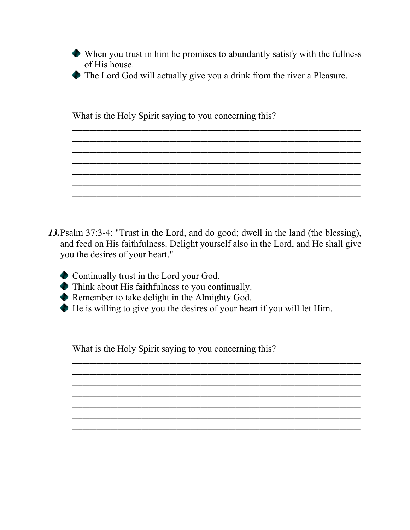When you trust in him he promises to abundantly satisfy with the fullness of His house.

**\_\_\_\_\_\_\_\_\_\_\_\_\_\_\_\_\_\_\_\_\_\_\_\_\_\_\_\_\_\_\_\_\_\_\_\_\_\_\_\_\_\_\_\_\_\_\_\_\_\_\_\_\_\_\_\_\_\_\_\_\_\_\_\_\_\_\_\_\_\_\_\_\_\_\_\_\_\_\_\_\_\_\_ \_\_\_\_\_\_\_\_\_\_\_\_\_\_\_\_\_\_\_\_\_\_\_\_\_\_\_\_\_\_\_\_\_\_\_\_\_\_\_\_\_\_\_\_\_\_\_\_\_\_\_\_\_\_\_\_\_\_\_\_\_\_\_\_\_\_\_\_\_\_\_\_\_\_\_\_\_\_\_\_\_\_\_ \_\_\_\_\_\_\_\_\_\_\_\_\_\_\_\_\_\_\_\_\_\_\_\_\_\_\_\_\_\_\_\_\_\_\_\_\_\_\_\_\_\_\_\_\_\_\_\_\_\_\_\_\_\_\_\_\_\_\_\_\_\_\_\_\_\_\_\_\_\_\_\_\_\_\_\_\_\_\_\_\_\_\_ \_\_\_\_\_\_\_\_\_\_\_\_\_\_\_\_\_\_\_\_\_\_\_\_\_\_\_\_\_\_\_\_\_\_\_\_\_\_\_\_\_\_\_\_\_\_\_\_\_\_\_\_\_\_\_\_\_\_\_\_\_\_\_\_\_\_\_\_\_\_\_\_\_\_\_\_\_\_\_\_\_\_\_ \_\_\_\_\_\_\_\_\_\_\_\_\_\_\_\_\_\_\_\_\_\_\_\_\_\_\_\_\_\_\_\_\_\_\_\_\_\_\_\_\_\_\_\_\_\_\_\_\_\_\_\_\_\_\_\_\_\_\_\_\_\_\_\_\_\_\_\_\_\_\_\_\_\_\_\_\_\_\_\_\_\_\_ \_\_\_\_\_\_\_\_\_\_\_\_\_\_\_\_\_\_\_\_\_\_\_\_\_\_\_\_\_\_\_\_\_\_\_\_\_\_\_\_\_\_\_\_\_\_\_\_\_\_\_\_\_\_\_\_\_\_\_\_\_\_\_\_\_\_\_\_\_\_\_\_\_\_\_\_\_\_\_\_\_\_\_ \_\_\_\_\_\_\_\_\_\_\_\_\_\_\_\_\_\_\_\_\_\_\_\_\_\_\_\_\_\_\_\_\_\_\_\_\_\_\_\_\_\_\_\_\_\_\_\_\_\_\_\_\_\_\_\_\_\_\_\_\_\_\_\_\_\_\_\_\_\_\_\_\_\_\_\_\_\_\_\_\_\_\_**

The Lord God will actually give you a drink from the river a Pleasure.

What is the Holy Spirit saying to you concerning this?

- *13.*Psalm 37:3-4: "Trust in the Lord, and do good; dwell in the land (the blessing), and feed on His faithfulness. Delight yourself also in the Lord, and He shall give you the desires of your heart."
	- Continually trust in the Lord your God.
	- Think about His faithfulness to you continually.
	- Remember to take delight in the Almighty God.
	- He is willing to give you the desires of your heart if you will let Him.

**\_\_\_\_\_\_\_\_\_\_\_\_\_\_\_\_\_\_\_\_\_\_\_\_\_\_\_\_\_\_\_\_\_\_\_\_\_\_\_\_\_\_\_\_\_\_\_\_\_\_\_\_\_\_\_\_\_\_\_\_\_\_\_\_\_\_\_\_\_\_\_\_\_\_\_\_\_\_\_\_\_\_\_ \_\_\_\_\_\_\_\_\_\_\_\_\_\_\_\_\_\_\_\_\_\_\_\_\_\_\_\_\_\_\_\_\_\_\_\_\_\_\_\_\_\_\_\_\_\_\_\_\_\_\_\_\_\_\_\_\_\_\_\_\_\_\_\_\_\_\_\_\_\_\_\_\_\_\_\_\_\_\_\_\_\_\_ \_\_\_\_\_\_\_\_\_\_\_\_\_\_\_\_\_\_\_\_\_\_\_\_\_\_\_\_\_\_\_\_\_\_\_\_\_\_\_\_\_\_\_\_\_\_\_\_\_\_\_\_\_\_\_\_\_\_\_\_\_\_\_\_\_\_\_\_\_\_\_\_\_\_\_\_\_\_\_\_\_\_\_ \_\_\_\_\_\_\_\_\_\_\_\_\_\_\_\_\_\_\_\_\_\_\_\_\_\_\_\_\_\_\_\_\_\_\_\_\_\_\_\_\_\_\_\_\_\_\_\_\_\_\_\_\_\_\_\_\_\_\_\_\_\_\_\_\_\_\_\_\_\_\_\_\_\_\_\_\_\_\_\_\_\_\_ \_\_\_\_\_\_\_\_\_\_\_\_\_\_\_\_\_\_\_\_\_\_\_\_\_\_\_\_\_\_\_\_\_\_\_\_\_\_\_\_\_\_\_\_\_\_\_\_\_\_\_\_\_\_\_\_\_\_\_\_\_\_\_\_\_\_\_\_\_\_\_\_\_\_\_\_\_\_\_\_\_\_\_ \_\_\_\_\_\_\_\_\_\_\_\_\_\_\_\_\_\_\_\_\_\_\_\_\_\_\_\_\_\_\_\_\_\_\_\_\_\_\_\_\_\_\_\_\_\_\_\_\_\_\_\_\_\_\_\_\_\_\_\_\_\_\_\_\_\_\_\_\_\_\_\_\_\_\_\_\_\_\_\_\_\_\_ \_\_\_\_\_\_\_\_\_\_\_\_\_\_\_\_\_\_\_\_\_\_\_\_\_\_\_\_\_\_\_\_\_\_\_\_\_\_\_\_\_\_\_\_\_\_\_\_\_\_\_\_\_\_\_\_\_\_\_\_\_\_\_\_\_\_\_\_\_\_\_\_\_\_\_\_\_\_\_\_\_\_\_**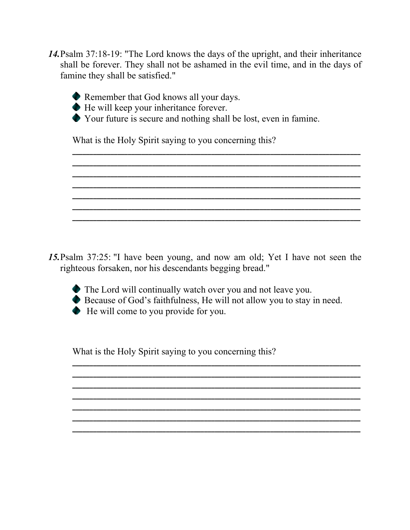*14.*Psalm 37:18-19: "The Lord knows the days of the upright, and their inheritance shall be forever. They shall not be ashamed in the evil time, and in the days of famine they shall be satisfied."



Remember that God knows all your days.

He will keep your inheritance forever.

Your future is secure and nothing shall be lost, even in famine.

**\_\_\_\_\_\_\_\_\_\_\_\_\_\_\_\_\_\_\_\_\_\_\_\_\_\_\_\_\_\_\_\_\_\_\_\_\_\_\_\_\_\_\_\_\_\_\_\_\_\_\_\_\_\_\_\_\_\_\_\_\_\_\_\_\_\_\_\_\_\_\_\_\_\_\_\_\_\_\_\_\_\_\_ \_\_\_\_\_\_\_\_\_\_\_\_\_\_\_\_\_\_\_\_\_\_\_\_\_\_\_\_\_\_\_\_\_\_\_\_\_\_\_\_\_\_\_\_\_\_\_\_\_\_\_\_\_\_\_\_\_\_\_\_\_\_\_\_\_\_\_\_\_\_\_\_\_\_\_\_\_\_\_\_\_\_\_ \_\_\_\_\_\_\_\_\_\_\_\_\_\_\_\_\_\_\_\_\_\_\_\_\_\_\_\_\_\_\_\_\_\_\_\_\_\_\_\_\_\_\_\_\_\_\_\_\_\_\_\_\_\_\_\_\_\_\_\_\_\_\_\_\_\_\_\_\_\_\_\_\_\_\_\_\_\_\_\_\_\_\_ \_\_\_\_\_\_\_\_\_\_\_\_\_\_\_\_\_\_\_\_\_\_\_\_\_\_\_\_\_\_\_\_\_\_\_\_\_\_\_\_\_\_\_\_\_\_\_\_\_\_\_\_\_\_\_\_\_\_\_\_\_\_\_\_\_\_\_\_\_\_\_\_\_\_\_\_\_\_\_\_\_\_\_ \_\_\_\_\_\_\_\_\_\_\_\_\_\_\_\_\_\_\_\_\_\_\_\_\_\_\_\_\_\_\_\_\_\_\_\_\_\_\_\_\_\_\_\_\_\_\_\_\_\_\_\_\_\_\_\_\_\_\_\_\_\_\_\_\_\_\_\_\_\_\_\_\_\_\_\_\_\_\_\_\_\_\_ \_\_\_\_\_\_\_\_\_\_\_\_\_\_\_\_\_\_\_\_\_\_\_\_\_\_\_\_\_\_\_\_\_\_\_\_\_\_\_\_\_\_\_\_\_\_\_\_\_\_\_\_\_\_\_\_\_\_\_\_\_\_\_\_\_\_\_\_\_\_\_\_\_\_\_\_\_\_\_\_\_\_\_ \_\_\_\_\_\_\_\_\_\_\_\_\_\_\_\_\_\_\_\_\_\_\_\_\_\_\_\_\_\_\_\_\_\_\_\_\_\_\_\_\_\_\_\_\_\_\_\_\_\_\_\_\_\_\_\_\_\_\_\_\_\_\_\_\_\_\_\_\_\_\_\_\_\_\_\_\_\_\_\_\_\_\_**

What is the Holy Spirit saying to you concerning this?

*15.*Psalm 37:25: "I have been young, and now am old; Yet I have not seen the righteous forsaken, nor his descendants begging bread."



The Lord will continually watch over you and not leave you. Because of God's faithfulness, He will not allow you to stay in need. He will come to you provide for you.

**\_\_\_\_\_\_\_\_\_\_\_\_\_\_\_\_\_\_\_\_\_\_\_\_\_\_\_\_\_\_\_\_\_\_\_\_\_\_\_\_\_\_\_\_\_\_\_\_\_\_\_\_\_\_\_\_\_\_\_\_\_\_\_\_\_\_\_\_\_\_\_\_\_\_\_\_\_\_\_\_\_\_\_ \_\_\_\_\_\_\_\_\_\_\_\_\_\_\_\_\_\_\_\_\_\_\_\_\_\_\_\_\_\_\_\_\_\_\_\_\_\_\_\_\_\_\_\_\_\_\_\_\_\_\_\_\_\_\_\_\_\_\_\_\_\_\_\_\_\_\_\_\_\_\_\_\_\_\_\_\_\_\_\_\_\_\_ \_\_\_\_\_\_\_\_\_\_\_\_\_\_\_\_\_\_\_\_\_\_\_\_\_\_\_\_\_\_\_\_\_\_\_\_\_\_\_\_\_\_\_\_\_\_\_\_\_\_\_\_\_\_\_\_\_\_\_\_\_\_\_\_\_\_\_\_\_\_\_\_\_\_\_\_\_\_\_\_\_\_\_**

**\_\_\_\_\_\_\_\_\_\_\_\_\_\_\_\_\_\_\_\_\_\_\_\_\_\_\_\_\_\_\_\_\_\_\_\_\_\_\_\_\_\_\_\_\_\_\_\_\_\_\_\_\_\_\_\_\_\_\_\_\_\_\_\_\_\_\_\_\_\_\_\_\_\_\_\_\_\_\_\_\_\_\_ \_\_\_\_\_\_\_\_\_\_\_\_\_\_\_\_\_\_\_\_\_\_\_\_\_\_\_\_\_\_\_\_\_\_\_\_\_\_\_\_\_\_\_\_\_\_\_\_\_\_\_\_\_\_\_\_\_\_\_\_\_\_\_\_\_\_\_\_\_\_\_\_\_\_\_\_\_\_\_\_\_\_\_ \_\_\_\_\_\_\_\_\_\_\_\_\_\_\_\_\_\_\_\_\_\_\_\_\_\_\_\_\_\_\_\_\_\_\_\_\_\_\_\_\_\_\_\_\_\_\_\_\_\_\_\_\_\_\_\_\_\_\_\_\_\_\_\_\_\_\_\_\_\_\_\_\_\_\_\_\_\_\_\_\_\_\_**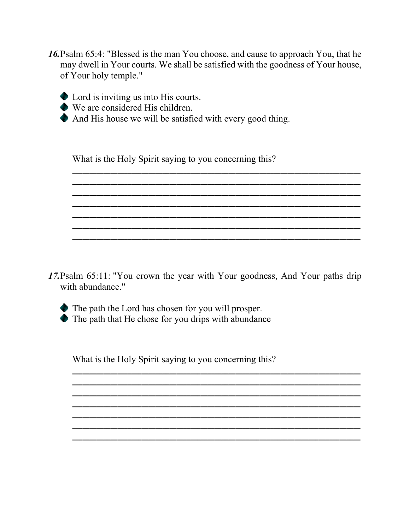- 16. Psalm 65:4: "Blessed is the man You choose, and cause to approach You, that he may dwell in Your courts. We shall be satisfied with the goodness of Your house, of Your holy temple."
	- Lord is inviting us into His courts.
	- We are considered His children.
	- And His house we will be satisfied with every good thing.

What is the Holy Spirit saying to you concerning this?

17. Psalm 65:11: "You crown the year with Your goodness, And Your paths drip with abundance."



• The path the Lord has chosen for you will prosper.

The path that He chose for you drips with abundance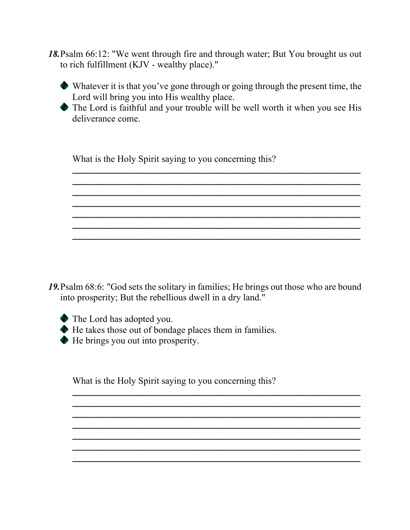- *18.*Psalm 66:12: "We went through fire and through water; But You brought us out to rich fulfillment (KJV - wealthy place)."
	- Whatever it is that you've gone through or going through the present time, the Lord will bring you into His wealthy place.
	- The Lord is faithful and your trouble will be well worth it when you see His deliverance come.

**\_\_\_\_\_\_\_\_\_\_\_\_\_\_\_\_\_\_\_\_\_\_\_\_\_\_\_\_\_\_\_\_\_\_\_\_\_\_\_\_\_\_\_\_\_\_\_\_\_\_\_\_\_\_\_\_\_\_\_\_\_\_\_\_\_\_\_\_\_\_\_\_\_\_\_\_\_\_\_\_\_\_\_ \_\_\_\_\_\_\_\_\_\_\_\_\_\_\_\_\_\_\_\_\_\_\_\_\_\_\_\_\_\_\_\_\_\_\_\_\_\_\_\_\_\_\_\_\_\_\_\_\_\_\_\_\_\_\_\_\_\_\_\_\_\_\_\_\_\_\_\_\_\_\_\_\_\_\_\_\_\_\_\_\_\_\_ \_\_\_\_\_\_\_\_\_\_\_\_\_\_\_\_\_\_\_\_\_\_\_\_\_\_\_\_\_\_\_\_\_\_\_\_\_\_\_\_\_\_\_\_\_\_\_\_\_\_\_\_\_\_\_\_\_\_\_\_\_\_\_\_\_\_\_\_\_\_\_\_\_\_\_\_\_\_\_\_\_\_\_ \_\_\_\_\_\_\_\_\_\_\_\_\_\_\_\_\_\_\_\_\_\_\_\_\_\_\_\_\_\_\_\_\_\_\_\_\_\_\_\_\_\_\_\_\_\_\_\_\_\_\_\_\_\_\_\_\_\_\_\_\_\_\_\_\_\_\_\_\_\_\_\_\_\_\_\_\_\_\_\_\_\_\_ \_\_\_\_\_\_\_\_\_\_\_\_\_\_\_\_\_\_\_\_\_\_\_\_\_\_\_\_\_\_\_\_\_\_\_\_\_\_\_\_\_\_\_\_\_\_\_\_\_\_\_\_\_\_\_\_\_\_\_\_\_\_\_\_\_\_\_\_\_\_\_\_\_\_\_\_\_\_\_\_\_\_\_ \_\_\_\_\_\_\_\_\_\_\_\_\_\_\_\_\_\_\_\_\_\_\_\_\_\_\_\_\_\_\_\_\_\_\_\_\_\_\_\_\_\_\_\_\_\_\_\_\_\_\_\_\_\_\_\_\_\_\_\_\_\_\_\_\_\_\_\_\_\_\_\_\_\_\_\_\_\_\_\_\_\_\_ \_\_\_\_\_\_\_\_\_\_\_\_\_\_\_\_\_\_\_\_\_\_\_\_\_\_\_\_\_\_\_\_\_\_\_\_\_\_\_\_\_\_\_\_\_\_\_\_\_\_\_\_\_\_\_\_\_\_\_\_\_\_\_\_\_\_\_\_\_\_\_\_\_\_\_\_\_\_\_\_\_\_\_**

What is the Holy Spirit saying to you concerning this?

*19.*Psalm 68:6: "God sets the solitary in families; He brings out those who are bound into prosperity; But the rebellious dwell in a dry land."

**\_\_\_\_\_\_\_\_\_\_\_\_\_\_\_\_\_\_\_\_\_\_\_\_\_\_\_\_\_\_\_\_\_\_\_\_\_\_\_\_\_\_\_\_\_\_\_\_\_\_\_\_\_\_\_\_\_\_\_\_\_\_\_\_\_\_\_\_\_\_\_\_\_\_\_\_\_\_\_\_\_\_\_ \_\_\_\_\_\_\_\_\_\_\_\_\_\_\_\_\_\_\_\_\_\_\_\_\_\_\_\_\_\_\_\_\_\_\_\_\_\_\_\_\_\_\_\_\_\_\_\_\_\_\_\_\_\_\_\_\_\_\_\_\_\_\_\_\_\_\_\_\_\_\_\_\_\_\_\_\_\_\_\_\_\_\_ \_\_\_\_\_\_\_\_\_\_\_\_\_\_\_\_\_\_\_\_\_\_\_\_\_\_\_\_\_\_\_\_\_\_\_\_\_\_\_\_\_\_\_\_\_\_\_\_\_\_\_\_\_\_\_\_\_\_\_\_\_\_\_\_\_\_\_\_\_\_\_\_\_\_\_\_\_\_\_\_\_\_\_ \_\_\_\_\_\_\_\_\_\_\_\_\_\_\_\_\_\_\_\_\_\_\_\_\_\_\_\_\_\_\_\_\_\_\_\_\_\_\_\_\_\_\_\_\_\_\_\_\_\_\_\_\_\_\_\_\_\_\_\_\_\_\_\_\_\_\_\_\_\_\_\_\_\_\_\_\_\_\_\_\_\_\_ \_\_\_\_\_\_\_\_\_\_\_\_\_\_\_\_\_\_\_\_\_\_\_\_\_\_\_\_\_\_\_\_\_\_\_\_\_\_\_\_\_\_\_\_\_\_\_\_\_\_\_\_\_\_\_\_\_\_\_\_\_\_\_\_\_\_\_\_\_\_\_\_\_\_\_\_\_\_\_\_\_\_\_ \_\_\_\_\_\_\_\_\_\_\_\_\_\_\_\_\_\_\_\_\_\_\_\_\_\_\_\_\_\_\_\_\_\_\_\_\_\_\_\_\_\_\_\_\_\_\_\_\_\_\_\_\_\_\_\_\_\_\_\_\_\_\_\_\_\_\_\_\_\_\_\_\_\_\_\_\_\_\_\_\_\_\_ \_\_\_\_\_\_\_\_\_\_\_\_\_\_\_\_\_\_\_\_\_\_\_\_\_\_\_\_\_\_\_\_\_\_\_\_\_\_\_\_\_\_\_\_\_\_\_\_\_\_\_\_\_\_\_\_\_\_\_\_\_\_\_\_\_\_\_\_\_\_\_\_\_\_\_\_\_\_\_\_\_\_\_**

The Lord has adopted you.

He takes those out of bondage places them in families.

He brings you out into prosperity.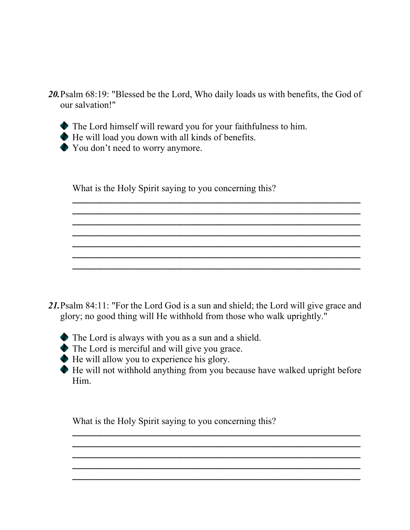*20.*Psalm 68:19: "Blessed be the Lord, Who daily loads us with benefits, the God of our salvation!"

**\_\_\_\_\_\_\_\_\_\_\_\_\_\_\_\_\_\_\_\_\_\_\_\_\_\_\_\_\_\_\_\_\_\_\_\_\_\_\_\_\_\_\_\_\_\_\_\_\_\_\_\_\_\_\_\_\_\_\_\_\_\_\_\_\_\_\_\_\_\_\_\_\_\_\_\_\_\_\_\_\_\_\_ \_\_\_\_\_\_\_\_\_\_\_\_\_\_\_\_\_\_\_\_\_\_\_\_\_\_\_\_\_\_\_\_\_\_\_\_\_\_\_\_\_\_\_\_\_\_\_\_\_\_\_\_\_\_\_\_\_\_\_\_\_\_\_\_\_\_\_\_\_\_\_\_\_\_\_\_\_\_\_\_\_\_\_ \_\_\_\_\_\_\_\_\_\_\_\_\_\_\_\_\_\_\_\_\_\_\_\_\_\_\_\_\_\_\_\_\_\_\_\_\_\_\_\_\_\_\_\_\_\_\_\_\_\_\_\_\_\_\_\_\_\_\_\_\_\_\_\_\_\_\_\_\_\_\_\_\_\_\_\_\_\_\_\_\_\_\_**

**\_\_\_\_\_\_\_\_\_\_\_\_\_\_\_\_\_\_\_\_\_\_\_\_\_\_\_\_\_\_\_\_\_\_\_\_\_\_\_\_\_\_\_\_\_\_\_\_\_\_\_\_\_\_\_\_\_\_\_\_\_\_\_\_\_\_\_\_\_\_\_\_\_\_\_\_\_\_\_\_\_\_\_ \_\_\_\_\_\_\_\_\_\_\_\_\_\_\_\_\_\_\_\_\_\_\_\_\_\_\_\_\_\_\_\_\_\_\_\_\_\_\_\_\_\_\_\_\_\_\_\_\_\_\_\_\_\_\_\_\_\_\_\_\_\_\_\_\_\_\_\_\_\_\_\_\_\_\_\_\_\_\_\_\_\_\_ \_\_\_\_\_\_\_\_\_\_\_\_\_\_\_\_\_\_\_\_\_\_\_\_\_\_\_\_\_\_\_\_\_\_\_\_\_\_\_\_\_\_\_\_\_\_\_\_\_\_\_\_\_\_\_\_\_\_\_\_\_\_\_\_\_\_\_\_\_\_\_\_\_\_\_\_\_\_\_\_\_\_\_**

**\_\_\_\_\_\_\_\_\_\_\_\_\_\_\_\_\_\_\_\_\_\_\_\_\_\_\_\_\_\_\_\_\_\_\_\_\_\_\_\_\_\_\_\_\_\_\_\_\_\_\_\_\_\_\_\_\_\_\_\_\_\_\_\_\_\_\_\_\_\_\_\_\_\_\_\_\_\_\_\_\_\_\_**

- The Lord himself will reward you for your faithfulness to him.
- He will load you down with all kinds of benefits.
- You don't need to worry anymore.

What is the Holy Spirit saying to you concerning this?

- *21.*Psalm 84:11: "For the Lord God is a sun and shield; the Lord will give grace and glory; no good thing will He withhold from those who walk uprightly."
	- The Lord is always with you as a sun and a shield.
	- The Lord is merciful and will give you grace.
	- He will allow you to experience his glory.
	- He will not withhold anything from you because have walked upright before Him.

**\_\_\_\_\_\_\_\_\_\_\_\_\_\_\_\_\_\_\_\_\_\_\_\_\_\_\_\_\_\_\_\_\_\_\_\_\_\_\_\_\_\_\_\_\_\_\_\_\_\_\_\_\_\_\_\_\_\_\_\_\_\_\_\_\_\_\_\_\_\_\_\_\_\_\_\_\_\_\_\_\_\_\_ \_\_\_\_\_\_\_\_\_\_\_\_\_\_\_\_\_\_\_\_\_\_\_\_\_\_\_\_\_\_\_\_\_\_\_\_\_\_\_\_\_\_\_\_\_\_\_\_\_\_\_\_\_\_\_\_\_\_\_\_\_\_\_\_\_\_\_\_\_\_\_\_\_\_\_\_\_\_\_\_\_\_\_ \_\_\_\_\_\_\_\_\_\_\_\_\_\_\_\_\_\_\_\_\_\_\_\_\_\_\_\_\_\_\_\_\_\_\_\_\_\_\_\_\_\_\_\_\_\_\_\_\_\_\_\_\_\_\_\_\_\_\_\_\_\_\_\_\_\_\_\_\_\_\_\_\_\_\_\_\_\_\_\_\_\_\_ \_\_\_\_\_\_\_\_\_\_\_\_\_\_\_\_\_\_\_\_\_\_\_\_\_\_\_\_\_\_\_\_\_\_\_\_\_\_\_\_\_\_\_\_\_\_\_\_\_\_\_\_\_\_\_\_\_\_\_\_\_\_\_\_\_\_\_\_\_\_\_\_\_\_\_\_\_\_\_\_\_\_\_ \_\_\_\_\_\_\_\_\_\_\_\_\_\_\_\_\_\_\_\_\_\_\_\_\_\_\_\_\_\_\_\_\_\_\_\_\_\_\_\_\_\_\_\_\_\_\_\_\_\_\_\_\_\_\_\_\_\_\_\_\_\_\_\_\_\_\_\_\_\_\_\_\_\_\_\_\_\_\_\_\_\_\_**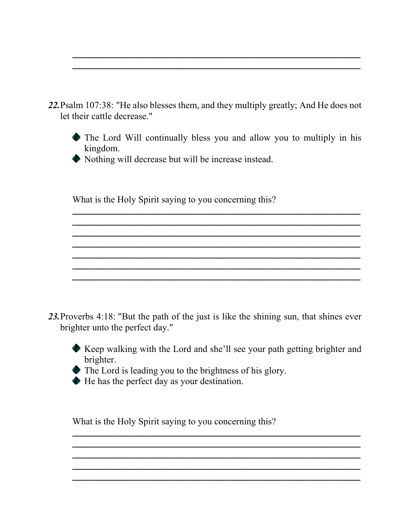*22.*Psalm 107:38: "He also blesses them, and they multiply greatly; And He does not let their cattle decrease."



**\_\_\_\_\_\_\_\_\_\_\_\_\_\_\_\_\_\_\_\_\_\_\_\_\_\_\_\_\_\_\_\_\_\_\_\_\_\_\_\_\_\_\_\_\_\_\_\_\_\_\_\_\_\_\_\_\_\_\_\_\_\_\_\_\_\_\_\_\_\_\_\_\_\_\_\_\_\_\_\_\_\_\_ \_\_\_\_\_\_\_\_\_\_\_\_\_\_\_\_\_\_\_\_\_\_\_\_\_\_\_\_\_\_\_\_\_\_\_\_\_\_\_\_\_\_\_\_\_\_\_\_\_\_\_\_\_\_\_\_\_\_\_\_\_\_\_\_\_\_\_\_\_\_\_\_\_\_\_\_\_\_\_\_\_\_\_ \_\_\_\_\_\_\_\_\_\_\_\_\_\_\_\_\_\_\_\_\_\_\_\_\_\_\_\_\_\_\_\_\_\_\_\_\_\_\_\_\_\_\_\_\_\_\_\_\_\_\_\_\_\_\_\_\_\_\_\_\_\_\_\_\_\_\_\_\_\_\_\_\_\_\_\_\_\_\_\_\_\_\_**

**\_\_\_\_\_\_\_\_\_\_\_\_\_\_\_\_\_\_\_\_\_\_\_\_\_\_\_\_\_\_\_\_\_\_\_\_\_\_\_\_\_\_\_\_\_\_\_\_\_\_\_\_\_\_\_\_\_\_\_\_\_\_\_\_\_\_\_\_\_\_\_\_\_\_\_\_\_\_\_\_\_\_\_ \_\_\_\_\_\_\_\_\_\_\_\_\_\_\_\_\_\_\_\_\_\_\_\_\_\_\_\_\_\_\_\_\_\_\_\_\_\_\_\_\_\_\_\_\_\_\_\_\_\_\_\_\_\_\_\_\_\_\_\_\_\_\_\_\_\_\_\_\_\_\_\_\_\_\_\_\_\_\_\_\_\_\_ \_\_\_\_\_\_\_\_\_\_\_\_\_\_\_\_\_\_\_\_\_\_\_\_\_\_\_\_\_\_\_\_\_\_\_\_\_\_\_\_\_\_\_\_\_\_\_\_\_\_\_\_\_\_\_\_\_\_\_\_\_\_\_\_\_\_\_\_\_\_\_\_\_\_\_\_\_\_\_\_\_\_\_**

**\_\_\_\_\_\_\_\_\_\_\_\_\_\_\_\_\_\_\_\_\_\_\_\_\_\_\_\_\_\_\_\_\_\_\_\_\_\_\_\_\_\_\_\_\_\_\_\_\_\_\_\_\_\_\_\_\_\_\_\_\_\_\_\_\_\_\_\_\_\_\_\_\_\_\_\_\_\_\_\_\_\_\_**

**\_\_\_\_\_\_\_\_\_\_\_\_\_\_\_\_\_\_\_\_\_\_\_\_\_\_\_\_\_\_\_\_\_\_\_\_\_\_\_\_\_\_\_\_\_\_\_\_\_\_\_\_\_\_\_\_\_\_\_\_\_\_\_\_\_\_\_\_\_\_\_\_\_\_\_\_\_\_\_\_\_\_\_ \_\_\_\_\_\_\_\_\_\_\_\_\_\_\_\_\_\_\_\_\_\_\_\_\_\_\_\_\_\_\_\_\_\_\_\_\_\_\_\_\_\_\_\_\_\_\_\_\_\_\_\_\_\_\_\_\_\_\_\_\_\_\_\_\_\_\_\_\_\_\_\_\_\_\_\_\_\_\_\_\_\_\_**

Nothing will decrease but will be increase instead.

What is the Holy Spirit saying to you concerning this?

23. Proverbs 4:18: "But the path of the just is like the shining sun, that shines ever brighter unto the perfect day."



Keep walking with the Lord and she'll see your path getting brighter and brighter.

**\_\_\_\_\_\_\_\_\_\_\_\_\_\_\_\_\_\_\_\_\_\_\_\_\_\_\_\_\_\_\_\_\_\_\_\_\_\_\_\_\_\_\_\_\_\_\_\_\_\_\_\_\_\_\_\_\_\_\_\_\_\_\_\_\_\_\_\_\_\_\_\_\_\_\_\_\_\_\_\_\_\_\_ \_\_\_\_\_\_\_\_\_\_\_\_\_\_\_\_\_\_\_\_\_\_\_\_\_\_\_\_\_\_\_\_\_\_\_\_\_\_\_\_\_\_\_\_\_\_\_\_\_\_\_\_\_\_\_\_\_\_\_\_\_\_\_\_\_\_\_\_\_\_\_\_\_\_\_\_\_\_\_\_\_\_\_**

**\_\_\_\_\_\_\_\_\_\_\_\_\_\_\_\_\_\_\_\_\_\_\_\_\_\_\_\_\_\_\_\_\_\_\_\_\_\_\_\_\_\_\_\_\_\_\_\_\_\_\_\_\_\_\_\_\_\_\_\_\_\_\_\_\_\_\_\_\_\_\_\_\_\_\_\_\_\_\_\_\_\_\_ \_\_\_\_\_\_\_\_\_\_\_\_\_\_\_\_\_\_\_\_\_\_\_\_\_\_\_\_\_\_\_\_\_\_\_\_\_\_\_\_\_\_\_\_\_\_\_\_\_\_\_\_\_\_\_\_\_\_\_\_\_\_\_\_\_\_\_\_\_\_\_\_\_\_\_\_\_\_\_\_\_\_\_**

**\_\_\_\_\_\_\_\_\_\_\_\_\_\_\_\_\_\_\_\_\_\_\_\_\_\_\_\_\_\_\_\_\_\_\_\_\_\_\_\_\_\_\_\_\_\_\_\_\_\_\_\_\_\_\_\_\_\_\_\_\_\_\_\_\_\_\_\_\_\_\_\_\_\_\_\_\_\_\_\_\_\_\_**

The Lord is leading you to the brightness of his glory.

He has the perfect day as your destination.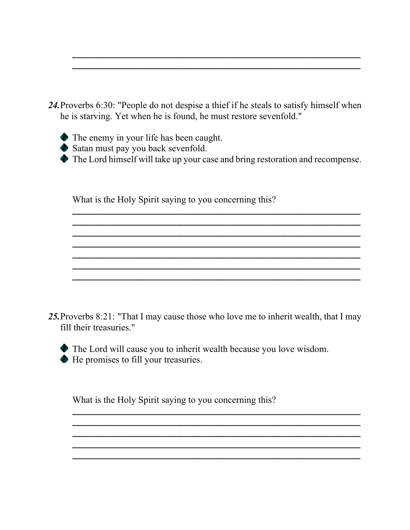24. Proverbs 6:30: "People do not despise a thief if he steals to satisfy himself when he is starving. Yet when he is found, he must restore sevenfold."

- The enemy in your life has been caught.
- Satan must pay you back sevenfold.
- The Lord himself will take up your case and bring restoration and recompense.

What is the Holy Spirit saying to you concerning this?

25. Proverbs 8:21: "That I may cause those who love me to inherit wealth, that I may fill their treasuries."

• The Lord will cause you to inherit wealth because you love wisdom. He promises to fill your treasuries.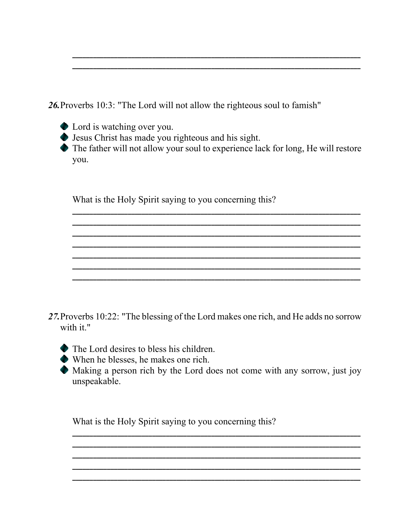26. Proverbs 10:3: "The Lord will not allow the righteous soul to famish"

- Lord is watching over you.
- Solution Jesus Christ has made you righteous and his sight.

• The father will not allow your soul to experience lack for long, He will restore you.

What is the Holy Spirit saying to you concerning this?

- 27. Proverbs 10:22: "The blessing of the Lord makes one rich, and He adds no sorrow with it."
	- $\bullet$  The Lord desires to bless his children.
	- $\blacklozenge$  When he blesses, he makes one rich.
	- Making a person rich by the Lord does not come with any sorrow, just joy unspeakable.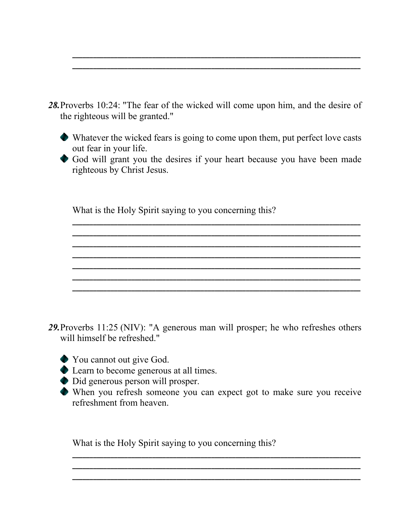*28.*Proverbs 10:24: "The fear of the wicked will come upon him, and the desire of the righteous will be granted."

**\_\_\_\_\_\_\_\_\_\_\_\_\_\_\_\_\_\_\_\_\_\_\_\_\_\_\_\_\_\_\_\_\_\_\_\_\_\_\_\_\_\_\_\_\_\_\_\_\_\_\_\_\_\_\_\_\_\_\_\_\_\_\_\_\_\_\_\_\_\_\_\_\_\_\_\_\_\_\_\_\_\_\_ \_\_\_\_\_\_\_\_\_\_\_\_\_\_\_\_\_\_\_\_\_\_\_\_\_\_\_\_\_\_\_\_\_\_\_\_\_\_\_\_\_\_\_\_\_\_\_\_\_\_\_\_\_\_\_\_\_\_\_\_\_\_\_\_\_\_\_\_\_\_\_\_\_\_\_\_\_\_\_\_\_\_\_**

- Whatever the wicked fears is going to come upon them, put perfect love casts out fear in your life.
- God will grant you the desires if your heart because you have been made righteous by Christ Jesus.

**\_\_\_\_\_\_\_\_\_\_\_\_\_\_\_\_\_\_\_\_\_\_\_\_\_\_\_\_\_\_\_\_\_\_\_\_\_\_\_\_\_\_\_\_\_\_\_\_\_\_\_\_\_\_\_\_\_\_\_\_\_\_\_\_\_\_\_\_\_\_\_\_\_\_\_\_\_\_\_\_\_\_\_ \_\_\_\_\_\_\_\_\_\_\_\_\_\_\_\_\_\_\_\_\_\_\_\_\_\_\_\_\_\_\_\_\_\_\_\_\_\_\_\_\_\_\_\_\_\_\_\_\_\_\_\_\_\_\_\_\_\_\_\_\_\_\_\_\_\_\_\_\_\_\_\_\_\_\_\_\_\_\_\_\_\_\_**

**\_\_\_\_\_\_\_\_\_\_\_\_\_\_\_\_\_\_\_\_\_\_\_\_\_\_\_\_\_\_\_\_\_\_\_\_\_\_\_\_\_\_\_\_\_\_\_\_\_\_\_\_\_\_\_\_\_\_\_\_\_\_\_\_\_\_\_\_\_\_\_\_\_\_\_\_\_\_\_\_\_\_\_ \_\_\_\_\_\_\_\_\_\_\_\_\_\_\_\_\_\_\_\_\_\_\_\_\_\_\_\_\_\_\_\_\_\_\_\_\_\_\_\_\_\_\_\_\_\_\_\_\_\_\_\_\_\_\_\_\_\_\_\_\_\_\_\_\_\_\_\_\_\_\_\_\_\_\_\_\_\_\_\_\_\_\_ \_\_\_\_\_\_\_\_\_\_\_\_\_\_\_\_\_\_\_\_\_\_\_\_\_\_\_\_\_\_\_\_\_\_\_\_\_\_\_\_\_\_\_\_\_\_\_\_\_\_\_\_\_\_\_\_\_\_\_\_\_\_\_\_\_\_\_\_\_\_\_\_\_\_\_\_\_\_\_\_\_\_\_ \_\_\_\_\_\_\_\_\_\_\_\_\_\_\_\_\_\_\_\_\_\_\_\_\_\_\_\_\_\_\_\_\_\_\_\_\_\_\_\_\_\_\_\_\_\_\_\_\_\_\_\_\_\_\_\_\_\_\_\_\_\_\_\_\_\_\_\_\_\_\_\_\_\_\_\_\_\_\_\_\_\_\_**

**\_\_\_\_\_\_\_\_\_\_\_\_\_\_\_\_\_\_\_\_\_\_\_\_\_\_\_\_\_\_\_\_\_\_\_\_\_\_\_\_\_\_\_\_\_\_\_\_\_\_\_\_\_\_\_\_\_\_\_\_\_\_\_\_\_\_\_\_\_\_\_\_\_\_\_\_\_\_\_\_\_\_\_**

What is the Holy Spirit saying to you concerning this?

- *29.*Proverbs 11:25 (NIV): "A generous man will prosper; he who refreshes others will himself be refreshed."
	- You cannot out give God.
	- ◆ Learn to become generous at all times.
	- Did generous person will prosper.
	- When you refresh someone you can expect got to make sure you receive refreshment from heaven.

**\_\_\_\_\_\_\_\_\_\_\_\_\_\_\_\_\_\_\_\_\_\_\_\_\_\_\_\_\_\_\_\_\_\_\_\_\_\_\_\_\_\_\_\_\_\_\_\_\_\_\_\_\_\_\_\_\_\_\_\_\_\_\_\_\_\_\_\_\_\_\_\_\_\_\_\_\_\_\_\_\_\_\_ \_\_\_\_\_\_\_\_\_\_\_\_\_\_\_\_\_\_\_\_\_\_\_\_\_\_\_\_\_\_\_\_\_\_\_\_\_\_\_\_\_\_\_\_\_\_\_\_\_\_\_\_\_\_\_\_\_\_\_\_\_\_\_\_\_\_\_\_\_\_\_\_\_\_\_\_\_\_\_\_\_\_\_ \_\_\_\_\_\_\_\_\_\_\_\_\_\_\_\_\_\_\_\_\_\_\_\_\_\_\_\_\_\_\_\_\_\_\_\_\_\_\_\_\_\_\_\_\_\_\_\_\_\_\_\_\_\_\_\_\_\_\_\_\_\_\_\_\_\_\_\_\_\_\_\_\_\_\_\_\_\_\_\_\_\_\_**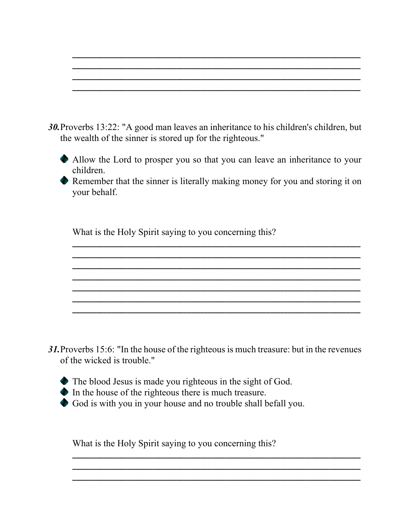- *30.*Proverbs 13:22: "A good man leaves an inheritance to his children's children, but the wealth of the sinner is stored up for the righteous."
	- Allow the Lord to prosper you so that you can leave an inheritance to your children.

**\_\_\_\_\_\_\_\_\_\_\_\_\_\_\_\_\_\_\_\_\_\_\_\_\_\_\_\_\_\_\_\_\_\_\_\_\_\_\_\_\_\_\_\_\_\_\_\_\_\_\_\_\_\_\_\_\_\_\_\_\_\_\_\_\_\_\_\_\_\_\_\_\_\_\_\_\_\_\_\_\_\_\_ \_\_\_\_\_\_\_\_\_\_\_\_\_\_\_\_\_\_\_\_\_\_\_\_\_\_\_\_\_\_\_\_\_\_\_\_\_\_\_\_\_\_\_\_\_\_\_\_\_\_\_\_\_\_\_\_\_\_\_\_\_\_\_\_\_\_\_\_\_\_\_\_\_\_\_\_\_\_\_\_\_\_\_ \_\_\_\_\_\_\_\_\_\_\_\_\_\_\_\_\_\_\_\_\_\_\_\_\_\_\_\_\_\_\_\_\_\_\_\_\_\_\_\_\_\_\_\_\_\_\_\_\_\_\_\_\_\_\_\_\_\_\_\_\_\_\_\_\_\_\_\_\_\_\_\_\_\_\_\_\_\_\_\_\_\_\_ \_\_\_\_\_\_\_\_\_\_\_\_\_\_\_\_\_\_\_\_\_\_\_\_\_\_\_\_\_\_\_\_\_\_\_\_\_\_\_\_\_\_\_\_\_\_\_\_\_\_\_\_\_\_\_\_\_\_\_\_\_\_\_\_\_\_\_\_\_\_\_\_\_\_\_\_\_\_\_\_\_\_\_**

Remember that the sinner is literally making money for you and storing it on your behalf.

**\_\_\_\_\_\_\_\_\_\_\_\_\_\_\_\_\_\_\_\_\_\_\_\_\_\_\_\_\_\_\_\_\_\_\_\_\_\_\_\_\_\_\_\_\_\_\_\_\_\_\_\_\_\_\_\_\_\_\_\_\_\_\_\_\_\_\_\_\_\_\_\_\_\_\_\_\_\_\_\_\_\_\_ \_\_\_\_\_\_\_\_\_\_\_\_\_\_\_\_\_\_\_\_\_\_\_\_\_\_\_\_\_\_\_\_\_\_\_\_\_\_\_\_\_\_\_\_\_\_\_\_\_\_\_\_\_\_\_\_\_\_\_\_\_\_\_\_\_\_\_\_\_\_\_\_\_\_\_\_\_\_\_\_\_\_\_ \_\_\_\_\_\_\_\_\_\_\_\_\_\_\_\_\_\_\_\_\_\_\_\_\_\_\_\_\_\_\_\_\_\_\_\_\_\_\_\_\_\_\_\_\_\_\_\_\_\_\_\_\_\_\_\_\_\_\_\_\_\_\_\_\_\_\_\_\_\_\_\_\_\_\_\_\_\_\_\_\_\_\_ \_\_\_\_\_\_\_\_\_\_\_\_\_\_\_\_\_\_\_\_\_\_\_\_\_\_\_\_\_\_\_\_\_\_\_\_\_\_\_\_\_\_\_\_\_\_\_\_\_\_\_\_\_\_\_\_\_\_\_\_\_\_\_\_\_\_\_\_\_\_\_\_\_\_\_\_\_\_\_\_\_\_\_ \_\_\_\_\_\_\_\_\_\_\_\_\_\_\_\_\_\_\_\_\_\_\_\_\_\_\_\_\_\_\_\_\_\_\_\_\_\_\_\_\_\_\_\_\_\_\_\_\_\_\_\_\_\_\_\_\_\_\_\_\_\_\_\_\_\_\_\_\_\_\_\_\_\_\_\_\_\_\_\_\_\_\_ \_\_\_\_\_\_\_\_\_\_\_\_\_\_\_\_\_\_\_\_\_\_\_\_\_\_\_\_\_\_\_\_\_\_\_\_\_\_\_\_\_\_\_\_\_\_\_\_\_\_\_\_\_\_\_\_\_\_\_\_\_\_\_\_\_\_\_\_\_\_\_\_\_\_\_\_\_\_\_\_\_\_\_ \_\_\_\_\_\_\_\_\_\_\_\_\_\_\_\_\_\_\_\_\_\_\_\_\_\_\_\_\_\_\_\_\_\_\_\_\_\_\_\_\_\_\_\_\_\_\_\_\_\_\_\_\_\_\_\_\_\_\_\_\_\_\_\_\_\_\_\_\_\_\_\_\_\_\_\_\_\_\_\_\_\_\_**

What is the Holy Spirit saying to you concerning this?

*31.*Proverbs 15:6: "In the house of the righteous is much treasure: but in the revenues of the wicked is trouble."

**\_\_\_\_\_\_\_\_\_\_\_\_\_\_\_\_\_\_\_\_\_\_\_\_\_\_\_\_\_\_\_\_\_\_\_\_\_\_\_\_\_\_\_\_\_\_\_\_\_\_\_\_\_\_\_\_\_\_\_\_\_\_\_\_\_\_\_\_\_\_\_\_\_\_\_\_\_\_\_\_\_\_\_ \_\_\_\_\_\_\_\_\_\_\_\_\_\_\_\_\_\_\_\_\_\_\_\_\_\_\_\_\_\_\_\_\_\_\_\_\_\_\_\_\_\_\_\_\_\_\_\_\_\_\_\_\_\_\_\_\_\_\_\_\_\_\_\_\_\_\_\_\_\_\_\_\_\_\_\_\_\_\_\_\_\_\_ \_\_\_\_\_\_\_\_\_\_\_\_\_\_\_\_\_\_\_\_\_\_\_\_\_\_\_\_\_\_\_\_\_\_\_\_\_\_\_\_\_\_\_\_\_\_\_\_\_\_\_\_\_\_\_\_\_\_\_\_\_\_\_\_\_\_\_\_\_\_\_\_\_\_\_\_\_\_\_\_\_\_\_**

- The blood Jesus is made you righteous in the sight of God.
- In the house of the righteous there is much treasure.
- God is with you in your house and no trouble shall befall you.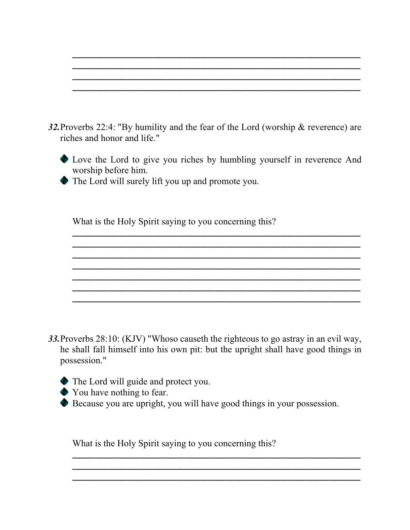| 32. Proverbs 22:4: "By humility and the fear of the Lord (worship $\&$ reverence) are |  |  |  |
|---------------------------------------------------------------------------------------|--|--|--|
| riches and honor and life."                                                           |  |  |  |



**\_\_\_\_\_\_\_\_\_\_\_\_\_\_\_\_\_\_\_\_\_\_\_\_\_\_\_\_\_\_\_\_\_\_\_\_\_\_\_\_\_\_\_\_\_\_\_\_\_\_\_\_\_\_\_\_\_\_\_\_\_\_\_\_\_\_\_\_\_\_\_\_\_\_\_\_\_\_\_\_\_\_\_ \_\_\_\_\_\_\_\_\_\_\_\_\_\_\_\_\_\_\_\_\_\_\_\_\_\_\_\_\_\_\_\_\_\_\_\_\_\_\_\_\_\_\_\_\_\_\_\_\_\_\_\_\_\_\_\_\_\_\_\_\_\_\_\_\_\_\_\_\_\_\_\_\_\_\_\_\_\_\_\_\_\_\_ \_\_\_\_\_\_\_\_\_\_\_\_\_\_\_\_\_\_\_\_\_\_\_\_\_\_\_\_\_\_\_\_\_\_\_\_\_\_\_\_\_\_\_\_\_\_\_\_\_\_\_\_\_\_\_\_\_\_\_\_\_\_\_\_\_\_\_\_\_\_\_\_\_\_\_\_\_\_\_\_\_\_\_ \_\_\_\_\_\_\_\_\_\_\_\_\_\_\_\_\_\_\_\_\_\_\_\_\_\_\_\_\_\_\_\_\_\_\_\_\_\_\_\_\_\_\_\_\_\_\_\_\_\_\_\_\_\_\_\_\_\_\_\_\_\_\_\_\_\_\_\_\_\_\_\_\_\_\_\_\_\_\_\_\_\_\_**

**\_\_\_\_\_\_\_\_\_\_\_\_\_\_\_\_\_\_\_\_\_\_\_\_\_\_\_\_\_\_\_\_\_\_\_\_\_\_\_\_\_\_\_\_\_\_\_\_\_\_\_\_\_\_\_\_\_\_\_\_\_\_\_\_\_\_\_\_\_\_\_\_\_\_\_\_\_\_\_\_\_\_\_ \_\_\_\_\_\_\_\_\_\_\_\_\_\_\_\_\_\_\_\_\_\_\_\_\_\_\_\_\_\_\_\_\_\_\_\_\_\_\_\_\_\_\_\_\_\_\_\_\_\_\_\_\_\_\_\_\_\_\_\_\_\_\_\_\_\_\_\_\_\_\_\_\_\_\_\_\_\_\_\_\_\_\_**

**\_\_\_\_\_\_\_\_\_\_\_\_\_\_\_\_\_\_\_\_\_\_\_\_\_\_\_\_\_\_\_\_\_\_\_\_\_\_\_\_\_\_\_\_\_\_\_\_\_\_\_\_\_\_\_\_\_\_\_\_\_\_\_\_\_\_\_\_\_\_\_\_\_\_\_\_\_\_\_\_\_\_\_**

**\_\_\_\_\_\_\_\_\_\_\_\_\_\_\_\_\_\_\_\_\_\_\_\_\_\_\_\_\_\_\_\_\_\_\_\_\_\_\_\_\_\_\_\_\_\_\_\_\_\_\_\_\_\_\_\_\_\_\_\_\_\_\_\_\_\_\_\_\_\_\_\_\_\_\_\_\_\_\_\_\_\_\_**

**\_\_\_\_\_\_\_\_\_\_\_\_\_\_\_\_\_\_\_\_\_\_\_\_\_\_\_\_\_\_\_\_\_\_\_\_\_\_\_\_\_\_\_\_\_\_\_\_\_\_\_\_\_\_\_\_\_\_\_\_\_\_\_\_\_\_\_\_\_\_\_\_\_\_\_\_\_\_\_\_\_\_\_ \_\_\_\_\_\_\_\_\_\_\_\_\_\_\_\_\_\_\_\_\_\_\_\_\_\_\_\_\_\_\_\_\_\_\_\_\_\_\_\_\_\_\_\_\_\_\_\_\_\_\_\_\_\_\_\_\_\_\_\_\_\_\_\_\_\_\_\_\_\_\_\_\_\_\_\_\_\_\_\_\_\_\_ \_\_\_\_\_\_\_\_\_\_\_\_\_\_\_\_\_\_\_\_\_\_\_\_\_\_\_\_\_\_\_\_\_\_\_\_\_\_\_\_\_\_\_\_\_\_\_\_\_\_\_\_\_\_\_\_\_\_\_\_\_\_\_\_\_\_\_\_\_\_\_\_\_\_\_\_\_\_\_\_\_\_\_ \_\_\_\_\_\_\_\_\_\_\_\_\_\_\_\_\_\_\_\_\_\_\_\_\_\_\_\_\_\_\_\_\_\_\_\_\_\_\_\_\_\_\_\_\_\_\_\_\_\_\_\_\_\_\_\_\_\_\_\_\_\_\_\_\_\_\_\_\_\_\_\_\_\_\_\_\_\_\_\_\_\_\_**

The Lord will surely lift you up and promote you.

What is the Holy Spirit saying to you concerning this?

*33.*Proverbs 28:10: (KJV) "Whoso causeth the righteous to go astray in an evil way, he shall fall himself into his own pit: but the upright shall have good things in possession."

- The Lord will guide and protect you.
- You have nothing to fear.
- Because you are upright, you will have good things in your possession.

**\_\_\_\_\_\_\_\_\_\_\_\_\_\_\_\_\_\_\_\_\_\_\_\_\_\_\_\_\_\_\_\_\_\_\_\_\_\_\_\_\_\_\_\_\_\_\_\_\_\_\_\_\_\_\_\_\_\_\_\_\_\_\_\_\_\_\_\_\_\_\_\_\_\_\_\_\_\_\_\_\_\_\_ \_\_\_\_\_\_\_\_\_\_\_\_\_\_\_\_\_\_\_\_\_\_\_\_\_\_\_\_\_\_\_\_\_\_\_\_\_\_\_\_\_\_\_\_\_\_\_\_\_\_\_\_\_\_\_\_\_\_\_\_\_\_\_\_\_\_\_\_\_\_\_\_\_\_\_\_\_\_\_\_\_\_\_**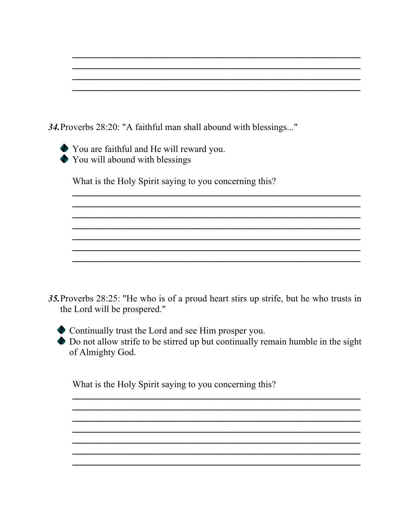34. Proverbs 28:20: "A faithful man shall abound with blessings..."

◆ You are faithful and He will reward you. You will abound with blessings

What is the Holy Spirit saying to you concerning this?

35. Proverbs 28:25: "He who is of a proud heart stirs up strife, but he who trusts in the Lord will be prospered."

• Continually trust the Lord and see Him prosper you.

 $\bullet$  Do not allow strife to be stirred up but continually remain humble in the sight of Almighty God.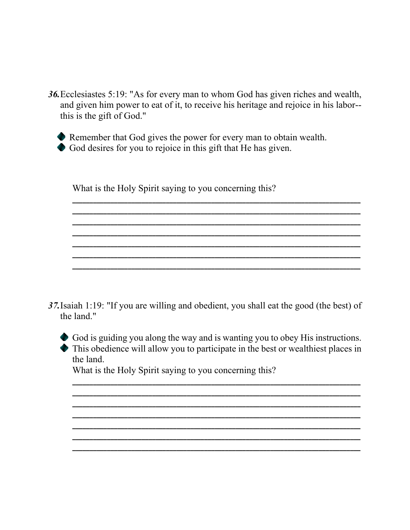*36.*Ecclesiastes 5:19: "As for every man to whom God has given riches and wealth, and given him power to eat of it, to receive his heritage and rejoice in his labor- this is the gift of God."

**\_\_\_\_\_\_\_\_\_\_\_\_\_\_\_\_\_\_\_\_\_\_\_\_\_\_\_\_\_\_\_\_\_\_\_\_\_\_\_\_\_\_\_\_\_\_\_\_\_\_\_\_\_\_\_\_\_\_\_\_\_\_\_\_\_\_\_\_\_\_\_\_\_\_\_\_\_\_\_\_\_\_\_ \_\_\_\_\_\_\_\_\_\_\_\_\_\_\_\_\_\_\_\_\_\_\_\_\_\_\_\_\_\_\_\_\_\_\_\_\_\_\_\_\_\_\_\_\_\_\_\_\_\_\_\_\_\_\_\_\_\_\_\_\_\_\_\_\_\_\_\_\_\_\_\_\_\_\_\_\_\_\_\_\_\_\_ \_\_\_\_\_\_\_\_\_\_\_\_\_\_\_\_\_\_\_\_\_\_\_\_\_\_\_\_\_\_\_\_\_\_\_\_\_\_\_\_\_\_\_\_\_\_\_\_\_\_\_\_\_\_\_\_\_\_\_\_\_\_\_\_\_\_\_\_\_\_\_\_\_\_\_\_\_\_\_\_\_\_\_**

**\_\_\_\_\_\_\_\_\_\_\_\_\_\_\_\_\_\_\_\_\_\_\_\_\_\_\_\_\_\_\_\_\_\_\_\_\_\_\_\_\_\_\_\_\_\_\_\_\_\_\_\_\_\_\_\_\_\_\_\_\_\_\_\_\_\_\_\_\_\_\_\_\_\_\_\_\_\_\_\_\_\_\_ \_\_\_\_\_\_\_\_\_\_\_\_\_\_\_\_\_\_\_\_\_\_\_\_\_\_\_\_\_\_\_\_\_\_\_\_\_\_\_\_\_\_\_\_\_\_\_\_\_\_\_\_\_\_\_\_\_\_\_\_\_\_\_\_\_\_\_\_\_\_\_\_\_\_\_\_\_\_\_\_\_\_\_**

**\_\_\_\_\_\_\_\_\_\_\_\_\_\_\_\_\_\_\_\_\_\_\_\_\_\_\_\_\_\_\_\_\_\_\_\_\_\_\_\_\_\_\_\_\_\_\_\_\_\_\_\_\_\_\_\_\_\_\_\_\_\_\_\_\_\_\_\_\_\_\_\_\_\_\_\_\_\_\_\_\_\_\_**

**\_\_\_\_\_\_\_\_\_\_\_\_\_\_\_\_\_\_\_\_\_\_\_\_\_\_\_\_\_\_\_\_\_\_\_\_\_\_\_\_\_\_\_\_\_\_\_\_\_\_\_\_\_\_\_\_\_\_\_\_\_\_\_\_\_\_\_\_\_\_\_\_\_\_\_\_\_\_\_\_\_\_\_**



Remember that God gives the power for every man to obtain wealth.

God desires for you to rejoice in this gift that He has given.

What is the Holy Spirit saying to you concerning this?

*37.*Isaiah 1:19: "If you are willing and obedient, you shall eat the good (the best) of the land."



God is guiding you along the way and is wanting you to obey His instructions. This obedience will allow you to participate in the best or wealthiest places in the land.

**\_\_\_\_\_\_\_\_\_\_\_\_\_\_\_\_\_\_\_\_\_\_\_\_\_\_\_\_\_\_\_\_\_\_\_\_\_\_\_\_\_\_\_\_\_\_\_\_\_\_\_\_\_\_\_\_\_\_\_\_\_\_\_\_\_\_\_\_\_\_\_\_\_\_\_\_\_\_\_\_\_\_\_**

**\_\_\_\_\_\_\_\_\_\_\_\_\_\_\_\_\_\_\_\_\_\_\_\_\_\_\_\_\_\_\_\_\_\_\_\_\_\_\_\_\_\_\_\_\_\_\_\_\_\_\_\_\_\_\_\_\_\_\_\_\_\_\_\_\_\_\_\_\_\_\_\_\_\_\_\_\_\_\_\_\_\_\_ \_\_\_\_\_\_\_\_\_\_\_\_\_\_\_\_\_\_\_\_\_\_\_\_\_\_\_\_\_\_\_\_\_\_\_\_\_\_\_\_\_\_\_\_\_\_\_\_\_\_\_\_\_\_\_\_\_\_\_\_\_\_\_\_\_\_\_\_\_\_\_\_\_\_\_\_\_\_\_\_\_\_\_ \_\_\_\_\_\_\_\_\_\_\_\_\_\_\_\_\_\_\_\_\_\_\_\_\_\_\_\_\_\_\_\_\_\_\_\_\_\_\_\_\_\_\_\_\_\_\_\_\_\_\_\_\_\_\_\_\_\_\_\_\_\_\_\_\_\_\_\_\_\_\_\_\_\_\_\_\_\_\_\_\_\_\_ \_\_\_\_\_\_\_\_\_\_\_\_\_\_\_\_\_\_\_\_\_\_\_\_\_\_\_\_\_\_\_\_\_\_\_\_\_\_\_\_\_\_\_\_\_\_\_\_\_\_\_\_\_\_\_\_\_\_\_\_\_\_\_\_\_\_\_\_\_\_\_\_\_\_\_\_\_\_\_\_\_\_\_ \_\_\_\_\_\_\_\_\_\_\_\_\_\_\_\_\_\_\_\_\_\_\_\_\_\_\_\_\_\_\_\_\_\_\_\_\_\_\_\_\_\_\_\_\_\_\_\_\_\_\_\_\_\_\_\_\_\_\_\_\_\_\_\_\_\_\_\_\_\_\_\_\_\_\_\_\_\_\_\_\_\_\_ \_\_\_\_\_\_\_\_\_\_\_\_\_\_\_\_\_\_\_\_\_\_\_\_\_\_\_\_\_\_\_\_\_\_\_\_\_\_\_\_\_\_\_\_\_\_\_\_\_\_\_\_\_\_\_\_\_\_\_\_\_\_\_\_\_\_\_\_\_\_\_\_\_\_\_\_\_\_\_\_\_\_\_**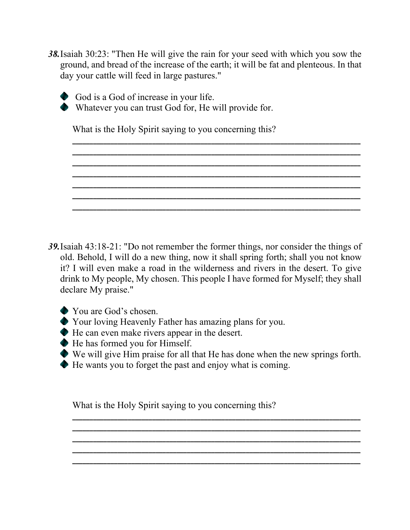*38.*Isaiah 30:23: "Then He will give the rain for your seed with which you sow the ground, and bread of the increase of the earth; it will be fat and plenteous. In that day your cattle will feed in large pastures."

**\_\_\_\_\_\_\_\_\_\_\_\_\_\_\_\_\_\_\_\_\_\_\_\_\_\_\_\_\_\_\_\_\_\_\_\_\_\_\_\_\_\_\_\_\_\_\_\_\_\_\_\_\_\_\_\_\_\_\_\_\_\_\_\_\_\_\_\_\_\_\_\_\_\_\_\_\_\_\_\_\_\_\_ \_\_\_\_\_\_\_\_\_\_\_\_\_\_\_\_\_\_\_\_\_\_\_\_\_\_\_\_\_\_\_\_\_\_\_\_\_\_\_\_\_\_\_\_\_\_\_\_\_\_\_\_\_\_\_\_\_\_\_\_\_\_\_\_\_\_\_\_\_\_\_\_\_\_\_\_\_\_\_\_\_\_\_**

**\_\_\_\_\_\_\_\_\_\_\_\_\_\_\_\_\_\_\_\_\_\_\_\_\_\_\_\_\_\_\_\_\_\_\_\_\_\_\_\_\_\_\_\_\_\_\_\_\_\_\_\_\_\_\_\_\_\_\_\_\_\_\_\_\_\_\_\_\_\_\_\_\_\_\_\_\_\_\_\_\_\_\_ \_\_\_\_\_\_\_\_\_\_\_\_\_\_\_\_\_\_\_\_\_\_\_\_\_\_\_\_\_\_\_\_\_\_\_\_\_\_\_\_\_\_\_\_\_\_\_\_\_\_\_\_\_\_\_\_\_\_\_\_\_\_\_\_\_\_\_\_\_\_\_\_\_\_\_\_\_\_\_\_\_\_\_ \_\_\_\_\_\_\_\_\_\_\_\_\_\_\_\_\_\_\_\_\_\_\_\_\_\_\_\_\_\_\_\_\_\_\_\_\_\_\_\_\_\_\_\_\_\_\_\_\_\_\_\_\_\_\_\_\_\_\_\_\_\_\_\_\_\_\_\_\_\_\_\_\_\_\_\_\_\_\_\_\_\_\_ \_\_\_\_\_\_\_\_\_\_\_\_\_\_\_\_\_\_\_\_\_\_\_\_\_\_\_\_\_\_\_\_\_\_\_\_\_\_\_\_\_\_\_\_\_\_\_\_\_\_\_\_\_\_\_\_\_\_\_\_\_\_\_\_\_\_\_\_\_\_\_\_\_\_\_\_\_\_\_\_\_\_\_**

**\_\_\_\_\_\_\_\_\_\_\_\_\_\_\_\_\_\_\_\_\_\_\_\_\_\_\_\_\_\_\_\_\_\_\_\_\_\_\_\_\_\_\_\_\_\_\_\_\_\_\_\_\_\_\_\_\_\_\_\_\_\_\_\_\_\_\_\_\_\_\_\_\_\_\_\_\_\_\_\_\_\_\_**

God is a God of increase in your life.

Whatever you can trust God for, He will provide for.

What is the Holy Spirit saying to you concerning this?

*39.*Isaiah 43:18-21: "Do not remember the former things, nor consider the things of old. Behold, I will do a new thing, now it shall spring forth; shall you not know it? I will even make a road in the wilderness and rivers in the desert. To give drink to My people, My chosen. This people I have formed for Myself; they shall declare My praise."

- You are God's chosen.
- Your loving Heavenly Father has amazing plans for you.
- He can even make rivers appear in the desert.
- He has formed you for Himself.
- We will give Him praise for all that He has done when the new springs forth.

**\_\_\_\_\_\_\_\_\_\_\_\_\_\_\_\_\_\_\_\_\_\_\_\_\_\_\_\_\_\_\_\_\_\_\_\_\_\_\_\_\_\_\_\_\_\_\_\_\_\_\_\_\_\_\_\_\_\_\_\_\_\_\_\_\_\_\_\_\_\_\_\_\_\_\_\_\_\_\_\_\_\_\_ \_\_\_\_\_\_\_\_\_\_\_\_\_\_\_\_\_\_\_\_\_\_\_\_\_\_\_\_\_\_\_\_\_\_\_\_\_\_\_\_\_\_\_\_\_\_\_\_\_\_\_\_\_\_\_\_\_\_\_\_\_\_\_\_\_\_\_\_\_\_\_\_\_\_\_\_\_\_\_\_\_\_\_ \_\_\_\_\_\_\_\_\_\_\_\_\_\_\_\_\_\_\_\_\_\_\_\_\_\_\_\_\_\_\_\_\_\_\_\_\_\_\_\_\_\_\_\_\_\_\_\_\_\_\_\_\_\_\_\_\_\_\_\_\_\_\_\_\_\_\_\_\_\_\_\_\_\_\_\_\_\_\_\_\_\_\_ \_\_\_\_\_\_\_\_\_\_\_\_\_\_\_\_\_\_\_\_\_\_\_\_\_\_\_\_\_\_\_\_\_\_\_\_\_\_\_\_\_\_\_\_\_\_\_\_\_\_\_\_\_\_\_\_\_\_\_\_\_\_\_\_\_\_\_\_\_\_\_\_\_\_\_\_\_\_\_\_\_\_\_ \_\_\_\_\_\_\_\_\_\_\_\_\_\_\_\_\_\_\_\_\_\_\_\_\_\_\_\_\_\_\_\_\_\_\_\_\_\_\_\_\_\_\_\_\_\_\_\_\_\_\_\_\_\_\_\_\_\_\_\_\_\_\_\_\_\_\_\_\_\_\_\_\_\_\_\_\_\_\_\_\_\_\_**

He wants you to forget the past and enjoy what is coming.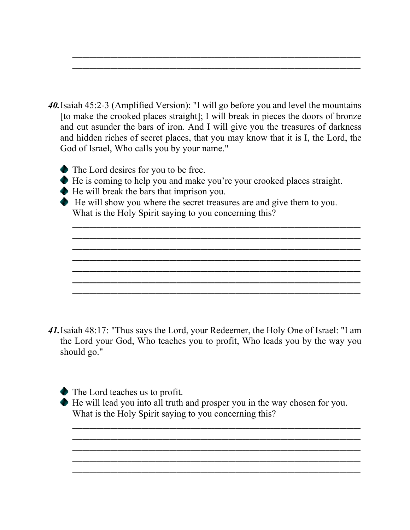*40.*Isaiah 45:2-3 (Amplified Version): "I will go before you and level the mountains [to make the crooked places straight]; I will break in pieces the doors of bronze and cut asunder the bars of iron. And I will give you the treasures of darkness and hidden riches of secret places, that you may know that it is I, the Lord, the God of Israel, Who calls you by your name."

**\_\_\_\_\_\_\_\_\_\_\_\_\_\_\_\_\_\_\_\_\_\_\_\_\_\_\_\_\_\_\_\_\_\_\_\_\_\_\_\_\_\_\_\_\_\_\_\_\_\_\_\_\_\_\_\_\_\_\_\_\_\_\_\_\_\_\_\_\_\_\_\_\_\_\_\_\_\_\_\_\_\_\_ \_\_\_\_\_\_\_\_\_\_\_\_\_\_\_\_\_\_\_\_\_\_\_\_\_\_\_\_\_\_\_\_\_\_\_\_\_\_\_\_\_\_\_\_\_\_\_\_\_\_\_\_\_\_\_\_\_\_\_\_\_\_\_\_\_\_\_\_\_\_\_\_\_\_\_\_\_\_\_\_\_\_\_**

- The Lord desires for you to be free.
- He is coming to help you and make you're your crooked places straight.
- He will break the bars that imprison you.
- He will show you where the secret treasures are and give them to you. What is the Holy Spirit saying to you concerning this?

**\_\_\_\_\_\_\_\_\_\_\_\_\_\_\_\_\_\_\_\_\_\_\_\_\_\_\_\_\_\_\_\_\_\_\_\_\_\_\_\_\_\_\_\_\_\_\_\_\_\_\_\_\_\_\_\_\_\_\_\_\_\_\_\_\_\_\_\_\_\_\_\_\_\_\_\_\_\_\_\_\_\_\_ \_\_\_\_\_\_\_\_\_\_\_\_\_\_\_\_\_\_\_\_\_\_\_\_\_\_\_\_\_\_\_\_\_\_\_\_\_\_\_\_\_\_\_\_\_\_\_\_\_\_\_\_\_\_\_\_\_\_\_\_\_\_\_\_\_\_\_\_\_\_\_\_\_\_\_\_\_\_\_\_\_\_\_ \_\_\_\_\_\_\_\_\_\_\_\_\_\_\_\_\_\_\_\_\_\_\_\_\_\_\_\_\_\_\_\_\_\_\_\_\_\_\_\_\_\_\_\_\_\_\_\_\_\_\_\_\_\_\_\_\_\_\_\_\_\_\_\_\_\_\_\_\_\_\_\_\_\_\_\_\_\_\_\_\_\_\_ \_\_\_\_\_\_\_\_\_\_\_\_\_\_\_\_\_\_\_\_\_\_\_\_\_\_\_\_\_\_\_\_\_\_\_\_\_\_\_\_\_\_\_\_\_\_\_\_\_\_\_\_\_\_\_\_\_\_\_\_\_\_\_\_\_\_\_\_\_\_\_\_\_\_\_\_\_\_\_\_\_\_\_ \_\_\_\_\_\_\_\_\_\_\_\_\_\_\_\_\_\_\_\_\_\_\_\_\_\_\_\_\_\_\_\_\_\_\_\_\_\_\_\_\_\_\_\_\_\_\_\_\_\_\_\_\_\_\_\_\_\_\_\_\_\_\_\_\_\_\_\_\_\_\_\_\_\_\_\_\_\_\_\_\_\_\_ \_\_\_\_\_\_\_\_\_\_\_\_\_\_\_\_\_\_\_\_\_\_\_\_\_\_\_\_\_\_\_\_\_\_\_\_\_\_\_\_\_\_\_\_\_\_\_\_\_\_\_\_\_\_\_\_\_\_\_\_\_\_\_\_\_\_\_\_\_\_\_\_\_\_\_\_\_\_\_\_\_\_\_ \_\_\_\_\_\_\_\_\_\_\_\_\_\_\_\_\_\_\_\_\_\_\_\_\_\_\_\_\_\_\_\_\_\_\_\_\_\_\_\_\_\_\_\_\_\_\_\_\_\_\_\_\_\_\_\_\_\_\_\_\_\_\_\_\_\_\_\_\_\_\_\_\_\_\_\_\_\_\_\_\_\_\_**

- *41.*Isaiah 48:17: "Thus says the Lord, your Redeemer, the Holy One of Israel: "I am the Lord your God, Who teaches you to profit, Who leads you by the way you should go."
	- The Lord teaches us to profit.
	- He will lead you into all truth and prosper you in the way chosen for you. What is the Holy Spirit saying to you concerning this? **\_\_\_\_\_\_\_\_\_\_\_\_\_\_\_\_\_\_\_\_\_\_\_\_\_\_\_\_\_\_\_\_\_\_\_\_\_\_\_\_\_\_\_\_\_\_\_\_\_\_\_\_\_\_\_\_\_\_\_\_\_\_\_\_\_\_\_\_\_\_\_\_\_\_\_\_\_\_\_\_\_\_\_**

**\_\_\_\_\_\_\_\_\_\_\_\_\_\_\_\_\_\_\_\_\_\_\_\_\_\_\_\_\_\_\_\_\_\_\_\_\_\_\_\_\_\_\_\_\_\_\_\_\_\_\_\_\_\_\_\_\_\_\_\_\_\_\_\_\_\_\_\_\_\_\_\_\_\_\_\_\_\_\_\_\_\_\_ \_\_\_\_\_\_\_\_\_\_\_\_\_\_\_\_\_\_\_\_\_\_\_\_\_\_\_\_\_\_\_\_\_\_\_\_\_\_\_\_\_\_\_\_\_\_\_\_\_\_\_\_\_\_\_\_\_\_\_\_\_\_\_\_\_\_\_\_\_\_\_\_\_\_\_\_\_\_\_\_\_\_\_ \_\_\_\_\_\_\_\_\_\_\_\_\_\_\_\_\_\_\_\_\_\_\_\_\_\_\_\_\_\_\_\_\_\_\_\_\_\_\_\_\_\_\_\_\_\_\_\_\_\_\_\_\_\_\_\_\_\_\_\_\_\_\_\_\_\_\_\_\_\_\_\_\_\_\_\_\_\_\_\_\_\_\_ \_\_\_\_\_\_\_\_\_\_\_\_\_\_\_\_\_\_\_\_\_\_\_\_\_\_\_\_\_\_\_\_\_\_\_\_\_\_\_\_\_\_\_\_\_\_\_\_\_\_\_\_\_\_\_\_\_\_\_\_\_\_\_\_\_\_\_\_\_\_\_\_\_\_\_\_\_\_\_\_\_\_\_**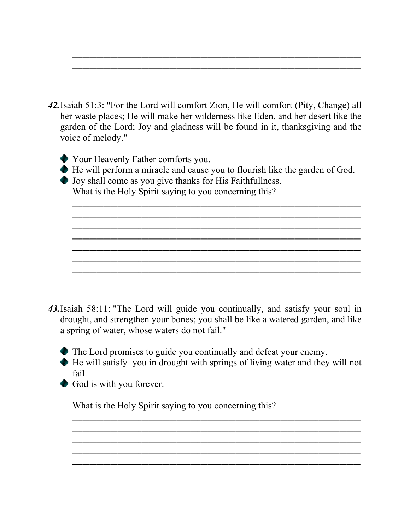*42.*Isaiah 51:3: "For the Lord will comfort Zion, He will comfort (Pity, Change) all her waste places; He will make her wilderness like Eden, and her desert like the garden of the Lord; Joy and gladness will be found in it, thanksgiving and the voice of melody."

**\_\_\_\_\_\_\_\_\_\_\_\_\_\_\_\_\_\_\_\_\_\_\_\_\_\_\_\_\_\_\_\_\_\_\_\_\_\_\_\_\_\_\_\_\_\_\_\_\_\_\_\_\_\_\_\_\_\_\_\_\_\_\_\_\_\_\_\_\_\_\_\_\_\_\_\_\_\_\_\_\_\_\_ \_\_\_\_\_\_\_\_\_\_\_\_\_\_\_\_\_\_\_\_\_\_\_\_\_\_\_\_\_\_\_\_\_\_\_\_\_\_\_\_\_\_\_\_\_\_\_\_\_\_\_\_\_\_\_\_\_\_\_\_\_\_\_\_\_\_\_\_\_\_\_\_\_\_\_\_\_\_\_\_\_\_\_**

- Your Heavenly Father comforts you.
- He will perform a miracle and cause you to flourish like the garden of God.

**\_\_\_\_\_\_\_\_\_\_\_\_\_\_\_\_\_\_\_\_\_\_\_\_\_\_\_\_\_\_\_\_\_\_\_\_\_\_\_\_\_\_\_\_\_\_\_\_\_\_\_\_\_\_\_\_\_\_\_\_\_\_\_\_\_\_\_\_\_\_\_\_\_\_\_\_\_\_\_\_\_\_\_ \_\_\_\_\_\_\_\_\_\_\_\_\_\_\_\_\_\_\_\_\_\_\_\_\_\_\_\_\_\_\_\_\_\_\_\_\_\_\_\_\_\_\_\_\_\_\_\_\_\_\_\_\_\_\_\_\_\_\_\_\_\_\_\_\_\_\_\_\_\_\_\_\_\_\_\_\_\_\_\_\_\_\_ \_\_\_\_\_\_\_\_\_\_\_\_\_\_\_\_\_\_\_\_\_\_\_\_\_\_\_\_\_\_\_\_\_\_\_\_\_\_\_\_\_\_\_\_\_\_\_\_\_\_\_\_\_\_\_\_\_\_\_\_\_\_\_\_\_\_\_\_\_\_\_\_\_\_\_\_\_\_\_\_\_\_\_ \_\_\_\_\_\_\_\_\_\_\_\_\_\_\_\_\_\_\_\_\_\_\_\_\_\_\_\_\_\_\_\_\_\_\_\_\_\_\_\_\_\_\_\_\_\_\_\_\_\_\_\_\_\_\_\_\_\_\_\_\_\_\_\_\_\_\_\_\_\_\_\_\_\_\_\_\_\_\_\_\_\_\_ \_\_\_\_\_\_\_\_\_\_\_\_\_\_\_\_\_\_\_\_\_\_\_\_\_\_\_\_\_\_\_\_\_\_\_\_\_\_\_\_\_\_\_\_\_\_\_\_\_\_\_\_\_\_\_\_\_\_\_\_\_\_\_\_\_\_\_\_\_\_\_\_\_\_\_\_\_\_\_\_\_\_\_ \_\_\_\_\_\_\_\_\_\_\_\_\_\_\_\_\_\_\_\_\_\_\_\_\_\_\_\_\_\_\_\_\_\_\_\_\_\_\_\_\_\_\_\_\_\_\_\_\_\_\_\_\_\_\_\_\_\_\_\_\_\_\_\_\_\_\_\_\_\_\_\_\_\_\_\_\_\_\_\_\_\_\_ \_\_\_\_\_\_\_\_\_\_\_\_\_\_\_\_\_\_\_\_\_\_\_\_\_\_\_\_\_\_\_\_\_\_\_\_\_\_\_\_\_\_\_\_\_\_\_\_\_\_\_\_\_\_\_\_\_\_\_\_\_\_\_\_\_\_\_\_\_\_\_\_\_\_\_\_\_\_\_\_\_\_\_**

Joy shall come as you give thanks for His Faithfullness.

What is the Holy Spirit saying to you concerning this?

- *43.*Isaiah 58:11: "The Lord will guide you continually, and satisfy your soul in drought, and strengthen your bones; you shall be like a watered garden, and like a spring of water, whose waters do not fail."
	- The Lord promises to guide you continually and defeat your enemy.
	- He will satisfy you in drought with springs of living water and they will not fail.

**\_\_\_\_\_\_\_\_\_\_\_\_\_\_\_\_\_\_\_\_\_\_\_\_\_\_\_\_\_\_\_\_\_\_\_\_\_\_\_\_\_\_\_\_\_\_\_\_\_\_\_\_\_\_\_\_\_\_\_\_\_\_\_\_\_\_\_\_\_\_\_\_\_\_\_\_\_\_\_\_\_\_\_ \_\_\_\_\_\_\_\_\_\_\_\_\_\_\_\_\_\_\_\_\_\_\_\_\_\_\_\_\_\_\_\_\_\_\_\_\_\_\_\_\_\_\_\_\_\_\_\_\_\_\_\_\_\_\_\_\_\_\_\_\_\_\_\_\_\_\_\_\_\_\_\_\_\_\_\_\_\_\_\_\_\_\_ \_\_\_\_\_\_\_\_\_\_\_\_\_\_\_\_\_\_\_\_\_\_\_\_\_\_\_\_\_\_\_\_\_\_\_\_\_\_\_\_\_\_\_\_\_\_\_\_\_\_\_\_\_\_\_\_\_\_\_\_\_\_\_\_\_\_\_\_\_\_\_\_\_\_\_\_\_\_\_\_\_\_\_ \_\_\_\_\_\_\_\_\_\_\_\_\_\_\_\_\_\_\_\_\_\_\_\_\_\_\_\_\_\_\_\_\_\_\_\_\_\_\_\_\_\_\_\_\_\_\_\_\_\_\_\_\_\_\_\_\_\_\_\_\_\_\_\_\_\_\_\_\_\_\_\_\_\_\_\_\_\_\_\_\_\_\_ \_\_\_\_\_\_\_\_\_\_\_\_\_\_\_\_\_\_\_\_\_\_\_\_\_\_\_\_\_\_\_\_\_\_\_\_\_\_\_\_\_\_\_\_\_\_\_\_\_\_\_\_\_\_\_\_\_\_\_\_\_\_\_\_\_\_\_\_\_\_\_\_\_\_\_\_\_\_\_\_\_\_\_**

God is with you forever.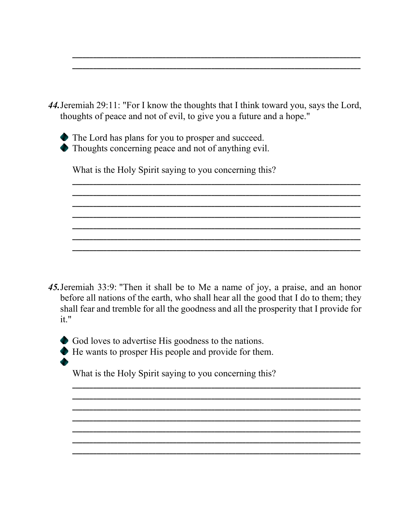

|  | The Lord has plans for you to prosper and succeed. |  |  |  |  |
|--|----------------------------------------------------|--|--|--|--|
|  |                                                    |  |  |  |  |

• Thoughts concerning peace and not of anything evil.

What is the Holy Spirit saying to you concerning this?

45. Jeremiah 33:9: "Then it shall be to Me a name of joy, a praise, and an honor before all nations of the earth, who shall hear all the good that I do to them; they shall fear and tremble for all the goodness and all the prosperity that I provide for  $it."$ 

God loves to advertise His goodness to the nations.

He wants to prosper His people and provide for them.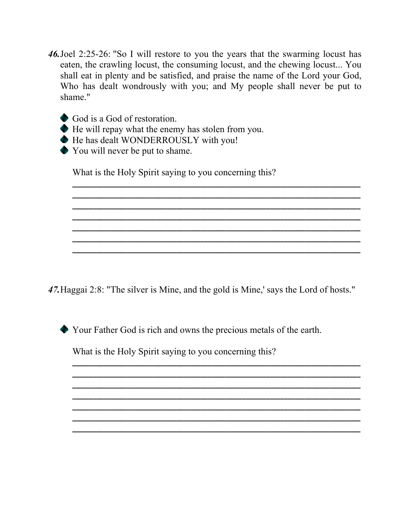*46.*Joel 2:25-26: "So I will restore to you the years that the swarming locust has eaten, the crawling locust, the consuming locust, and the chewing locust... You shall eat in plenty and be satisfied, and praise the name of the Lord your God, Who has dealt wondrously with you; and My people shall never be put to shame."

**\_\_\_\_\_\_\_\_\_\_\_\_\_\_\_\_\_\_\_\_\_\_\_\_\_\_\_\_\_\_\_\_\_\_\_\_\_\_\_\_\_\_\_\_\_\_\_\_\_\_\_\_\_\_\_\_\_\_\_\_\_\_\_\_\_\_\_\_\_\_\_\_\_\_\_\_\_\_\_\_\_\_\_ \_\_\_\_\_\_\_\_\_\_\_\_\_\_\_\_\_\_\_\_\_\_\_\_\_\_\_\_\_\_\_\_\_\_\_\_\_\_\_\_\_\_\_\_\_\_\_\_\_\_\_\_\_\_\_\_\_\_\_\_\_\_\_\_\_\_\_\_\_\_\_\_\_\_\_\_\_\_\_\_\_\_\_ \_\_\_\_\_\_\_\_\_\_\_\_\_\_\_\_\_\_\_\_\_\_\_\_\_\_\_\_\_\_\_\_\_\_\_\_\_\_\_\_\_\_\_\_\_\_\_\_\_\_\_\_\_\_\_\_\_\_\_\_\_\_\_\_\_\_\_\_\_\_\_\_\_\_\_\_\_\_\_\_\_\_\_ \_\_\_\_\_\_\_\_\_\_\_\_\_\_\_\_\_\_\_\_\_\_\_\_\_\_\_\_\_\_\_\_\_\_\_\_\_\_\_\_\_\_\_\_\_\_\_\_\_\_\_\_\_\_\_\_\_\_\_\_\_\_\_\_\_\_\_\_\_\_\_\_\_\_\_\_\_\_\_\_\_\_\_ \_\_\_\_\_\_\_\_\_\_\_\_\_\_\_\_\_\_\_\_\_\_\_\_\_\_\_\_\_\_\_\_\_\_\_\_\_\_\_\_\_\_\_\_\_\_\_\_\_\_\_\_\_\_\_\_\_\_\_\_\_\_\_\_\_\_\_\_\_\_\_\_\_\_\_\_\_\_\_\_\_\_\_ \_\_\_\_\_\_\_\_\_\_\_\_\_\_\_\_\_\_\_\_\_\_\_\_\_\_\_\_\_\_\_\_\_\_\_\_\_\_\_\_\_\_\_\_\_\_\_\_\_\_\_\_\_\_\_\_\_\_\_\_\_\_\_\_\_\_\_\_\_\_\_\_\_\_\_\_\_\_\_\_\_\_\_ \_\_\_\_\_\_\_\_\_\_\_\_\_\_\_\_\_\_\_\_\_\_\_\_\_\_\_\_\_\_\_\_\_\_\_\_\_\_\_\_\_\_\_\_\_\_\_\_\_\_\_\_\_\_\_\_\_\_\_\_\_\_\_\_\_\_\_\_\_\_\_\_\_\_\_\_\_\_\_\_\_\_\_**

- God is a God of restoration.
- He will repay what the enemy has stolen from you.
- $\blacklozenge$  He has dealt WONDERROUSLY with you!
- You will never be put to shame.

What is the Holy Spirit saying to you concerning this?

*47.*Haggai 2:8: "The silver is Mine, and the gold is Mine,' says the Lord of hosts."

Your Father God is rich and owns the precious metals of the earth.

**\_\_\_\_\_\_\_\_\_\_\_\_\_\_\_\_\_\_\_\_\_\_\_\_\_\_\_\_\_\_\_\_\_\_\_\_\_\_\_\_\_\_\_\_\_\_\_\_\_\_\_\_\_\_\_\_\_\_\_\_\_\_\_\_\_\_\_\_\_\_\_\_\_\_\_\_\_\_\_\_\_\_\_ \_\_\_\_\_\_\_\_\_\_\_\_\_\_\_\_\_\_\_\_\_\_\_\_\_\_\_\_\_\_\_\_\_\_\_\_\_\_\_\_\_\_\_\_\_\_\_\_\_\_\_\_\_\_\_\_\_\_\_\_\_\_\_\_\_\_\_\_\_\_\_\_\_\_\_\_\_\_\_\_\_\_\_ \_\_\_\_\_\_\_\_\_\_\_\_\_\_\_\_\_\_\_\_\_\_\_\_\_\_\_\_\_\_\_\_\_\_\_\_\_\_\_\_\_\_\_\_\_\_\_\_\_\_\_\_\_\_\_\_\_\_\_\_\_\_\_\_\_\_\_\_\_\_\_\_\_\_\_\_\_\_\_\_\_\_\_**

**\_\_\_\_\_\_\_\_\_\_\_\_\_\_\_\_\_\_\_\_\_\_\_\_\_\_\_\_\_\_\_\_\_\_\_\_\_\_\_\_\_\_\_\_\_\_\_\_\_\_\_\_\_\_\_\_\_\_\_\_\_\_\_\_\_\_\_\_\_\_\_\_\_\_\_\_\_\_\_\_\_\_\_ \_\_\_\_\_\_\_\_\_\_\_\_\_\_\_\_\_\_\_\_\_\_\_\_\_\_\_\_\_\_\_\_\_\_\_\_\_\_\_\_\_\_\_\_\_\_\_\_\_\_\_\_\_\_\_\_\_\_\_\_\_\_\_\_\_\_\_\_\_\_\_\_\_\_\_\_\_\_\_\_\_\_\_ \_\_\_\_\_\_\_\_\_\_\_\_\_\_\_\_\_\_\_\_\_\_\_\_\_\_\_\_\_\_\_\_\_\_\_\_\_\_\_\_\_\_\_\_\_\_\_\_\_\_\_\_\_\_\_\_\_\_\_\_\_\_\_\_\_\_\_\_\_\_\_\_\_\_\_\_\_\_\_\_\_\_\_**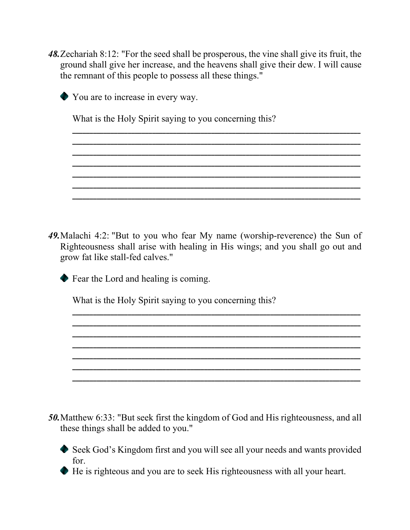*48.*Zechariah 8:12: "For the seed shall be prosperous, the vine shall give its fruit, the ground shall give her increase, and the heavens shall give their dew. I will cause the remnant of this people to possess all these things."

**\_\_\_\_\_\_\_\_\_\_\_\_\_\_\_\_\_\_\_\_\_\_\_\_\_\_\_\_\_\_\_\_\_\_\_\_\_\_\_\_\_\_\_\_\_\_\_\_\_\_\_\_\_\_\_\_\_\_\_\_\_\_\_\_\_\_\_\_\_\_\_\_\_\_\_\_\_\_\_\_\_\_\_ \_\_\_\_\_\_\_\_\_\_\_\_\_\_\_\_\_\_\_\_\_\_\_\_\_\_\_\_\_\_\_\_\_\_\_\_\_\_\_\_\_\_\_\_\_\_\_\_\_\_\_\_\_\_\_\_\_\_\_\_\_\_\_\_\_\_\_\_\_\_\_\_\_\_\_\_\_\_\_\_\_\_\_ \_\_\_\_\_\_\_\_\_\_\_\_\_\_\_\_\_\_\_\_\_\_\_\_\_\_\_\_\_\_\_\_\_\_\_\_\_\_\_\_\_\_\_\_\_\_\_\_\_\_\_\_\_\_\_\_\_\_\_\_\_\_\_\_\_\_\_\_\_\_\_\_\_\_\_\_\_\_\_\_\_\_\_ \_\_\_\_\_\_\_\_\_\_\_\_\_\_\_\_\_\_\_\_\_\_\_\_\_\_\_\_\_\_\_\_\_\_\_\_\_\_\_\_\_\_\_\_\_\_\_\_\_\_\_\_\_\_\_\_\_\_\_\_\_\_\_\_\_\_\_\_\_\_\_\_\_\_\_\_\_\_\_\_\_\_\_ \_\_\_\_\_\_\_\_\_\_\_\_\_\_\_\_\_\_\_\_\_\_\_\_\_\_\_\_\_\_\_\_\_\_\_\_\_\_\_\_\_\_\_\_\_\_\_\_\_\_\_\_\_\_\_\_\_\_\_\_\_\_\_\_\_\_\_\_\_\_\_\_\_\_\_\_\_\_\_\_\_\_\_**

**\_\_\_\_\_\_\_\_\_\_\_\_\_\_\_\_\_\_\_\_\_\_\_\_\_\_\_\_\_\_\_\_\_\_\_\_\_\_\_\_\_\_\_\_\_\_\_\_\_\_\_\_\_\_\_\_\_\_\_\_\_\_\_\_\_\_\_\_\_\_\_\_\_\_\_\_\_\_\_\_\_\_\_**

**\_\_\_\_\_\_\_\_\_\_\_\_\_\_\_\_\_\_\_\_\_\_\_\_\_\_\_\_\_\_\_\_\_\_\_\_\_\_\_\_\_\_\_\_\_\_\_\_\_\_\_\_\_\_\_\_\_\_\_\_\_\_\_\_\_\_\_\_\_\_\_\_\_\_\_\_\_\_\_\_\_\_\_ \_\_\_\_\_\_\_\_\_\_\_\_\_\_\_\_\_\_\_\_\_\_\_\_\_\_\_\_\_\_\_\_\_\_\_\_\_\_\_\_\_\_\_\_\_\_\_\_\_\_\_\_\_\_\_\_\_\_\_\_\_\_\_\_\_\_\_\_\_\_\_\_\_\_\_\_\_\_\_\_\_\_\_ \_\_\_\_\_\_\_\_\_\_\_\_\_\_\_\_\_\_\_\_\_\_\_\_\_\_\_\_\_\_\_\_\_\_\_\_\_\_\_\_\_\_\_\_\_\_\_\_\_\_\_\_\_\_\_\_\_\_\_\_\_\_\_\_\_\_\_\_\_\_\_\_\_\_\_\_\_\_\_\_\_\_\_ \_\_\_\_\_\_\_\_\_\_\_\_\_\_\_\_\_\_\_\_\_\_\_\_\_\_\_\_\_\_\_\_\_\_\_\_\_\_\_\_\_\_\_\_\_\_\_\_\_\_\_\_\_\_\_\_\_\_\_\_\_\_\_\_\_\_\_\_\_\_\_\_\_\_\_\_\_\_\_\_\_\_\_ \_\_\_\_\_\_\_\_\_\_\_\_\_\_\_\_\_\_\_\_\_\_\_\_\_\_\_\_\_\_\_\_\_\_\_\_\_\_\_\_\_\_\_\_\_\_\_\_\_\_\_\_\_\_\_\_\_\_\_\_\_\_\_\_\_\_\_\_\_\_\_\_\_\_\_\_\_\_\_\_\_\_\_ \_\_\_\_\_\_\_\_\_\_\_\_\_\_\_\_\_\_\_\_\_\_\_\_\_\_\_\_\_\_\_\_\_\_\_\_\_\_\_\_\_\_\_\_\_\_\_\_\_\_\_\_\_\_\_\_\_\_\_\_\_\_\_\_\_\_\_\_\_\_\_\_\_\_\_\_\_\_\_\_\_\_\_ \_\_\_\_\_\_\_\_\_\_\_\_\_\_\_\_\_\_\_\_\_\_\_\_\_\_\_\_\_\_\_\_\_\_\_\_\_\_\_\_\_\_\_\_\_\_\_\_\_\_\_\_\_\_\_\_\_\_\_\_\_\_\_\_\_\_\_\_\_\_\_\_\_\_\_\_\_\_\_\_\_\_\_**



You are to increase in every way.

What is the Holy Spirit saying to you concerning this?

*49.*Malachi 4:2: "But to you who fear My name (worship-reverence) the Sun of Righteousness shall arise with healing in His wings; and you shall go out and grow fat like stall-fed calves."

◆ Fear the Lord and healing is coming.

- *50.*Matthew 6:33: "But seek first the kingdom of God and His righteousness, and all these things shall be added to you."
	- Seek God's Kingdom first and you will see all your needs and wants provided for.
	- He is righteous and you are to seek His righteousness with all your heart.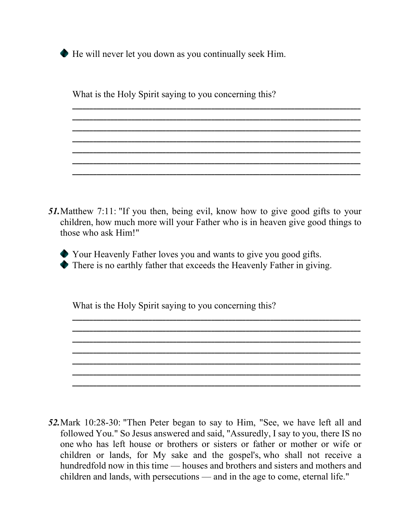He will never let you down as you continually seek Him.

What is the Holy Spirit saying to you concerning this?

*51.*Matthew 7:11: "If you then, being evil, know how to give good gifts to your children, how much more will your Father who is in heaven give good things to those who ask Him!"

**\_\_\_\_\_\_\_\_\_\_\_\_\_\_\_\_\_\_\_\_\_\_\_\_\_\_\_\_\_\_\_\_\_\_\_\_\_\_\_\_\_\_\_\_\_\_\_\_\_\_\_\_\_\_\_\_\_\_\_\_\_\_\_\_\_\_\_\_\_\_\_\_\_\_\_\_\_\_\_\_\_\_\_ \_\_\_\_\_\_\_\_\_\_\_\_\_\_\_\_\_\_\_\_\_\_\_\_\_\_\_\_\_\_\_\_\_\_\_\_\_\_\_\_\_\_\_\_\_\_\_\_\_\_\_\_\_\_\_\_\_\_\_\_\_\_\_\_\_\_\_\_\_\_\_\_\_\_\_\_\_\_\_\_\_\_\_ \_\_\_\_\_\_\_\_\_\_\_\_\_\_\_\_\_\_\_\_\_\_\_\_\_\_\_\_\_\_\_\_\_\_\_\_\_\_\_\_\_\_\_\_\_\_\_\_\_\_\_\_\_\_\_\_\_\_\_\_\_\_\_\_\_\_\_\_\_\_\_\_\_\_\_\_\_\_\_\_\_\_\_ \_\_\_\_\_\_\_\_\_\_\_\_\_\_\_\_\_\_\_\_\_\_\_\_\_\_\_\_\_\_\_\_\_\_\_\_\_\_\_\_\_\_\_\_\_\_\_\_\_\_\_\_\_\_\_\_\_\_\_\_\_\_\_\_\_\_\_\_\_\_\_\_\_\_\_\_\_\_\_\_\_\_\_ \_\_\_\_\_\_\_\_\_\_\_\_\_\_\_\_\_\_\_\_\_\_\_\_\_\_\_\_\_\_\_\_\_\_\_\_\_\_\_\_\_\_\_\_\_\_\_\_\_\_\_\_\_\_\_\_\_\_\_\_\_\_\_\_\_\_\_\_\_\_\_\_\_\_\_\_\_\_\_\_\_\_\_ \_\_\_\_\_\_\_\_\_\_\_\_\_\_\_\_\_\_\_\_\_\_\_\_\_\_\_\_\_\_\_\_\_\_\_\_\_\_\_\_\_\_\_\_\_\_\_\_\_\_\_\_\_\_\_\_\_\_\_\_\_\_\_\_\_\_\_\_\_\_\_\_\_\_\_\_\_\_\_\_\_\_\_ \_\_\_\_\_\_\_\_\_\_\_\_\_\_\_\_\_\_\_\_\_\_\_\_\_\_\_\_\_\_\_\_\_\_\_\_\_\_\_\_\_\_\_\_\_\_\_\_\_\_\_\_\_\_\_\_\_\_\_\_\_\_\_\_\_\_\_\_\_\_\_\_\_\_\_\_\_\_\_\_\_\_\_**

**\_\_\_\_\_\_\_\_\_\_\_\_\_\_\_\_\_\_\_\_\_\_\_\_\_\_\_\_\_\_\_\_\_\_\_\_\_\_\_\_\_\_\_\_\_\_\_\_\_\_\_\_\_\_\_\_\_\_\_\_\_\_\_\_\_\_\_\_\_\_\_\_\_\_\_\_\_\_\_\_\_\_\_ \_\_\_\_\_\_\_\_\_\_\_\_\_\_\_\_\_\_\_\_\_\_\_\_\_\_\_\_\_\_\_\_\_\_\_\_\_\_\_\_\_\_\_\_\_\_\_\_\_\_\_\_\_\_\_\_\_\_\_\_\_\_\_\_\_\_\_\_\_\_\_\_\_\_\_\_\_\_\_\_\_\_\_**

**\_\_\_\_\_\_\_\_\_\_\_\_\_\_\_\_\_\_\_\_\_\_\_\_\_\_\_\_\_\_\_\_\_\_\_\_\_\_\_\_\_\_\_\_\_\_\_\_\_\_\_\_\_\_\_\_\_\_\_\_\_\_\_\_\_\_\_\_\_\_\_\_\_\_\_\_\_\_\_\_\_\_\_ \_\_\_\_\_\_\_\_\_\_\_\_\_\_\_\_\_\_\_\_\_\_\_\_\_\_\_\_\_\_\_\_\_\_\_\_\_\_\_\_\_\_\_\_\_\_\_\_\_\_\_\_\_\_\_\_\_\_\_\_\_\_\_\_\_\_\_\_\_\_\_\_\_\_\_\_\_\_\_\_\_\_\_ \_\_\_\_\_\_\_\_\_\_\_\_\_\_\_\_\_\_\_\_\_\_\_\_\_\_\_\_\_\_\_\_\_\_\_\_\_\_\_\_\_\_\_\_\_\_\_\_\_\_\_\_\_\_\_\_\_\_\_\_\_\_\_\_\_\_\_\_\_\_\_\_\_\_\_\_\_\_\_\_\_\_\_ \_\_\_\_\_\_\_\_\_\_\_\_\_\_\_\_\_\_\_\_\_\_\_\_\_\_\_\_\_\_\_\_\_\_\_\_\_\_\_\_\_\_\_\_\_\_\_\_\_\_\_\_\_\_\_\_\_\_\_\_\_\_\_\_\_\_\_\_\_\_\_\_\_\_\_\_\_\_\_\_\_\_\_**

**\_\_\_\_\_\_\_\_\_\_\_\_\_\_\_\_\_\_\_\_\_\_\_\_\_\_\_\_\_\_\_\_\_\_\_\_\_\_\_\_\_\_\_\_\_\_\_\_\_\_\_\_\_\_\_\_\_\_\_\_\_\_\_\_\_\_\_\_\_\_\_\_\_\_\_\_\_\_\_\_\_\_\_**

Your Heavenly Father loves you and wants to give you good gifts. There is no earthly father that exceeds the Heavenly Father in giving.

What is the Holy Spirit saying to you concerning this?

*52.*Mark 10:28-30: "Then Peter began to say to Him, "See, we have left all and followed You." So Jesus answered and said, "Assuredly, I say to you, there IS no one who has left house or brothers or sisters or father or mother or wife or children or lands, for My sake and the gospel's, who shall not receive a hundredfold now in this time — houses and brothers and sisters and mothers and children and lands, with persecutions — and in the age to come, eternal life."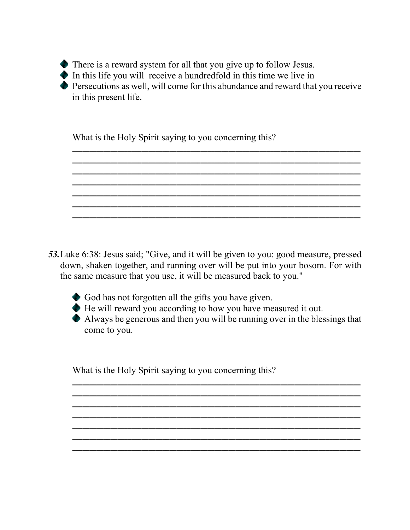

 $\bullet$  In this life you will receive a hundredfold in this time we live in

Persecutions as well, will come for this abundance and reward that you receive in this present life.

**\_\_\_\_\_\_\_\_\_\_\_\_\_\_\_\_\_\_\_\_\_\_\_\_\_\_\_\_\_\_\_\_\_\_\_\_\_\_\_\_\_\_\_\_\_\_\_\_\_\_\_\_\_\_\_\_\_\_\_\_\_\_\_\_\_\_\_\_\_\_\_\_\_\_\_\_\_\_\_\_\_\_\_ \_\_\_\_\_\_\_\_\_\_\_\_\_\_\_\_\_\_\_\_\_\_\_\_\_\_\_\_\_\_\_\_\_\_\_\_\_\_\_\_\_\_\_\_\_\_\_\_\_\_\_\_\_\_\_\_\_\_\_\_\_\_\_\_\_\_\_\_\_\_\_\_\_\_\_\_\_\_\_\_\_\_\_ \_\_\_\_\_\_\_\_\_\_\_\_\_\_\_\_\_\_\_\_\_\_\_\_\_\_\_\_\_\_\_\_\_\_\_\_\_\_\_\_\_\_\_\_\_\_\_\_\_\_\_\_\_\_\_\_\_\_\_\_\_\_\_\_\_\_\_\_\_\_\_\_\_\_\_\_\_\_\_\_\_\_\_ \_\_\_\_\_\_\_\_\_\_\_\_\_\_\_\_\_\_\_\_\_\_\_\_\_\_\_\_\_\_\_\_\_\_\_\_\_\_\_\_\_\_\_\_\_\_\_\_\_\_\_\_\_\_\_\_\_\_\_\_\_\_\_\_\_\_\_\_\_\_\_\_\_\_\_\_\_\_\_\_\_\_\_ \_\_\_\_\_\_\_\_\_\_\_\_\_\_\_\_\_\_\_\_\_\_\_\_\_\_\_\_\_\_\_\_\_\_\_\_\_\_\_\_\_\_\_\_\_\_\_\_\_\_\_\_\_\_\_\_\_\_\_\_\_\_\_\_\_\_\_\_\_\_\_\_\_\_\_\_\_\_\_\_\_\_\_ \_\_\_\_\_\_\_\_\_\_\_\_\_\_\_\_\_\_\_\_\_\_\_\_\_\_\_\_\_\_\_\_\_\_\_\_\_\_\_\_\_\_\_\_\_\_\_\_\_\_\_\_\_\_\_\_\_\_\_\_\_\_\_\_\_\_\_\_\_\_\_\_\_\_\_\_\_\_\_\_\_\_\_ \_\_\_\_\_\_\_\_\_\_\_\_\_\_\_\_\_\_\_\_\_\_\_\_\_\_\_\_\_\_\_\_\_\_\_\_\_\_\_\_\_\_\_\_\_\_\_\_\_\_\_\_\_\_\_\_\_\_\_\_\_\_\_\_\_\_\_\_\_\_\_\_\_\_\_\_\_\_\_\_\_\_\_**

What is the Holy Spirit saying to you concerning this?

*53.*Luke 6:38: Jesus said; "Give, and it will be given to you: good measure, pressed down, shaken together, and running over will be put into your bosom. For with the same measure that you use, it will be measured back to you."



God has not forgotten all the gifts you have given.

He will reward you according to how you have measured it out.

Always be generous and then you will be running over in the blessings that come to you.

**\_\_\_\_\_\_\_\_\_\_\_\_\_\_\_\_\_\_\_\_\_\_\_\_\_\_\_\_\_\_\_\_\_\_\_\_\_\_\_\_\_\_\_\_\_\_\_\_\_\_\_\_\_\_\_\_\_\_\_\_\_\_\_\_\_\_\_\_\_\_\_\_\_\_\_\_\_\_\_\_\_\_\_**

**\_\_\_\_\_\_\_\_\_\_\_\_\_\_\_\_\_\_\_\_\_\_\_\_\_\_\_\_\_\_\_\_\_\_\_\_\_\_\_\_\_\_\_\_\_\_\_\_\_\_\_\_\_\_\_\_\_\_\_\_\_\_\_\_\_\_\_\_\_\_\_\_\_\_\_\_\_\_\_\_\_\_\_ \_\_\_\_\_\_\_\_\_\_\_\_\_\_\_\_\_\_\_\_\_\_\_\_\_\_\_\_\_\_\_\_\_\_\_\_\_\_\_\_\_\_\_\_\_\_\_\_\_\_\_\_\_\_\_\_\_\_\_\_\_\_\_\_\_\_\_\_\_\_\_\_\_\_\_\_\_\_\_\_\_\_\_ \_\_\_\_\_\_\_\_\_\_\_\_\_\_\_\_\_\_\_\_\_\_\_\_\_\_\_\_\_\_\_\_\_\_\_\_\_\_\_\_\_\_\_\_\_\_\_\_\_\_\_\_\_\_\_\_\_\_\_\_\_\_\_\_\_\_\_\_\_\_\_\_\_\_\_\_\_\_\_\_\_\_\_ \_\_\_\_\_\_\_\_\_\_\_\_\_\_\_\_\_\_\_\_\_\_\_\_\_\_\_\_\_\_\_\_\_\_\_\_\_\_\_\_\_\_\_\_\_\_\_\_\_\_\_\_\_\_\_\_\_\_\_\_\_\_\_\_\_\_\_\_\_\_\_\_\_\_\_\_\_\_\_\_\_\_\_ \_\_\_\_\_\_\_\_\_\_\_\_\_\_\_\_\_\_\_\_\_\_\_\_\_\_\_\_\_\_\_\_\_\_\_\_\_\_\_\_\_\_\_\_\_\_\_\_\_\_\_\_\_\_\_\_\_\_\_\_\_\_\_\_\_\_\_\_\_\_\_\_\_\_\_\_\_\_\_\_\_\_\_**

**\_\_\_\_\_\_\_\_\_\_\_\_\_\_\_\_\_\_\_\_\_\_\_\_\_\_\_\_\_\_\_\_\_\_\_\_\_\_\_\_\_\_\_\_\_\_\_\_\_\_\_\_\_\_\_\_\_\_\_\_\_\_\_\_\_\_\_\_\_\_\_\_\_\_\_\_\_\_\_\_\_\_\_**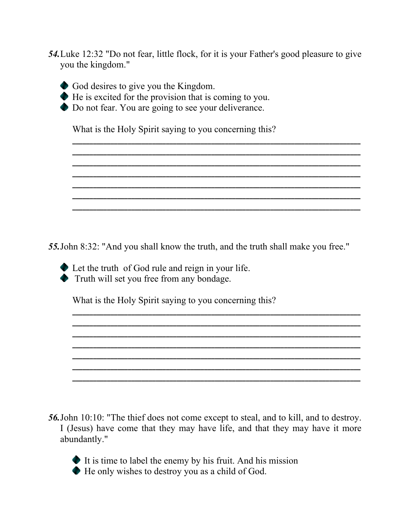*54.*Luke 12:32 "Do not fear, little flock, for it is your Father's good pleasure to give you the kingdom."

**\_\_\_\_\_\_\_\_\_\_\_\_\_\_\_\_\_\_\_\_\_\_\_\_\_\_\_\_\_\_\_\_\_\_\_\_\_\_\_\_\_\_\_\_\_\_\_\_\_\_\_\_\_\_\_\_\_\_\_\_\_\_\_\_\_\_\_\_\_\_\_\_\_\_\_\_\_\_\_\_\_\_\_ \_\_\_\_\_\_\_\_\_\_\_\_\_\_\_\_\_\_\_\_\_\_\_\_\_\_\_\_\_\_\_\_\_\_\_\_\_\_\_\_\_\_\_\_\_\_\_\_\_\_\_\_\_\_\_\_\_\_\_\_\_\_\_\_\_\_\_\_\_\_\_\_\_\_\_\_\_\_\_\_\_\_\_ \_\_\_\_\_\_\_\_\_\_\_\_\_\_\_\_\_\_\_\_\_\_\_\_\_\_\_\_\_\_\_\_\_\_\_\_\_\_\_\_\_\_\_\_\_\_\_\_\_\_\_\_\_\_\_\_\_\_\_\_\_\_\_\_\_\_\_\_\_\_\_\_\_\_\_\_\_\_\_\_\_\_\_ \_\_\_\_\_\_\_\_\_\_\_\_\_\_\_\_\_\_\_\_\_\_\_\_\_\_\_\_\_\_\_\_\_\_\_\_\_\_\_\_\_\_\_\_\_\_\_\_\_\_\_\_\_\_\_\_\_\_\_\_\_\_\_\_\_\_\_\_\_\_\_\_\_\_\_\_\_\_\_\_\_\_\_ \_\_\_\_\_\_\_\_\_\_\_\_\_\_\_\_\_\_\_\_\_\_\_\_\_\_\_\_\_\_\_\_\_\_\_\_\_\_\_\_\_\_\_\_\_\_\_\_\_\_\_\_\_\_\_\_\_\_\_\_\_\_\_\_\_\_\_\_\_\_\_\_\_\_\_\_\_\_\_\_\_\_\_ \_\_\_\_\_\_\_\_\_\_\_\_\_\_\_\_\_\_\_\_\_\_\_\_\_\_\_\_\_\_\_\_\_\_\_\_\_\_\_\_\_\_\_\_\_\_\_\_\_\_\_\_\_\_\_\_\_\_\_\_\_\_\_\_\_\_\_\_\_\_\_\_\_\_\_\_\_\_\_\_\_\_\_ \_\_\_\_\_\_\_\_\_\_\_\_\_\_\_\_\_\_\_\_\_\_\_\_\_\_\_\_\_\_\_\_\_\_\_\_\_\_\_\_\_\_\_\_\_\_\_\_\_\_\_\_\_\_\_\_\_\_\_\_\_\_\_\_\_\_\_\_\_\_\_\_\_\_\_\_\_\_\_\_\_\_\_**

- 
- God desires to give you the Kingdom.
- He is excited for the provision that is coming to you.
- ◆ Do not fear. You are going to see your deliverance.

What is the Holy Spirit saying to you concerning this?

*55.*John 8:32: "And you shall know the truth, and the truth shall make you free."

**\_\_\_\_\_\_\_\_\_\_\_\_\_\_\_\_\_\_\_\_\_\_\_\_\_\_\_\_\_\_\_\_\_\_\_\_\_\_\_\_\_\_\_\_\_\_\_\_\_\_\_\_\_\_\_\_\_\_\_\_\_\_\_\_\_\_\_\_\_\_\_\_\_\_\_\_\_\_\_\_\_\_\_ \_\_\_\_\_\_\_\_\_\_\_\_\_\_\_\_\_\_\_\_\_\_\_\_\_\_\_\_\_\_\_\_\_\_\_\_\_\_\_\_\_\_\_\_\_\_\_\_\_\_\_\_\_\_\_\_\_\_\_\_\_\_\_\_\_\_\_\_\_\_\_\_\_\_\_\_\_\_\_\_\_\_\_ \_\_\_\_\_\_\_\_\_\_\_\_\_\_\_\_\_\_\_\_\_\_\_\_\_\_\_\_\_\_\_\_\_\_\_\_\_\_\_\_\_\_\_\_\_\_\_\_\_\_\_\_\_\_\_\_\_\_\_\_\_\_\_\_\_\_\_\_\_\_\_\_\_\_\_\_\_\_\_\_\_\_\_ \_\_\_\_\_\_\_\_\_\_\_\_\_\_\_\_\_\_\_\_\_\_\_\_\_\_\_\_\_\_\_\_\_\_\_\_\_\_\_\_\_\_\_\_\_\_\_\_\_\_\_\_\_\_\_\_\_\_\_\_\_\_\_\_\_\_\_\_\_\_\_\_\_\_\_\_\_\_\_\_\_\_\_ \_\_\_\_\_\_\_\_\_\_\_\_\_\_\_\_\_\_\_\_\_\_\_\_\_\_\_\_\_\_\_\_\_\_\_\_\_\_\_\_\_\_\_\_\_\_\_\_\_\_\_\_\_\_\_\_\_\_\_\_\_\_\_\_\_\_\_\_\_\_\_\_\_\_\_\_\_\_\_\_\_\_\_**

**\_\_\_\_\_\_\_\_\_\_\_\_\_\_\_\_\_\_\_\_\_\_\_\_\_\_\_\_\_\_\_\_\_\_\_\_\_\_\_\_\_\_\_\_\_\_\_\_\_\_\_\_\_\_\_\_\_\_\_\_\_\_\_\_\_\_\_\_\_\_\_\_\_\_\_\_\_\_\_\_\_\_\_**

**\_\_\_\_\_\_\_\_\_\_\_\_\_\_\_\_\_\_\_\_\_\_\_\_\_\_\_\_\_\_\_\_\_\_\_\_\_\_\_\_\_\_\_\_\_\_\_\_\_\_\_\_\_\_\_\_\_\_\_\_\_\_\_\_\_\_\_\_\_\_\_\_\_\_\_\_\_\_\_\_\_\_\_**

Let the truth of God rule and reign in your life. Truth will set you free from any bondage.

What is the Holy Spirit saying to you concerning this?

*56.*John 10:10: "The thief does not come except to steal, and to kill, and to destroy. I (Jesus) have come that they may have life, and that they may have it more abundantly."

 $\bullet$  It is time to label the enemy by his fruit. And his mission He only wishes to destroy you as a child of God.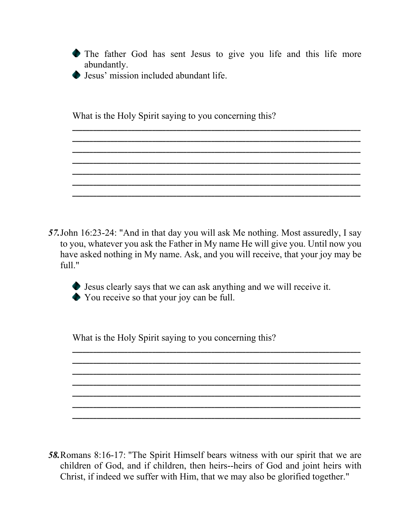The father God has sent Jesus to give you life and this life more abundantly.

**\_\_\_\_\_\_\_\_\_\_\_\_\_\_\_\_\_\_\_\_\_\_\_\_\_\_\_\_\_\_\_\_\_\_\_\_\_\_\_\_\_\_\_\_\_\_\_\_\_\_\_\_\_\_\_\_\_\_\_\_\_\_\_\_\_\_\_\_\_\_\_\_\_\_\_\_\_\_\_\_\_\_\_ \_\_\_\_\_\_\_\_\_\_\_\_\_\_\_\_\_\_\_\_\_\_\_\_\_\_\_\_\_\_\_\_\_\_\_\_\_\_\_\_\_\_\_\_\_\_\_\_\_\_\_\_\_\_\_\_\_\_\_\_\_\_\_\_\_\_\_\_\_\_\_\_\_\_\_\_\_\_\_\_\_\_\_ \_\_\_\_\_\_\_\_\_\_\_\_\_\_\_\_\_\_\_\_\_\_\_\_\_\_\_\_\_\_\_\_\_\_\_\_\_\_\_\_\_\_\_\_\_\_\_\_\_\_\_\_\_\_\_\_\_\_\_\_\_\_\_\_\_\_\_\_\_\_\_\_\_\_\_\_\_\_\_\_\_\_\_ \_\_\_\_\_\_\_\_\_\_\_\_\_\_\_\_\_\_\_\_\_\_\_\_\_\_\_\_\_\_\_\_\_\_\_\_\_\_\_\_\_\_\_\_\_\_\_\_\_\_\_\_\_\_\_\_\_\_\_\_\_\_\_\_\_\_\_\_\_\_\_\_\_\_\_\_\_\_\_\_\_\_\_ \_\_\_\_\_\_\_\_\_\_\_\_\_\_\_\_\_\_\_\_\_\_\_\_\_\_\_\_\_\_\_\_\_\_\_\_\_\_\_\_\_\_\_\_\_\_\_\_\_\_\_\_\_\_\_\_\_\_\_\_\_\_\_\_\_\_\_\_\_\_\_\_\_\_\_\_\_\_\_\_\_\_\_ \_\_\_\_\_\_\_\_\_\_\_\_\_\_\_\_\_\_\_\_\_\_\_\_\_\_\_\_\_\_\_\_\_\_\_\_\_\_\_\_\_\_\_\_\_\_\_\_\_\_\_\_\_\_\_\_\_\_\_\_\_\_\_\_\_\_\_\_\_\_\_\_\_\_\_\_\_\_\_\_\_\_\_ \_\_\_\_\_\_\_\_\_\_\_\_\_\_\_\_\_\_\_\_\_\_\_\_\_\_\_\_\_\_\_\_\_\_\_\_\_\_\_\_\_\_\_\_\_\_\_\_\_\_\_\_\_\_\_\_\_\_\_\_\_\_\_\_\_\_\_\_\_\_\_\_\_\_\_\_\_\_\_\_\_\_\_**

Jesus' mission included abundant life.

What is the Holy Spirit saying to you concerning this?

*57.*John 16:23-24: "And in that day you will ask Me nothing. Most assuredly, I say to you, whatever you ask the Father in My name He will give you. Until now you have asked nothing in My name. Ask, and you will receive, that your joy may be full."



Jesus clearly says that we can ask anything and we will receive it. You receive so that your joy can be full.

**\_\_\_\_\_\_\_\_\_\_\_\_\_\_\_\_\_\_\_\_\_\_\_\_\_\_\_\_\_\_\_\_\_\_\_\_\_\_\_\_\_\_\_\_\_\_\_\_\_\_\_\_\_\_\_\_\_\_\_\_\_\_\_\_\_\_\_\_\_\_\_\_\_\_\_\_\_\_\_\_\_\_\_ \_\_\_\_\_\_\_\_\_\_\_\_\_\_\_\_\_\_\_\_\_\_\_\_\_\_\_\_\_\_\_\_\_\_\_\_\_\_\_\_\_\_\_\_\_\_\_\_\_\_\_\_\_\_\_\_\_\_\_\_\_\_\_\_\_\_\_\_\_\_\_\_\_\_\_\_\_\_\_\_\_\_\_ \_\_\_\_\_\_\_\_\_\_\_\_\_\_\_\_\_\_\_\_\_\_\_\_\_\_\_\_\_\_\_\_\_\_\_\_\_\_\_\_\_\_\_\_\_\_\_\_\_\_\_\_\_\_\_\_\_\_\_\_\_\_\_\_\_\_\_\_\_\_\_\_\_\_\_\_\_\_\_\_\_\_\_ \_\_\_\_\_\_\_\_\_\_\_\_\_\_\_\_\_\_\_\_\_\_\_\_\_\_\_\_\_\_\_\_\_\_\_\_\_\_\_\_\_\_\_\_\_\_\_\_\_\_\_\_\_\_\_\_\_\_\_\_\_\_\_\_\_\_\_\_\_\_\_\_\_\_\_\_\_\_\_\_\_\_\_ \_\_\_\_\_\_\_\_\_\_\_\_\_\_\_\_\_\_\_\_\_\_\_\_\_\_\_\_\_\_\_\_\_\_\_\_\_\_\_\_\_\_\_\_\_\_\_\_\_\_\_\_\_\_\_\_\_\_\_\_\_\_\_\_\_\_\_\_\_\_\_\_\_\_\_\_\_\_\_\_\_\_\_ \_\_\_\_\_\_\_\_\_\_\_\_\_\_\_\_\_\_\_\_\_\_\_\_\_\_\_\_\_\_\_\_\_\_\_\_\_\_\_\_\_\_\_\_\_\_\_\_\_\_\_\_\_\_\_\_\_\_\_\_\_\_\_\_\_\_\_\_\_\_\_\_\_\_\_\_\_\_\_\_\_\_\_ \_\_\_\_\_\_\_\_\_\_\_\_\_\_\_\_\_\_\_\_\_\_\_\_\_\_\_\_\_\_\_\_\_\_\_\_\_\_\_\_\_\_\_\_\_\_\_\_\_\_\_\_\_\_\_\_\_\_\_\_\_\_\_\_\_\_\_\_\_\_\_\_\_\_\_\_\_\_\_\_\_\_\_**

What is the Holy Spirit saying to you concerning this?

*58.*Romans 8:16-17: "The Spirit Himself bears witness with our spirit that we are children of God, and if children, then heirs--heirs of God and joint heirs with Christ, if indeed we suffer with Him, that we may also be glorified together."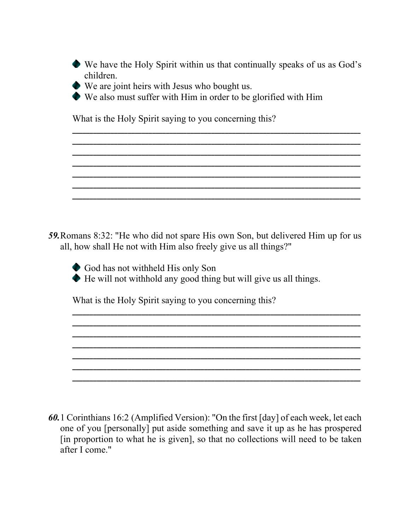We have the Holy Spirit within us that continually speaks of us as God's children.

**\_\_\_\_\_\_\_\_\_\_\_\_\_\_\_\_\_\_\_\_\_\_\_\_\_\_\_\_\_\_\_\_\_\_\_\_\_\_\_\_\_\_\_\_\_\_\_\_\_\_\_\_\_\_\_\_\_\_\_\_\_\_\_\_\_\_\_\_\_\_\_\_\_\_\_\_\_\_\_\_\_\_\_ \_\_\_\_\_\_\_\_\_\_\_\_\_\_\_\_\_\_\_\_\_\_\_\_\_\_\_\_\_\_\_\_\_\_\_\_\_\_\_\_\_\_\_\_\_\_\_\_\_\_\_\_\_\_\_\_\_\_\_\_\_\_\_\_\_\_\_\_\_\_\_\_\_\_\_\_\_\_\_\_\_\_\_**

**\_\_\_\_\_\_\_\_\_\_\_\_\_\_\_\_\_\_\_\_\_\_\_\_\_\_\_\_\_\_\_\_\_\_\_\_\_\_\_\_\_\_\_\_\_\_\_\_\_\_\_\_\_\_\_\_\_\_\_\_\_\_\_\_\_\_\_\_\_\_\_\_\_\_\_\_\_\_\_\_\_\_\_ \_\_\_\_\_\_\_\_\_\_\_\_\_\_\_\_\_\_\_\_\_\_\_\_\_\_\_\_\_\_\_\_\_\_\_\_\_\_\_\_\_\_\_\_\_\_\_\_\_\_\_\_\_\_\_\_\_\_\_\_\_\_\_\_\_\_\_\_\_\_\_\_\_\_\_\_\_\_\_\_\_\_\_**

**\_\_\_\_\_\_\_\_\_\_\_\_\_\_\_\_\_\_\_\_\_\_\_\_\_\_\_\_\_\_\_\_\_\_\_\_\_\_\_\_\_\_\_\_\_\_\_\_\_\_\_\_\_\_\_\_\_\_\_\_\_\_\_\_\_\_\_\_\_\_\_\_\_\_\_\_\_\_\_\_\_\_\_**

**\_\_\_\_\_\_\_\_\_\_\_\_\_\_\_\_\_\_\_\_\_\_\_\_\_\_\_\_\_\_\_\_\_\_\_\_\_\_\_\_\_\_\_\_\_\_\_\_\_\_\_\_\_\_\_\_\_\_\_\_\_\_\_\_\_\_\_\_\_\_\_\_\_\_\_\_\_\_\_\_\_\_\_**

- We are joint heirs with Jesus who bought us.
- We also must suffer with Him in order to be glorified with Him

What is the Holy Spirit saying to you concerning this?

*59.*Romans 8:32: "He who did not spare His own Son, but delivered Him up for us all, how shall He not with Him also freely give us all things?"

God has not withheld His only Son

He will not withhold any good thing but will give us all things.

**\_\_\_\_\_\_\_\_\_\_\_\_\_\_\_\_\_\_\_\_\_\_\_\_\_\_\_\_\_\_\_\_\_\_\_\_\_\_\_\_\_\_\_\_\_\_\_\_\_\_\_\_\_\_\_\_\_\_\_\_\_\_\_\_\_\_\_\_\_\_\_\_\_\_\_\_\_\_\_\_\_\_\_ \_\_\_\_\_\_\_\_\_\_\_\_\_\_\_\_\_\_\_\_\_\_\_\_\_\_\_\_\_\_\_\_\_\_\_\_\_\_\_\_\_\_\_\_\_\_\_\_\_\_\_\_\_\_\_\_\_\_\_\_\_\_\_\_\_\_\_\_\_\_\_\_\_\_\_\_\_\_\_\_\_\_\_ \_\_\_\_\_\_\_\_\_\_\_\_\_\_\_\_\_\_\_\_\_\_\_\_\_\_\_\_\_\_\_\_\_\_\_\_\_\_\_\_\_\_\_\_\_\_\_\_\_\_\_\_\_\_\_\_\_\_\_\_\_\_\_\_\_\_\_\_\_\_\_\_\_\_\_\_\_\_\_\_\_\_\_ \_\_\_\_\_\_\_\_\_\_\_\_\_\_\_\_\_\_\_\_\_\_\_\_\_\_\_\_\_\_\_\_\_\_\_\_\_\_\_\_\_\_\_\_\_\_\_\_\_\_\_\_\_\_\_\_\_\_\_\_\_\_\_\_\_\_\_\_\_\_\_\_\_\_\_\_\_\_\_\_\_\_\_ \_\_\_\_\_\_\_\_\_\_\_\_\_\_\_\_\_\_\_\_\_\_\_\_\_\_\_\_\_\_\_\_\_\_\_\_\_\_\_\_\_\_\_\_\_\_\_\_\_\_\_\_\_\_\_\_\_\_\_\_\_\_\_\_\_\_\_\_\_\_\_\_\_\_\_\_\_\_\_\_\_\_\_ \_\_\_\_\_\_\_\_\_\_\_\_\_\_\_\_\_\_\_\_\_\_\_\_\_\_\_\_\_\_\_\_\_\_\_\_\_\_\_\_\_\_\_\_\_\_\_\_\_\_\_\_\_\_\_\_\_\_\_\_\_\_\_\_\_\_\_\_\_\_\_\_\_\_\_\_\_\_\_\_\_\_\_ \_\_\_\_\_\_\_\_\_\_\_\_\_\_\_\_\_\_\_\_\_\_\_\_\_\_\_\_\_\_\_\_\_\_\_\_\_\_\_\_\_\_\_\_\_\_\_\_\_\_\_\_\_\_\_\_\_\_\_\_\_\_\_\_\_\_\_\_\_\_\_\_\_\_\_\_\_\_\_\_\_\_\_**

What is the Holy Spirit saying to you concerning this?

*60.*1 Corinthians 16:2 (Amplified Version): "On the first [day] of each week, let each one of you [personally] put aside something and save it up as he has prospered [in proportion to what he is given], so that no collections will need to be taken after I come."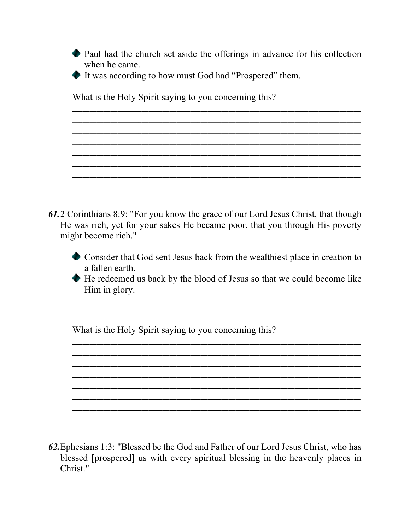Paul had the church set aside the offerings in advance for his collection when he came.

**\_\_\_\_\_\_\_\_\_\_\_\_\_\_\_\_\_\_\_\_\_\_\_\_\_\_\_\_\_\_\_\_\_\_\_\_\_\_\_\_\_\_\_\_\_\_\_\_\_\_\_\_\_\_\_\_\_\_\_\_\_\_\_\_\_\_\_\_\_\_\_\_\_\_\_\_\_\_\_\_\_\_\_ \_\_\_\_\_\_\_\_\_\_\_\_\_\_\_\_\_\_\_\_\_\_\_\_\_\_\_\_\_\_\_\_\_\_\_\_\_\_\_\_\_\_\_\_\_\_\_\_\_\_\_\_\_\_\_\_\_\_\_\_\_\_\_\_\_\_\_\_\_\_\_\_\_\_\_\_\_\_\_\_\_\_\_ \_\_\_\_\_\_\_\_\_\_\_\_\_\_\_\_\_\_\_\_\_\_\_\_\_\_\_\_\_\_\_\_\_\_\_\_\_\_\_\_\_\_\_\_\_\_\_\_\_\_\_\_\_\_\_\_\_\_\_\_\_\_\_\_\_\_\_\_\_\_\_\_\_\_\_\_\_\_\_\_\_\_\_**

**\_\_\_\_\_\_\_\_\_\_\_\_\_\_\_\_\_\_\_\_\_\_\_\_\_\_\_\_\_\_\_\_\_\_\_\_\_\_\_\_\_\_\_\_\_\_\_\_\_\_\_\_\_\_\_\_\_\_\_\_\_\_\_\_\_\_\_\_\_\_\_\_\_\_\_\_\_\_\_\_\_\_\_**

**\_\_\_\_\_\_\_\_\_\_\_\_\_\_\_\_\_\_\_\_\_\_\_\_\_\_\_\_\_\_\_\_\_\_\_\_\_\_\_\_\_\_\_\_\_\_\_\_\_\_\_\_\_\_\_\_\_\_\_\_\_\_\_\_\_\_\_\_\_\_\_\_\_\_\_\_\_\_\_\_\_\_\_**

**\_\_\_\_\_\_\_\_\_\_\_\_\_\_\_\_\_\_\_\_\_\_\_\_\_\_\_\_\_\_\_\_\_\_\_\_\_\_\_\_\_\_\_\_\_\_\_\_\_\_\_\_\_\_\_\_\_\_\_\_\_\_\_\_\_\_\_\_\_\_\_\_\_\_\_\_\_\_\_\_\_\_\_**

It was according to how must God had "Prospered" them.

What is the Holy Spirit saying to you concerning this?

- *61.*2 Corinthians 8:9: "For you know the grace of our Lord Jesus Christ, that though He was rich, yet for your sakes He became poor, that you through His poverty might become rich."
	- Consider that God sent Jesus back from the wealthiest place in creation to a fallen earth.
	- He redeemed us back by the blood of Jesus so that we could become like Him in glory.

**\_\_\_\_\_\_\_\_\_\_\_\_\_\_\_\_\_\_\_\_\_\_\_\_\_\_\_\_\_\_\_\_\_\_\_\_\_\_\_\_\_\_\_\_\_\_\_\_\_\_\_\_\_\_\_\_\_\_\_\_\_\_\_\_\_\_\_\_\_\_\_\_\_\_\_\_\_\_\_\_\_\_\_ \_\_\_\_\_\_\_\_\_\_\_\_\_\_\_\_\_\_\_\_\_\_\_\_\_\_\_\_\_\_\_\_\_\_\_\_\_\_\_\_\_\_\_\_\_\_\_\_\_\_\_\_\_\_\_\_\_\_\_\_\_\_\_\_\_\_\_\_\_\_\_\_\_\_\_\_\_\_\_\_\_\_\_**

**\_\_\_\_\_\_\_\_\_\_\_\_\_\_\_\_\_\_\_\_\_\_\_\_\_\_\_\_\_\_\_\_\_\_\_\_\_\_\_\_\_\_\_\_\_\_\_\_\_\_\_\_\_\_\_\_\_\_\_\_\_\_\_\_\_\_\_\_\_\_\_\_\_\_\_\_\_\_\_\_\_\_\_**

**\_\_\_\_\_\_\_\_\_\_\_\_\_\_\_\_\_\_\_\_\_\_\_\_\_\_\_\_\_\_\_\_\_\_\_\_\_\_\_\_\_\_\_\_\_\_\_\_\_\_\_\_\_\_\_\_\_\_\_\_\_\_\_\_\_\_\_\_\_\_\_\_\_\_\_\_\_\_\_\_\_\_\_**

**\_\_\_\_\_\_\_\_\_\_\_\_\_\_\_\_\_\_\_\_\_\_\_\_\_\_\_\_\_\_\_\_\_\_\_\_\_\_\_\_\_\_\_\_\_\_\_\_\_\_\_\_\_\_\_\_\_\_\_\_\_\_\_\_\_\_\_\_\_\_\_\_\_\_\_\_\_\_\_\_\_\_\_**

**\_\_\_\_\_\_\_\_\_\_\_\_\_\_\_\_\_\_\_\_\_\_\_\_\_\_\_\_\_\_\_\_\_\_\_\_\_\_\_\_\_\_\_\_\_\_\_\_\_\_\_\_\_\_\_\_\_\_\_\_\_\_\_\_\_\_\_\_\_\_\_\_\_\_\_\_\_\_\_\_\_\_\_**

**\_\_\_\_\_\_\_\_\_\_\_\_\_\_\_\_\_\_\_\_\_\_\_\_\_\_\_\_\_\_\_\_\_\_\_\_\_\_\_\_\_\_\_\_\_\_\_\_\_\_\_\_\_\_\_\_\_\_\_\_\_\_\_\_\_\_\_\_\_\_\_\_\_\_\_\_\_\_\_\_\_\_\_**

What is the Holy Spirit saying to you concerning this?

*62.*Ephesians 1:3: "Blessed be the God and Father of our Lord Jesus Christ, who has blessed [prospered] us with every spiritual blessing in the heavenly places in Christ."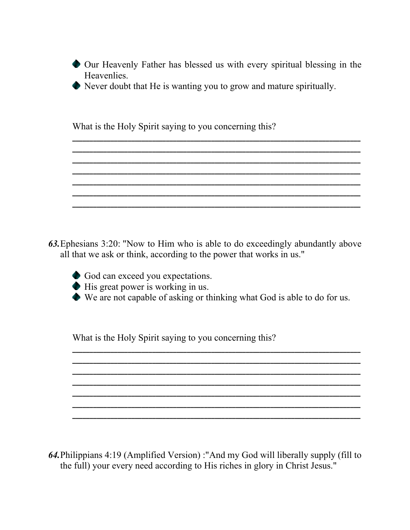Our Heavenly Father has blessed us with every spiritual blessing in the Heavenlies.

**\_\_\_\_\_\_\_\_\_\_\_\_\_\_\_\_\_\_\_\_\_\_\_\_\_\_\_\_\_\_\_\_\_\_\_\_\_\_\_\_\_\_\_\_\_\_\_\_\_\_\_\_\_\_\_\_\_\_\_\_\_\_\_\_\_\_\_\_\_\_\_\_\_\_\_\_\_\_\_\_\_\_\_ \_\_\_\_\_\_\_\_\_\_\_\_\_\_\_\_\_\_\_\_\_\_\_\_\_\_\_\_\_\_\_\_\_\_\_\_\_\_\_\_\_\_\_\_\_\_\_\_\_\_\_\_\_\_\_\_\_\_\_\_\_\_\_\_\_\_\_\_\_\_\_\_\_\_\_\_\_\_\_\_\_\_\_**

**\_\_\_\_\_\_\_\_\_\_\_\_\_\_\_\_\_\_\_\_\_\_\_\_\_\_\_\_\_\_\_\_\_\_\_\_\_\_\_\_\_\_\_\_\_\_\_\_\_\_\_\_\_\_\_\_\_\_\_\_\_\_\_\_\_\_\_\_\_\_\_\_\_\_\_\_\_\_\_\_\_\_\_ \_\_\_\_\_\_\_\_\_\_\_\_\_\_\_\_\_\_\_\_\_\_\_\_\_\_\_\_\_\_\_\_\_\_\_\_\_\_\_\_\_\_\_\_\_\_\_\_\_\_\_\_\_\_\_\_\_\_\_\_\_\_\_\_\_\_\_\_\_\_\_\_\_\_\_\_\_\_\_\_\_\_\_**

**\_\_\_\_\_\_\_\_\_\_\_\_\_\_\_\_\_\_\_\_\_\_\_\_\_\_\_\_\_\_\_\_\_\_\_\_\_\_\_\_\_\_\_\_\_\_\_\_\_\_\_\_\_\_\_\_\_\_\_\_\_\_\_\_\_\_\_\_\_\_\_\_\_\_\_\_\_\_\_\_\_\_\_**

**\_\_\_\_\_\_\_\_\_\_\_\_\_\_\_\_\_\_\_\_\_\_\_\_\_\_\_\_\_\_\_\_\_\_\_\_\_\_\_\_\_\_\_\_\_\_\_\_\_\_\_\_\_\_\_\_\_\_\_\_\_\_\_\_\_\_\_\_\_\_\_\_\_\_\_\_\_\_\_\_\_\_\_**

Never doubt that He is wanting you to grow and mature spiritually.

What is the Holy Spirit saying to you concerning this?

*63.*Ephesians 3:20: "Now to Him who is able to do exceedingly abundantly above all that we ask or think, according to the power that works in us."

God can exceed you expectations.

His great power is working in us.

We are not capable of asking or thinking what God is able to do for us.

**\_\_\_\_\_\_\_\_\_\_\_\_\_\_\_\_\_\_\_\_\_\_\_\_\_\_\_\_\_\_\_\_\_\_\_\_\_\_\_\_\_\_\_\_\_\_\_\_\_\_\_\_\_\_\_\_\_\_\_\_\_\_\_\_\_\_\_\_\_\_\_\_\_\_\_\_\_\_\_\_\_\_\_ \_\_\_\_\_\_\_\_\_\_\_\_\_\_\_\_\_\_\_\_\_\_\_\_\_\_\_\_\_\_\_\_\_\_\_\_\_\_\_\_\_\_\_\_\_\_\_\_\_\_\_\_\_\_\_\_\_\_\_\_\_\_\_\_\_\_\_\_\_\_\_\_\_\_\_\_\_\_\_\_\_\_\_ \_\_\_\_\_\_\_\_\_\_\_\_\_\_\_\_\_\_\_\_\_\_\_\_\_\_\_\_\_\_\_\_\_\_\_\_\_\_\_\_\_\_\_\_\_\_\_\_\_\_\_\_\_\_\_\_\_\_\_\_\_\_\_\_\_\_\_\_\_\_\_\_\_\_\_\_\_\_\_\_\_\_\_ \_\_\_\_\_\_\_\_\_\_\_\_\_\_\_\_\_\_\_\_\_\_\_\_\_\_\_\_\_\_\_\_\_\_\_\_\_\_\_\_\_\_\_\_\_\_\_\_\_\_\_\_\_\_\_\_\_\_\_\_\_\_\_\_\_\_\_\_\_\_\_\_\_\_\_\_\_\_\_\_\_\_\_ \_\_\_\_\_\_\_\_\_\_\_\_\_\_\_\_\_\_\_\_\_\_\_\_\_\_\_\_\_\_\_\_\_\_\_\_\_\_\_\_\_\_\_\_\_\_\_\_\_\_\_\_\_\_\_\_\_\_\_\_\_\_\_\_\_\_\_\_\_\_\_\_\_\_\_\_\_\_\_\_\_\_\_**

**\_\_\_\_\_\_\_\_\_\_\_\_\_\_\_\_\_\_\_\_\_\_\_\_\_\_\_\_\_\_\_\_\_\_\_\_\_\_\_\_\_\_\_\_\_\_\_\_\_\_\_\_\_\_\_\_\_\_\_\_\_\_\_\_\_\_\_\_\_\_\_\_\_\_\_\_\_\_\_\_\_\_\_**

What is the Holy Spirit saying to you concerning this?

*64.*Philippians 4:19 (Amplified Version) :"And my God will liberally supply (fill to the full) your every need according to His riches in glory in Christ Jesus."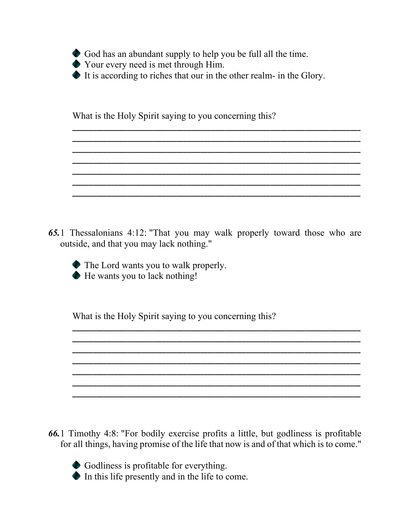

It is according to riches that our in the other realm- in the Glory.

**\_\_\_\_\_\_\_\_\_\_\_\_\_\_\_\_\_\_\_\_\_\_\_\_\_\_\_\_\_\_\_\_\_\_\_\_\_\_\_\_\_\_\_\_\_\_\_\_\_\_\_\_\_\_\_\_\_\_\_\_\_\_\_\_\_\_\_\_\_\_\_\_\_\_\_\_\_\_\_\_\_\_\_ \_\_\_\_\_\_\_\_\_\_\_\_\_\_\_\_\_\_\_\_\_\_\_\_\_\_\_\_\_\_\_\_\_\_\_\_\_\_\_\_\_\_\_\_\_\_\_\_\_\_\_\_\_\_\_\_\_\_\_\_\_\_\_\_\_\_\_\_\_\_\_\_\_\_\_\_\_\_\_\_\_\_\_ \_\_\_\_\_\_\_\_\_\_\_\_\_\_\_\_\_\_\_\_\_\_\_\_\_\_\_\_\_\_\_\_\_\_\_\_\_\_\_\_\_\_\_\_\_\_\_\_\_\_\_\_\_\_\_\_\_\_\_\_\_\_\_\_\_\_\_\_\_\_\_\_\_\_\_\_\_\_\_\_\_\_\_**

**\_\_\_\_\_\_\_\_\_\_\_\_\_\_\_\_\_\_\_\_\_\_\_\_\_\_\_\_\_\_\_\_\_\_\_\_\_\_\_\_\_\_\_\_\_\_\_\_\_\_\_\_\_\_\_\_\_\_\_\_\_\_\_\_\_\_\_\_\_\_\_\_\_\_\_\_\_\_\_\_\_\_\_ \_\_\_\_\_\_\_\_\_\_\_\_\_\_\_\_\_\_\_\_\_\_\_\_\_\_\_\_\_\_\_\_\_\_\_\_\_\_\_\_\_\_\_\_\_\_\_\_\_\_\_\_\_\_\_\_\_\_\_\_\_\_\_\_\_\_\_\_\_\_\_\_\_\_\_\_\_\_\_\_\_\_\_ \_\_\_\_\_\_\_\_\_\_\_\_\_\_\_\_\_\_\_\_\_\_\_\_\_\_\_\_\_\_\_\_\_\_\_\_\_\_\_\_\_\_\_\_\_\_\_\_\_\_\_\_\_\_\_\_\_\_\_\_\_\_\_\_\_\_\_\_\_\_\_\_\_\_\_\_\_\_\_\_\_\_\_**

What is the Holy Spirit saying to you concerning this?

*65.*1 Thessalonians 4:12: "That you may walk properly toward those who are outside, and that you may lack nothing."

**\_\_\_\_\_\_\_\_\_\_\_\_\_\_\_\_\_\_\_\_\_\_\_\_\_\_\_\_\_\_\_\_\_\_\_\_\_\_\_\_\_\_\_\_\_\_\_\_\_\_\_\_\_\_\_\_\_\_\_\_\_\_\_\_\_\_\_\_\_\_\_\_\_\_\_\_\_\_\_\_\_\_\_**

**\_\_\_\_\_\_\_\_\_\_\_\_\_\_\_\_\_\_\_\_\_\_\_\_\_\_\_\_\_\_\_\_\_\_\_\_\_\_\_\_\_\_\_\_\_\_\_\_\_\_\_\_\_\_\_\_\_\_\_\_\_\_\_\_\_\_\_\_\_\_\_\_\_\_\_\_\_\_\_\_\_\_\_ \_\_\_\_\_\_\_\_\_\_\_\_\_\_\_\_\_\_\_\_\_\_\_\_\_\_\_\_\_\_\_\_\_\_\_\_\_\_\_\_\_\_\_\_\_\_\_\_\_\_\_\_\_\_\_\_\_\_\_\_\_\_\_\_\_\_\_\_\_\_\_\_\_\_\_\_\_\_\_\_\_\_\_ \_\_\_\_\_\_\_\_\_\_\_\_\_\_\_\_\_\_\_\_\_\_\_\_\_\_\_\_\_\_\_\_\_\_\_\_\_\_\_\_\_\_\_\_\_\_\_\_\_\_\_\_\_\_\_\_\_\_\_\_\_\_\_\_\_\_\_\_\_\_\_\_\_\_\_\_\_\_\_\_\_\_\_ \_\_\_\_\_\_\_\_\_\_\_\_\_\_\_\_\_\_\_\_\_\_\_\_\_\_\_\_\_\_\_\_\_\_\_\_\_\_\_\_\_\_\_\_\_\_\_\_\_\_\_\_\_\_\_\_\_\_\_\_\_\_\_\_\_\_\_\_\_\_\_\_\_\_\_\_\_\_\_\_\_\_\_**

**\_\_\_\_\_\_\_\_\_\_\_\_\_\_\_\_\_\_\_\_\_\_\_\_\_\_\_\_\_\_\_\_\_\_\_\_\_\_\_\_\_\_\_\_\_\_\_\_\_\_\_\_\_\_\_\_\_\_\_\_\_\_\_\_\_\_\_\_\_\_\_\_\_\_\_\_\_\_\_\_\_\_\_**

The Lord wants you to walk properly. He wants you to lack nothing!

- *66.*1 Timothy 4:8: "For bodily exercise profits a little, but godliness is profitable for all things, having promise of the life that now is and of that which is to come."
	- Godliness is profitable for everything.
	- In this life presently and in the life to come.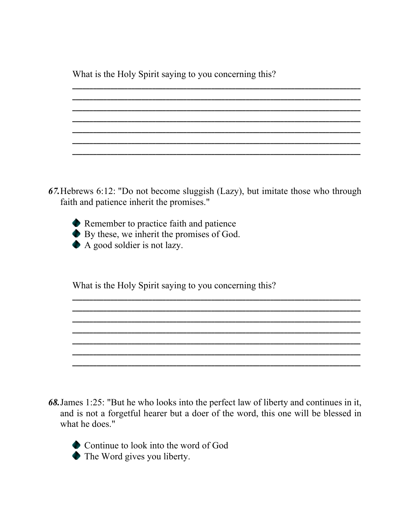What is the Holy Spirit saying to you concerning this?

67. Hebrews 6:12: "Do not become sluggish (Lazy), but imitate those who through faith and patience inherit the promises."

Remember to practice faith and patience By these, we inherit the promises of God. A good soldier is not lazy.

What is the Holy Spirit saying to you concerning this?

68. James 1:25: "But he who looks into the perfect law of liberty and continues in it, and is not a forgetful hearer but a doer of the word, this one will be blessed in what he does."



• Continue to look into the word of God • The Word gives you liberty.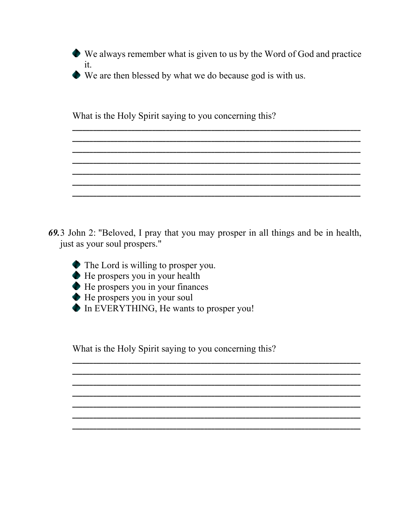• We always remember what is given to us by the Word of God and practice it.

• We are then blessed by what we do because god is with us.

What is the Holy Spirit saying to you concerning this?

- 69.3 John 2: "Beloved, I pray that you may prosper in all things and be in health, just as your soul prospers."
	- $\bullet$  The Lord is willing to prosper you. He prospers you in your health He prospers you in your finances He prospers you in your soul In EVERYTHING, He wants to prosper you!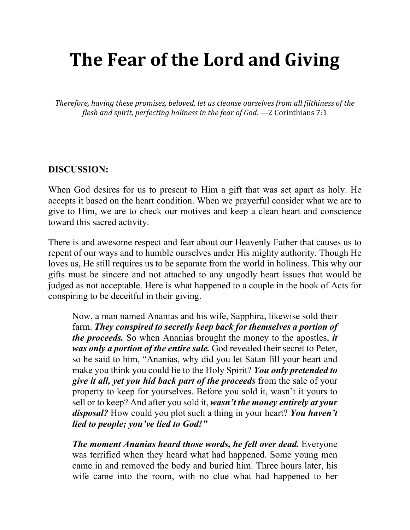# **The Fear of the Lord and Giving**

*Therefore, having these promises, beloved, let us cleanse ourselves from all filthiness of the flesh and spirit, perfecting holiness in the fear of God.* —2 Corinthians 7:1

#### **DISCUSSION:**

When God desires for us to present to Him a gift that was set apart as holy. He accepts it based on the heart condition. When we prayerful consider what we are to give to Him, we are to check our motives and keep a clean heart and conscience toward this sacred activity.

There is and awesome respect and fear about our Heavenly Father that causes us to repent of our ways and to humble ourselves under His mighty authority. Though He loves us, He still requires us to be separate from the world in holiness. This why our gifts must be sincere and not attached to any ungodly heart issues that would be judged as not acceptable. Here is what happened to a couple in the book of Acts for conspiring to be deceitful in their giving.

Now, a man named Ananias and his wife, Sapphira, likewise sold their farm. *They conspired to secretly keep back for themselves a portion of the proceeds.* So when Ananias brought the money to the apostles, *it was only a portion of the entire sale.* God revealed their secret to Peter, so he said to him, "Ananias, why did you let Satan fill your heart and make you think you could lie to the Holy Spirit? *You only pretended to give it all, yet you hid back part of the proceeds* from the sale of your property to keep for yourselves. Before you sold it, wasn't it yours to sell or to keep? And after you sold it, *wasn't the money entirely at your disposal?* How could you plot such a thing in your heart? *You haven't lied to people; you've lied to God!"* 

*The moment Ananias heard those words, he fell over dead.* **Everyone** was terrified when they heard what had happened. Some young men came in and removed the body and buried him. Three hours later, his wife came into the room, with no clue what had happened to her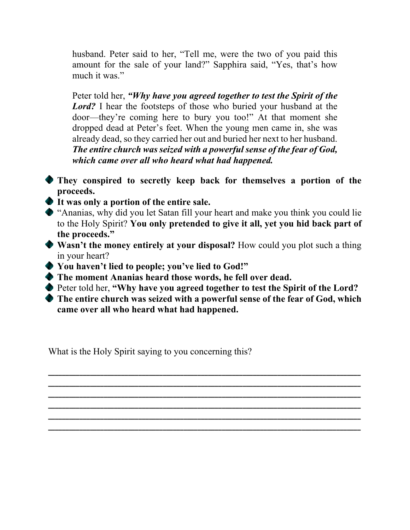husband. Peter said to her, "Tell me, were the two of you paid this amount for the sale of your land?" Sapphira said, "Yes, that's how much it was."

Peter told her, *"Why have you agreed together to test the Spirit of the Lord?* I hear the footsteps of those who buried your husband at the door—they're coming here to bury you too!" At that moment she dropped dead at Peter's feet. When the young men came in, she was already dead, so they carried her out and buried her next to her husband. *The entire church was seized with a powerful sense of the fear of God, which came over all who heard what had happened.* 

- **They conspired to secretly keep back for themselves a portion of the proceeds.**
- **It was only a portion of the entire sale.**
- "Ananias, why did you let Satan fill your heart and make you think you could lie to the Holy Spirit? **You only pretended to give it all, yet you hid back part of the proceeds."**
- **Wasn't the money entirely at your disposal?** How could you plot such a thing in your heart?
- **You haven't lied to people; you've lied to God!"**
- **The moment Ananias heard those words, he fell over dead.**
- Peter told her, **"Why have you agreed together to test the Spirit of the Lord?**
- **The entire church was seized with a powerful sense of the fear of God, which came over all who heard what had happened.**

**\_\_\_\_\_\_\_\_\_\_\_\_\_\_\_\_\_\_\_\_\_\_\_\_\_\_\_\_\_\_\_\_\_\_\_\_\_\_\_\_\_\_\_\_\_\_\_\_\_\_\_\_\_\_\_\_\_\_\_\_\_\_\_\_\_\_\_\_\_\_\_\_\_\_\_\_\_\_\_\_\_\_\_\_\_\_\_\_\_\_ \_\_\_\_\_\_\_\_\_\_\_\_\_\_\_\_\_\_\_\_\_\_\_\_\_\_\_\_\_\_\_\_\_\_\_\_\_\_\_\_\_\_\_\_\_\_\_\_\_\_\_\_\_\_\_\_\_\_\_\_\_\_\_\_\_\_\_\_\_\_\_\_\_\_\_\_\_\_\_\_\_\_\_\_\_\_\_\_\_\_ \_\_\_\_\_\_\_\_\_\_\_\_\_\_\_\_\_\_\_\_\_\_\_\_\_\_\_\_\_\_\_\_\_\_\_\_\_\_\_\_\_\_\_\_\_\_\_\_\_\_\_\_\_\_\_\_\_\_\_\_\_\_\_\_\_\_\_\_\_\_\_\_\_\_\_\_\_\_\_\_\_\_\_\_\_\_\_\_\_\_ \_\_\_\_\_\_\_\_\_\_\_\_\_\_\_\_\_\_\_\_\_\_\_\_\_\_\_\_\_\_\_\_\_\_\_\_\_\_\_\_\_\_\_\_\_\_\_\_\_\_\_\_\_\_\_\_\_\_\_\_\_\_\_\_\_\_\_\_\_\_\_\_\_\_\_\_\_\_\_\_\_\_\_\_\_\_\_\_\_\_ \_\_\_\_\_\_\_\_\_\_\_\_\_\_\_\_\_\_\_\_\_\_\_\_\_\_\_\_\_\_\_\_\_\_\_\_\_\_\_\_\_\_\_\_\_\_\_\_\_\_\_\_\_\_\_\_\_\_\_\_\_\_\_\_\_\_\_\_\_\_\_\_\_\_\_\_\_\_\_\_\_\_\_\_\_\_\_\_\_\_ \_\_\_\_\_\_\_\_\_\_\_\_\_\_\_\_\_\_\_\_\_\_\_\_\_\_\_\_\_\_\_\_\_\_\_\_\_\_\_\_\_\_\_\_\_\_\_\_\_\_\_\_\_\_\_\_\_\_\_\_\_\_\_\_\_\_\_\_\_\_\_\_\_\_\_\_\_\_\_\_\_\_\_\_\_\_\_\_\_\_**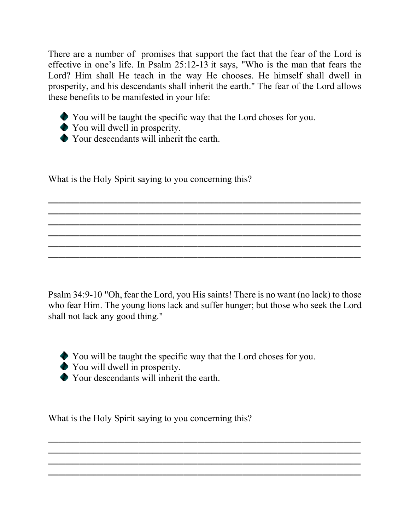There are a number of promises that support the fact that the fear of the Lord is effective in one's life. In Psalm  $25:12-13$  it says, "Who is the man that fears the Lord? Him shall He teach in the way He chooses. He himself shall dwell in prosperity, and his descendants shall inherit the earth." The fear of the Lord allows these benefits to be manifested in your life:

You will be taught the specific way that the Lord choses for you.

You will dwell in prosperity. Your descendants will inherit the earth.

What is the Holy Spirit saying to you concerning this?

Psalm 34:9-10 "Oh, fear the Lord, you His saints! There is no want (no lack) to those who fear Him. The young lions lack and suffer hunger; but those who seek the Lord shall not lack any good thing."

**\_\_\_\_\_\_\_\_\_\_\_\_\_\_\_\_\_\_\_\_\_\_\_\_\_\_\_\_\_\_\_\_\_\_\_\_\_\_\_\_\_\_\_\_\_\_\_\_\_\_\_\_\_\_\_\_\_\_\_\_\_\_\_\_\_\_\_\_\_\_\_\_\_\_\_\_\_\_\_\_\_\_\_\_\_\_\_\_\_\_ \_\_\_\_\_\_\_\_\_\_\_\_\_\_\_\_\_\_\_\_\_\_\_\_\_\_\_\_\_\_\_\_\_\_\_\_\_\_\_\_\_\_\_\_\_\_\_\_\_\_\_\_\_\_\_\_\_\_\_\_\_\_\_\_\_\_\_\_\_\_\_\_\_\_\_\_\_\_\_\_\_\_\_\_\_\_\_\_\_\_ \_\_\_\_\_\_\_\_\_\_\_\_\_\_\_\_\_\_\_\_\_\_\_\_\_\_\_\_\_\_\_\_\_\_\_\_\_\_\_\_\_\_\_\_\_\_\_\_\_\_\_\_\_\_\_\_\_\_\_\_\_\_\_\_\_\_\_\_\_\_\_\_\_\_\_\_\_\_\_\_\_\_\_\_\_\_\_\_\_\_ \_\_\_\_\_\_\_\_\_\_\_\_\_\_\_\_\_\_\_\_\_\_\_\_\_\_\_\_\_\_\_\_\_\_\_\_\_\_\_\_\_\_\_\_\_\_\_\_\_\_\_\_\_\_\_\_\_\_\_\_\_\_\_\_\_\_\_\_\_\_\_\_\_\_\_\_\_\_\_\_\_\_\_\_\_\_\_\_\_\_ \_\_\_\_\_\_\_\_\_\_\_\_\_\_\_\_\_\_\_\_\_\_\_\_\_\_\_\_\_\_\_\_\_\_\_\_\_\_\_\_\_\_\_\_\_\_\_\_\_\_\_\_\_\_\_\_\_\_\_\_\_\_\_\_\_\_\_\_\_\_\_\_\_\_\_\_\_\_\_\_\_\_\_\_\_\_\_\_\_\_ \_\_\_\_\_\_\_\_\_\_\_\_\_\_\_\_\_\_\_\_\_\_\_\_\_\_\_\_\_\_\_\_\_\_\_\_\_\_\_\_\_\_\_\_\_\_\_\_\_\_\_\_\_\_\_\_\_\_\_\_\_\_\_\_\_\_\_\_\_\_\_\_\_\_\_\_\_\_\_\_\_\_\_\_\_\_\_\_\_\_**

You will be taught the specific way that the Lord choses for you.

**\_\_\_\_\_\_\_\_\_\_\_\_\_\_\_\_\_\_\_\_\_\_\_\_\_\_\_\_\_\_\_\_\_\_\_\_\_\_\_\_\_\_\_\_\_\_\_\_\_\_\_\_\_\_\_\_\_\_\_\_\_\_\_\_\_\_\_\_\_\_\_\_\_\_\_\_\_\_\_\_\_\_\_\_\_\_\_\_\_\_ \_\_\_\_\_\_\_\_\_\_\_\_\_\_\_\_\_\_\_\_\_\_\_\_\_\_\_\_\_\_\_\_\_\_\_\_\_\_\_\_\_\_\_\_\_\_\_\_\_\_\_\_\_\_\_\_\_\_\_\_\_\_\_\_\_\_\_\_\_\_\_\_\_\_\_\_\_\_\_\_\_\_\_\_\_\_\_\_\_\_ \_\_\_\_\_\_\_\_\_\_\_\_\_\_\_\_\_\_\_\_\_\_\_\_\_\_\_\_\_\_\_\_\_\_\_\_\_\_\_\_\_\_\_\_\_\_\_\_\_\_\_\_\_\_\_\_\_\_\_\_\_\_\_\_\_\_\_\_\_\_\_\_\_\_\_\_\_\_\_\_\_\_\_\_\_\_\_\_\_\_ \_\_\_\_\_\_\_\_\_\_\_\_\_\_\_\_\_\_\_\_\_\_\_\_\_\_\_\_\_\_\_\_\_\_\_\_\_\_\_\_\_\_\_\_\_\_\_\_\_\_\_\_\_\_\_\_\_\_\_\_\_\_\_\_\_\_\_\_\_\_\_\_\_\_\_\_\_\_\_\_\_\_\_\_\_\_\_\_\_\_**

You will dwell in prosperity.

Your descendants will inherit the earth.